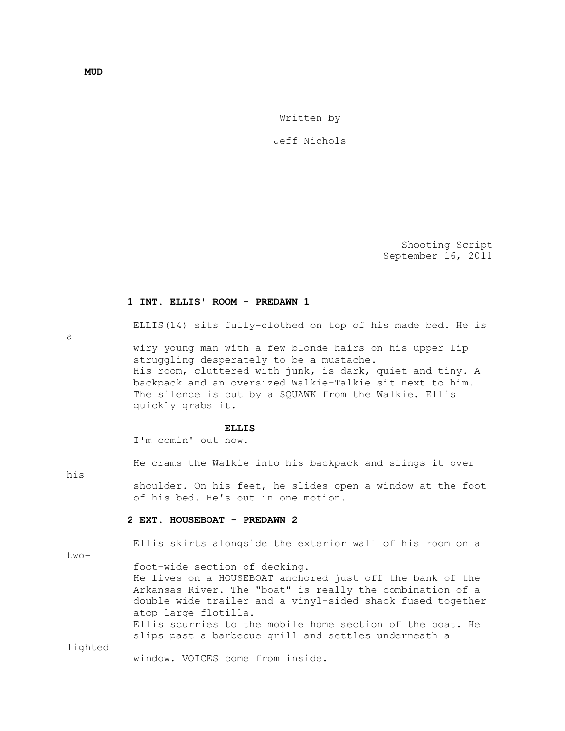Written by

Jeff Nichols

 Shooting Script September 16, 2011

#### **1 INT. ELLIS' ROOM - PREDAWN 1**

ELLIS(14) sits fully-clothed on top of his made bed. He is

a

 wiry young man with a few blonde hairs on his upper lip struggling desperately to be a mustache. His room, cluttered with junk, is dark, quiet and tiny. A backpack and an oversized Walkie-Talkie sit next to him. The silence is cut by a SQUAWK from the Walkie. Ellis quickly grabs it.

#### **ELLIS**

I'm comin' out now.

He crams the Walkie into his backpack and slings it over

his

 shoulder. On his feet, he slides open a window at the foot of his bed. He's out in one motion.

### **2 EXT. HOUSEBOAT - PREDAWN 2**

Ellis skirts alongside the exterior wall of his room on a

two-

 foot-wide section of decking. He lives on a HOUSEBOAT anchored just off the bank of the Arkansas River. The "boat" is really the combination of a double wide trailer and a vinyl-sided shack fused together atop large flotilla. Ellis scurries to the mobile home section of the boat. He

slips past a barbecue grill and settles underneath a

lighted

window. VOICES come from inside.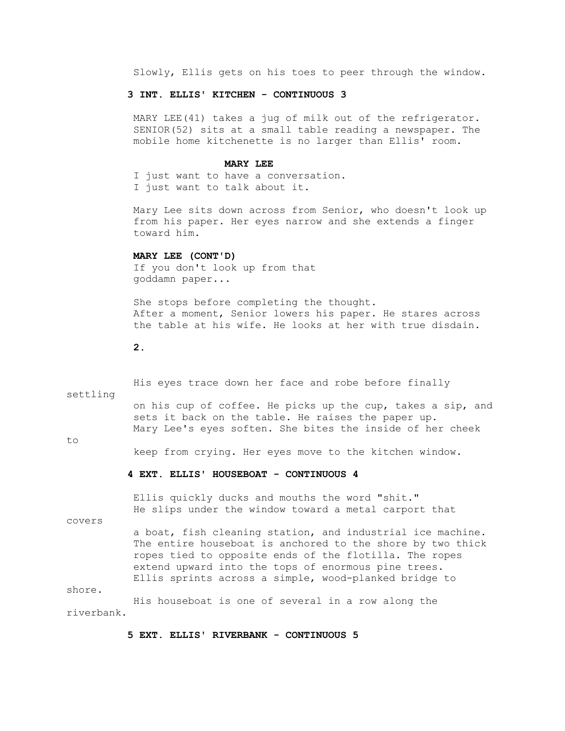Slowly, Ellis gets on his toes to peer through the window.

# **3 INT. ELLIS' KITCHEN - CONTINUOUS 3**

 MARY LEE(41) takes a jug of milk out of the refrigerator. SENIOR(52) sits at a small table reading a newspaper. The mobile home kitchenette is no larger than Ellis' room.

### **MARY LEE**

 I just want to have a conversation. I just want to talk about it.

 Mary Lee sits down across from Senior, who doesn't look up from his paper. Her eyes narrow and she extends a finger toward him.

# **MARY LEE (CONT'D)**

 If you don't look up from that goddamn paper...

 She stops before completing the thought. After a moment, Senior lowers his paper. He stares across the table at his wife. He looks at her with true disdain.

### **2.**

 His eyes trace down her face and robe before finally settling on his cup of coffee. He picks up the cup, takes a sip, and sets it back on the table. He raises the paper up. Mary Lee's eyes soften. She bites the inside of her cheek to keep from crying. Her eyes move to the kitchen window.  **4 EXT. ELLIS' HOUSEBOAT - CONTINUOUS 4** Ellis quickly ducks and mouths the word "shit." He slips under the window toward a metal carport that

covers

 a boat, fish cleaning station, and industrial ice machine. The entire houseboat is anchored to the shore by two thick ropes tied to opposite ends of the flotilla. The ropes extend upward into the tops of enormous pine trees. Ellis sprints across a simple, wood-planked bridge to

shore.

 His houseboat is one of several in a row along the riverbank.

# **5 EXT. ELLIS' RIVERBANK - CONTINUOUS 5**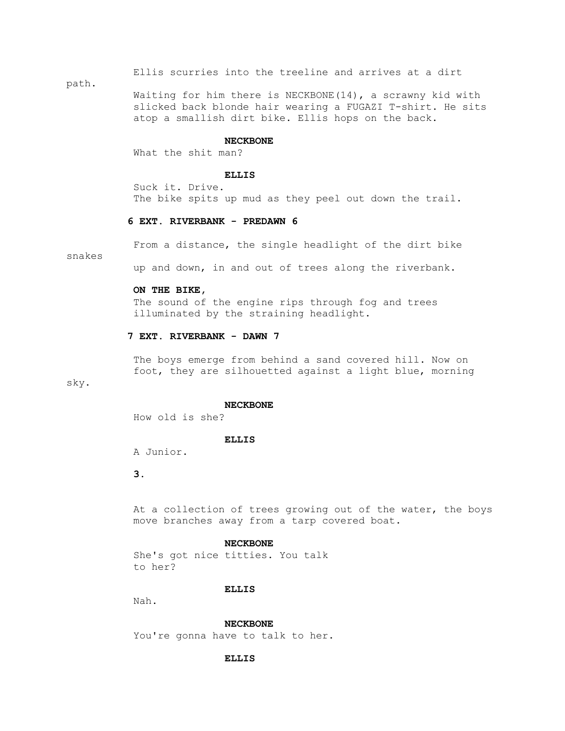Ellis scurries into the treeline and arrives at a dirt

path.

Waiting for him there is NECKBONE $(14)$ , a scrawny kid with slicked back blonde hair wearing a FUGAZI T-shirt. He sits atop a smallish dirt bike. Ellis hops on the back.

#### **NECKBONE**

What the shit man?

### **ELLIS**

 Suck it. Drive. The bike spits up mud as they peel out down the trail.

# **6 EXT. RIVERBANK - PREDAWN 6**

snakes

From a distance, the single headlight of the dirt bike

up and down, in and out of trees along the riverbank.

### **ON THE BIKE,**

 The sound of the engine rips through fog and trees illuminated by the straining headlight.

# **7 EXT. RIVERBANK - DAWN 7**

 The boys emerge from behind a sand covered hill. Now on foot, they are silhouetted against a light blue, morning

# sky.

#### **NECKBONE**

How old is she?

### **ELLIS**

A Junior.

# **3.**

 At a collection of trees growing out of the water, the boys move branches away from a tarp covered boat.

### **NECKBONE**

 She's got nice titties. You talk to her?

#### **ELLIS**

Nah.

 **NECKBONE** You're gonna have to talk to her.

### **ELLIS**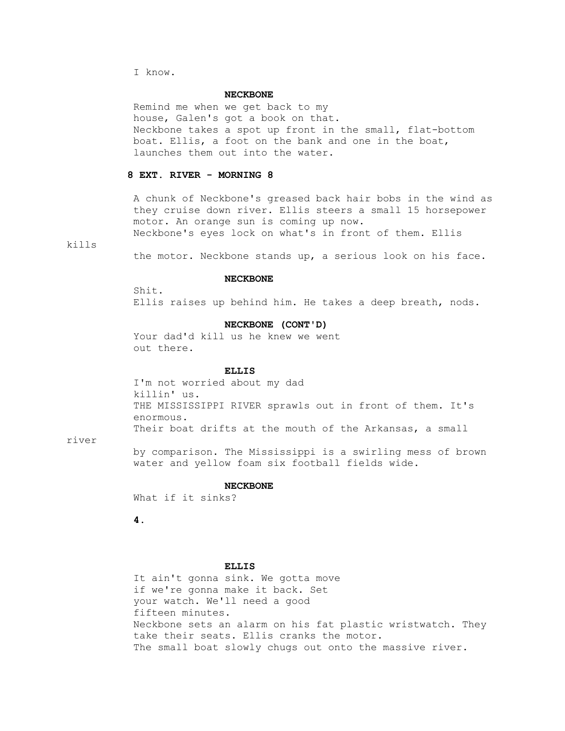I know.

### **NECKBONE**

 Remind me when we get back to my house, Galen's got a book on that. Neckbone takes a spot up front in the small, flat-bottom boat. Ellis, a foot on the bank and one in the boat, launches them out into the water.

# **8 EXT. RIVER - MORNING 8**

 A chunk of Neckbone's greased back hair bobs in the wind as they cruise down river. Ellis steers a small 15 horsepower motor. An orange sun is coming up now. Neckbone's eyes lock on what's in front of them. Ellis

kills

the motor. Neckbone stands up, a serious look on his face.

## **NECKBONE**

 Shit. Ellis raises up behind him. He takes a deep breath, nods.

## **NECKBONE (CONT'D)**

 Your dad'd kill us he knew we went out there.

# **ELLIS**

 I'm not worried about my dad killin' us. THE MISSISSIPPI RIVER sprawls out in front of them. It's enormous. Their boat drifts at the mouth of the Arkansas, a small

#### river

 by comparison. The Mississippi is a swirling mess of brown water and yellow foam six football fields wide.

#### **NECKBONE**

What if it sinks?

 **4.**

## **ELLIS**

 It ain't gonna sink. We gotta move if we're gonna make it back. Set your watch. We'll need a good fifteen minutes. Neckbone sets an alarm on his fat plastic wristwatch. They take their seats. Ellis cranks the motor. The small boat slowly chugs out onto the massive river.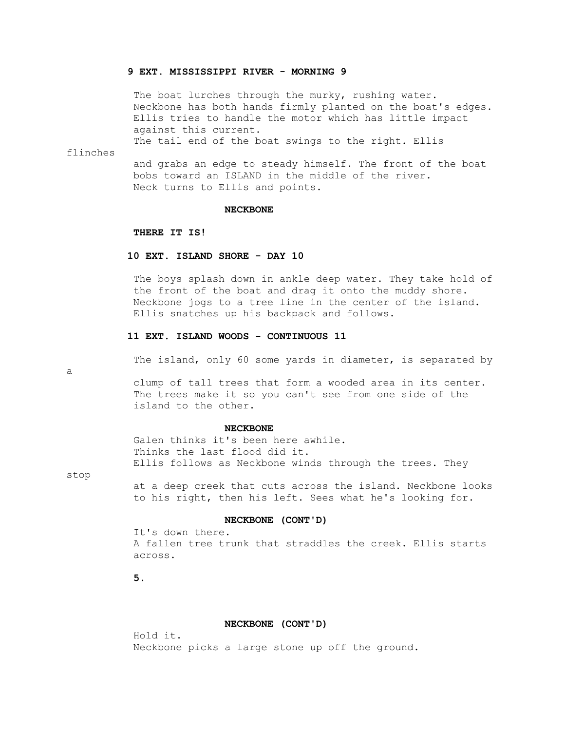## **9 EXT. MISSISSIPPI RIVER - MORNING 9**

The boat lurches through the murky, rushing water. Neckbone has both hands firmly planted on the boat's edges. Ellis tries to handle the motor which has little impact against this current.

The tail end of the boat swings to the right. Ellis

flinches

 and grabs an edge to steady himself. The front of the boat bobs toward an ISLAND in the middle of the river. Neck turns to Ellis and points.

#### **NECKBONE**

## **THERE IT IS!**

### **10 EXT. ISLAND SHORE - DAY 10**

 The boys splash down in ankle deep water. They take hold of the front of the boat and drag it onto the muddy shore. Neckbone jogs to a tree line in the center of the island. Ellis snatches up his backpack and follows.

# **11 EXT. ISLAND WOODS - CONTINUOUS 11**

The island, only 60 some yards in diameter, is separated by

 clump of tall trees that form a wooded area in its center. The trees make it so you can't see from one side of the island to the other.

## **NECKBONE**

 Galen thinks it's been here awhile. Thinks the last flood did it. Ellis follows as Neckbone winds through the trees. They

stop

a

 at a deep creek that cuts across the island. Neckbone looks to his right, then his left. Sees what he's looking for.

### **NECKBONE (CONT'D)**

 It's down there. A fallen tree trunk that straddles the creek. Ellis starts across.

 **5.**

## **NECKBONE (CONT'D)**

 Hold it. Neckbone picks a large stone up off the ground.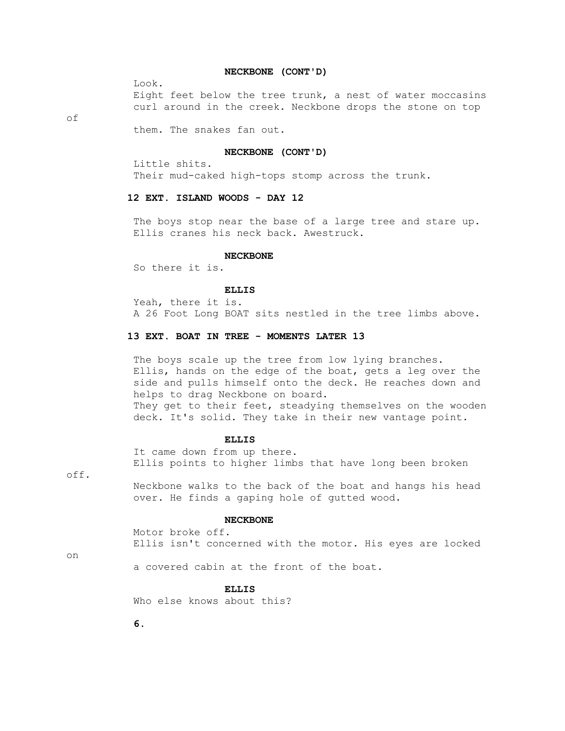## **NECKBONE (CONT'D)**

Look.

 Eight feet below the tree trunk, a nest of water moccasins curl around in the creek. Neckbone drops the stone on top

of

them. The snakes fan out.

## **NECKBONE (CONT'D)**

Little shits.

Their mud-caked high-tops stomp across the trunk.

# **12 EXT. ISLAND WOODS - DAY 12**

The boys stop near the base of a large tree and stare up. Ellis cranes his neck back. Awestruck.

#### **NECKBONE**

So there it is.

## **ELLIS**

 Yeah, there it is. A 26 Foot Long BOAT sits nestled in the tree limbs above.

# **13 EXT. BOAT IN TREE - MOMENTS LATER 13**

The boys scale up the tree from low lying branches. Ellis, hands on the edge of the boat, gets a leg over the side and pulls himself onto the deck. He reaches down and helps to drag Neckbone on board. They get to their feet, steadying themselves on the wooden deck. It's solid. They take in their new vantage point.

### **ELLIS**

 It came down from up there. Ellis points to higher limbs that have long been broken

off. Neckbone walks to the back of the boat and hangs his head over. He finds a gaping hole of gutted wood.

## **NECKBONE**

 Motor broke off. Ellis isn't concerned with the motor. His eyes are locked

on

a covered cabin at the front of the boat.

### **ELLIS**

Who else knows about this?

 **6.**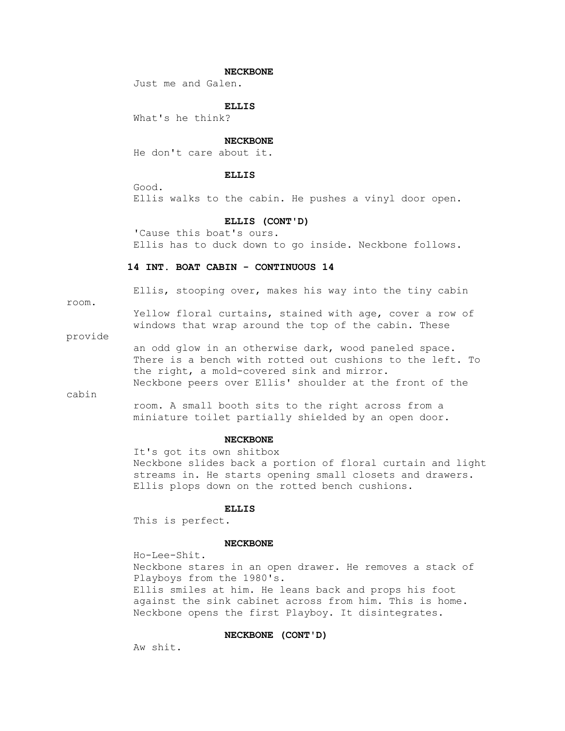## **NECKBONE**

Just me and Galen.

 **ELLIS**

What's he think?

### **NECKBONE**

He don't care about it.

### **ELLIS**

 Good. Ellis walks to the cabin. He pushes a vinyl door open.

#### **ELLIS (CONT'D)**

 'Cause this boat's ours. Ellis has to duck down to go inside. Neckbone follows.

## **14 INT. BOAT CABIN - CONTINUOUS 14**

room.

Ellis, stooping over, makes his way into the tiny cabin

 Yellow floral curtains, stained with age, cover a row of windows that wrap around the top of the cabin. These

provide

 an odd glow in an otherwise dark, wood paneled space. There is a bench with rotted out cushions to the left. To the right, a mold-covered sink and mirror. Neckbone peers over Ellis' shoulder at the front of the

cabin

 room. A small booth sits to the right across from a miniature toilet partially shielded by an open door.

## **NECKBONE**

 It's got its own shitbox Neckbone slides back a portion of floral curtain and light streams in. He starts opening small closets and drawers. Ellis plops down on the rotted bench cushions.

### **ELLIS**

This is perfect.

#### **NECKBONE**

 Ho-Lee-Shit. Neckbone stares in an open drawer. He removes a stack of Playboys from the 1980's. Ellis smiles at him. He leans back and props his foot against the sink cabinet across from him. This is home. Neckbone opens the first Playboy. It disintegrates.

# **NECKBONE (CONT'D)**

Aw shit.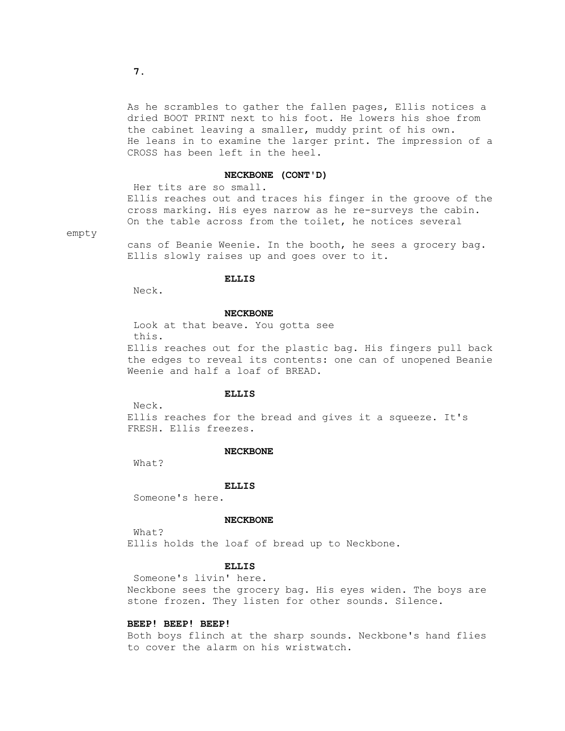As he scrambles to gather the fallen pages, Ellis notices a dried BOOT PRINT next to his foot. He lowers his shoe from the cabinet leaving a smaller, muddy print of his own. He leans in to examine the larger print. The impression of a CROSS has been left in the heel.

### **NECKBONE (CONT'D)**

 Her tits are so small. Ellis reaches out and traces his finger in the groove of the cross marking. His eyes narrow as he re-surveys the cabin. On the table across from the toilet, he notices several

empty

 cans of Beanie Weenie. In the booth, he sees a grocery bag. Ellis slowly raises up and goes over to it.

# **ELLIS**

Neck.

### **NECKBONE**

 Look at that beave. You gotta see this. Ellis reaches out for the plastic bag. His fingers pull back the edges to reveal its contents: one can of unopened Beanie Weenie and half a loaf of BREAD.

#### **ELLIS**

Neck.

 Ellis reaches for the bread and gives it a squeeze. It's FRESH. Ellis freezes.

### **NECKBONE**

What?

#### **ELLIS**

Someone's here.

### **NECKBONE**

 What? Ellis holds the loaf of bread up to Neckbone.

# **ELLIS**

 Someone's livin' here. Neckbone sees the grocery bag. His eyes widen. The boys are stone frozen. They listen for other sounds. Silence.

### **BEEP! BEEP! BEEP!**

 Both boys flinch at the sharp sounds. Neckbone's hand flies to cover the alarm on his wristwatch.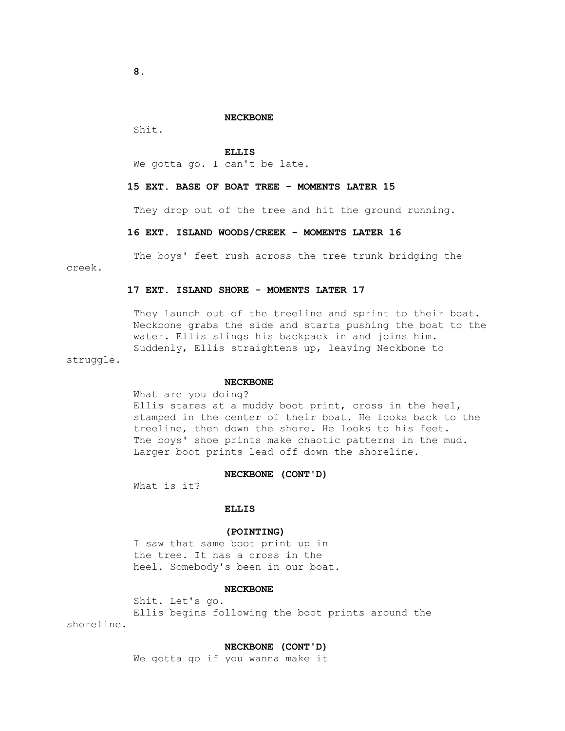## **NECKBONE**

Shit.

 **ELLIS**

We gotta go. I can't be late.

## **15 EXT. BASE OF BOAT TREE - MOMENTS LATER 15**

They drop out of the tree and hit the ground running.

## **16 EXT. ISLAND WOODS/CREEK - MOMENTS LATER 16**

 The boys' feet rush across the tree trunk bridging the creek.

## **17 EXT. ISLAND SHORE - MOMENTS LATER 17**

 They launch out of the treeline and sprint to their boat. Neckbone grabs the side and starts pushing the boat to the water. Ellis slings his backpack in and joins him. Suddenly, Ellis straightens up, leaving Neckbone to

struggle.

#### **NECKBONE**

### What are you doing?

Ellis stares at a muddy boot print, cross in the heel, stamped in the center of their boat. He looks back to the treeline, then down the shore. He looks to his feet. The boys' shoe prints make chaotic patterns in the mud. Larger boot prints lead off down the shoreline.

### **NECKBONE (CONT'D)**

What is it?

# **ELLIS**

## **(POINTING)**

 I saw that same boot print up in the tree. It has a cross in the heel. Somebody's been in our boat.

# **NECKBONE**

 Shit. Let's go. Ellis begins following the boot prints around the shoreline.

## **NECKBONE (CONT'D)**

We gotta go if you wanna make it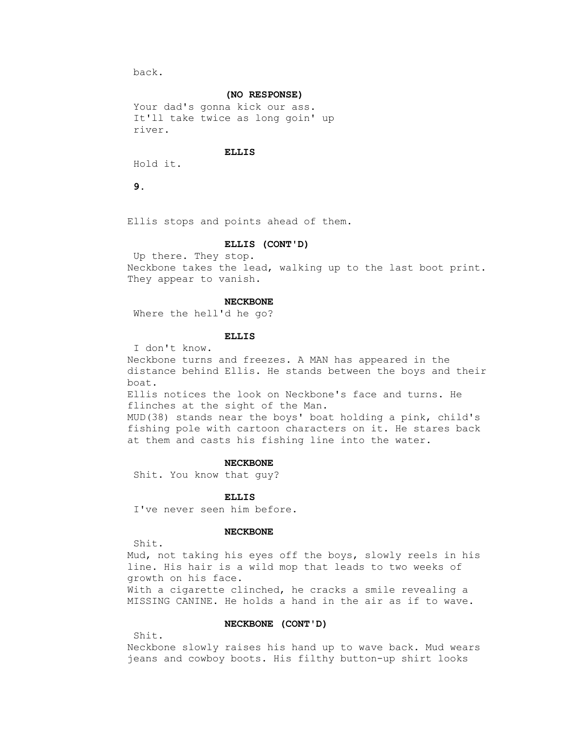back.

### **(NO RESPONSE)**

 Your dad's gonna kick our ass. It'll take twice as long goin' up river.

# **ELLIS**

Hold it.

 **9.**

Ellis stops and points ahead of them.

# **ELLIS (CONT'D)**

 Up there. They stop. Neckbone takes the lead, walking up to the last boot print. They appear to vanish.

### **NECKBONE**

Where the hell'd he go?

## **ELLIS**

I don't know.

 Neckbone turns and freezes. A MAN has appeared in the distance behind Ellis. He stands between the boys and their boat.

 Ellis notices the look on Neckbone's face and turns. He flinches at the sight of the Man.

 MUD(38) stands near the boys' boat holding a pink, child's fishing pole with cartoon characters on it. He stares back at them and casts his fishing line into the water.

### **NECKBONE**

Shit. You know that guy?

## **ELLIS**

I've never seen him before.

## **NECKBONE**

Shit.

 Mud, not taking his eyes off the boys, slowly reels in his line. His hair is a wild mop that leads to two weeks of growth on his face. With a cigarette clinched, he cracks a smile revealing a MISSING CANINE. He holds a hand in the air as if to wave.

# **NECKBONE (CONT'D)**

Shit.

 Neckbone slowly raises his hand up to wave back. Mud wears jeans and cowboy boots. His filthy button-up shirt looks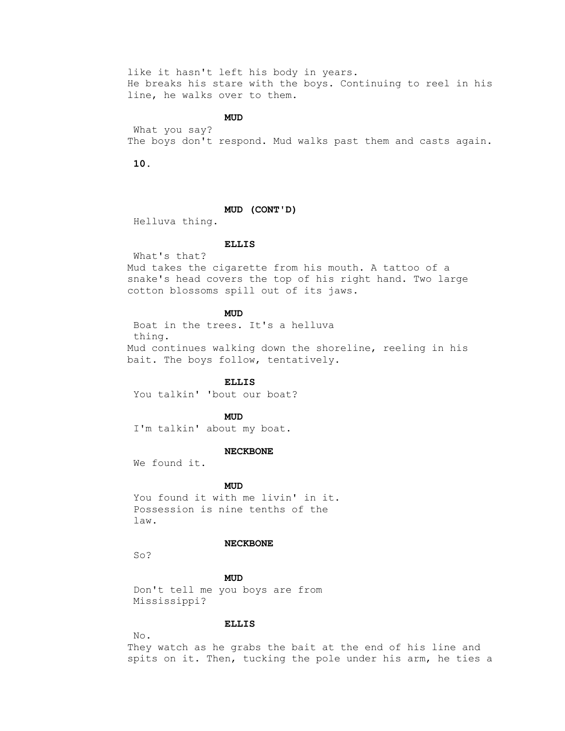like it hasn't left his body in years. He breaks his stare with the boys. Continuing to reel in his line, he walks over to them.

**MUD** 

 What you say? The boys don't respond. Mud walks past them and casts again.

 **10.**

# **MUD (CONT'D)**

Helluva thing.

## **ELLIS**

What's that?

 Mud takes the cigarette from his mouth. A tattoo of a snake's head covers the top of his right hand. Two large cotton blossoms spill out of its jaws.

# **MUD**

 Boat in the trees. It's a helluva thing. Mud continues walking down the shoreline, reeling in his bait. The boys follow, tentatively.

 **ELLIS**

You talkin' 'bout our boat?

**MUD** 

I'm talkin' about my boat.

### **NECKBONE**

We found it.

# **MUD**

 You found it with me livin' in it. Possession is nine tenths of the law.

#### **NECKBONE**

So?

# **MUD**

 Don't tell me you boys are from Mississippi?

# **ELLIS**

No.

 They watch as he grabs the bait at the end of his line and spits on it. Then, tucking the pole under his arm, he ties a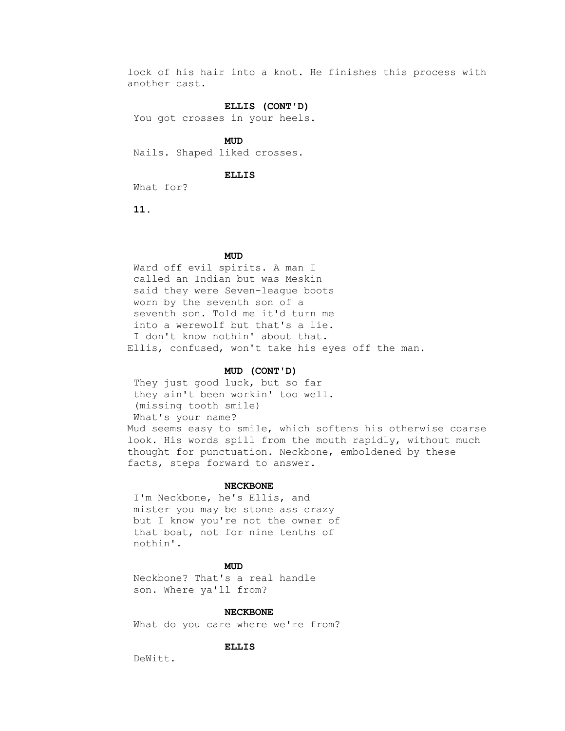lock of his hair into a knot. He finishes this process with another cast.

## **ELLIS (CONT'D)**

You got crosses in your heels.

**MUD** Nails. Shaped liked crosses.

## **ELLIS**

What for?

 **11.**

# **MUD**

 Ward off evil spirits. A man I called an Indian but was Meskin said they were Seven-league boots worn by the seventh son of a seventh son. Told me it'd turn me into a werewolf but that's a lie. I don't know nothin' about that. Ellis, confused, won't take his eyes off the man.

# **MUD (CONT'D)**

 They just good luck, but so far they ain't been workin' too well. (missing tooth smile) What's your name? Mud seems easy to smile, which softens his otherwise coarse look. His words spill from the mouth rapidly, without much thought for punctuation. Neckbone, emboldened by these facts, steps forward to answer.

#### **NECKBONE**

 I'm Neckbone, he's Ellis, and mister you may be stone ass crazy but I know you're not the owner of that boat, not for nine tenths of nothin'.

# **MUD**

 Neckbone? That's a real handle son. Where ya'll from?

### **NECKBONE**

What do you care where we're from?

## **ELLIS**

DeWitt.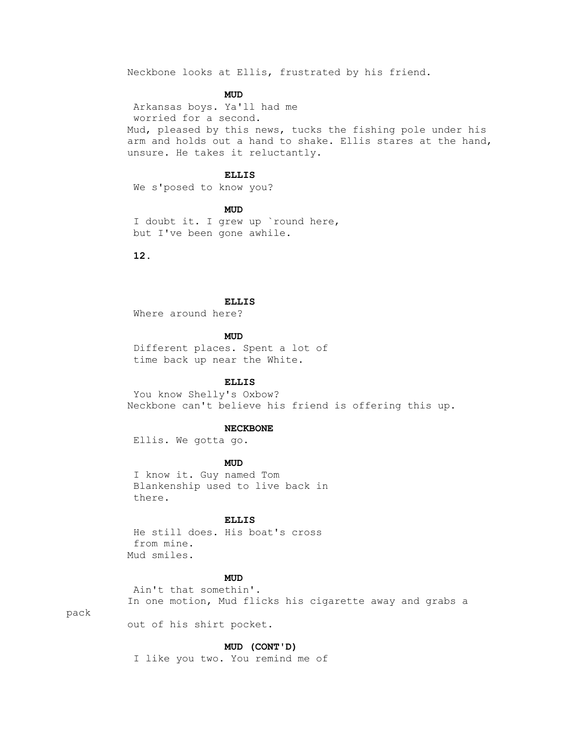Neckbone looks at Ellis, frustrated by his friend.

# **MUD**

 Arkansas boys. Ya'll had me worried for a second. Mud, pleased by this news, tucks the fishing pole under his arm and holds out a hand to shake. Ellis stares at the hand, unsure. He takes it reluctantly.

# **ELLIS**

We s'posed to know you?

**MUD** 

 I doubt it. I grew up `round here, but I've been gone awhile.

 **12.**

### **ELLIS**

Where around here?

**MUD** 

 Different places. Spent a lot of time back up near the White.

### **ELLIS**

 You know Shelly's Oxbow? Neckbone can't believe his friend is offering this up.

#### **NECKBONE**

Ellis. We gotta go.

# **MUD**

 I know it. Guy named Tom Blankenship used to live back in there.

## **ELLIS**

 He still does. His boat's cross from mine. Mud smiles.

# **MUD**

 Ain't that somethin'. In one motion, Mud flicks his cigarette away and grabs a

pack

out of his shirt pocket.

# **MUD (CONT'D)**

I like you two. You remind me of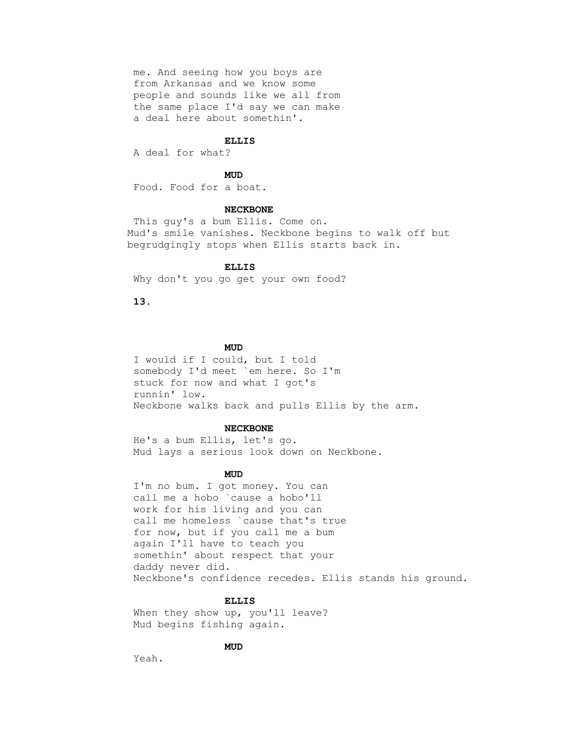me. And seeing how you boys are from Arkansas and we know some people and sounds like we all from the same place I'd say we can make a deal here about somethin'.

#### **ELLIS**

A deal for what?

# **MUD**

Food. Food for a boat.

#### **NECKBONE**

 This guy's a bum Ellis. Come on. Mud's smile vanishes. Neckbone begins to walk off but begrudgingly stops when Ellis starts back in.

#### **ELLIS**

Why don't you go get your own food?

 **13.**

# **MUD**

 I would if I could, but I told somebody I'd meet `em here. So I'm stuck for now and what I got's runnin' low. Neckbone walks back and pulls Ellis by the arm.

#### **NECKBONE**

 He's a bum Ellis, let's go. Mud lays a serious look down on Neckbone.

# **MUD**

 I'm no bum. I got money. You can call me a hobo `cause a hobo'll work for his living and you can call me homeless `cause that's true for now, but if you call me a bum again I'll have to teach you somethin' about respect that your daddy never did. Neckbone's confidence recedes. Ellis stands his ground.

## **ELLIS**

When they show up, you'll leave? Mud begins fishing again.

# **MUD**

Yeah.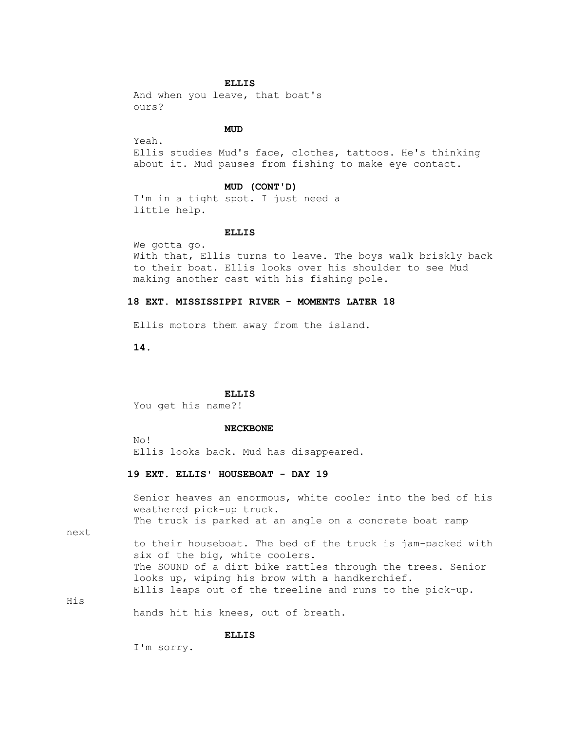### **ELLIS**

 And when you leave, that boat's ours?

# **MUD**

 Yeah. Ellis studies Mud's face, clothes, tattoos. He's thinking about it. Mud pauses from fishing to make eye contact.

## **MUD (CONT'D)**

 I'm in a tight spot. I just need a little help.

## **ELLIS**

 We gotta go. With that, Ellis turns to leave. The boys walk briskly back to their boat. Ellis looks over his shoulder to see Mud making another cast with his fishing pole.

# **18 EXT. MISSISSIPPI RIVER - MOMENTS LATER 18**

Ellis motors them away from the island.

 **14.**

### **ELLIS**

You get his name?!

#### **NECKBONE**

 No! Ellis looks back. Mud has disappeared.

# **19 EXT. ELLIS' HOUSEBOAT - DAY 19**

 Senior heaves an enormous, white cooler into the bed of his weathered pick-up truck.

The truck is parked at an angle on a concrete boat ramp

next

His

 to their houseboat. The bed of the truck is jam-packed with six of the big, white coolers. The SOUND of a dirt bike rattles through the trees. Senior looks up, wiping his brow with a handkerchief. Ellis leaps out of the treeline and runs to the pick-up.

hands hit his knees, out of breath.

### **ELLIS**

I'm sorry.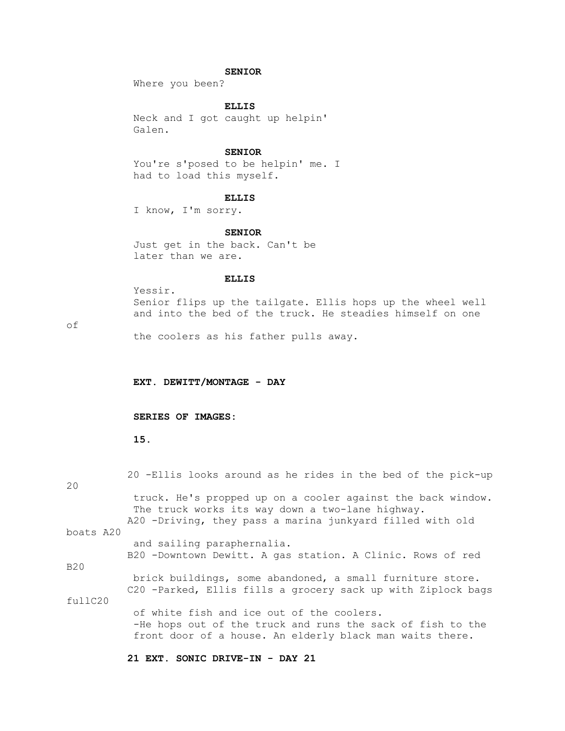# **SENIOR**

Where you been?

 **ELLIS**

 Neck and I got caught up helpin' Galen.

# **SENIOR**

 You're s'posed to be helpin' me. I had to load this myself.

# **ELLIS**

I know, I'm sorry.

 **SENIOR**

 Just get in the back. Can't be later than we are.

## **ELLIS**

 Yessir. Senior flips up the tailgate. Ellis hops up the wheel well and into the bed of the truck. He steadies himself on one

# of

the coolers as his father pulls away.

 **EXT. DEWITT/MONTAGE - DAY**

## **SERIES OF IMAGES:**

 **15.**

| 20        | 20 -Ellis looks around as he rides in the bed of the pick-up                                                                                                                 |
|-----------|------------------------------------------------------------------------------------------------------------------------------------------------------------------------------|
|           | truck. He's propped up on a cooler against the back window.<br>The truck works its way down a two-lane highway.<br>A20 -Driving, they pass a marina junkyard filled with old |
| boats A20 |                                                                                                                                                                              |
|           | and sailing paraphernalia.                                                                                                                                                   |
|           | B20 -Downtown Dewitt. A gas station. A Clinic. Rows of red                                                                                                                   |
| B20       |                                                                                                                                                                              |
|           | brick buildings, some abandoned, a small furniture store.<br>C20 -Parked, Ellis fills a grocery sack up with Ziplock bags                                                    |
| fullC20   |                                                                                                                                                                              |
|           | of white fish and ice out of the coolers.<br>-He hops out of the truck and runs the sack of fish to the<br>front door of a house. An elderly black man waits there.          |

 **21 EXT. SONIC DRIVE-IN - DAY 21**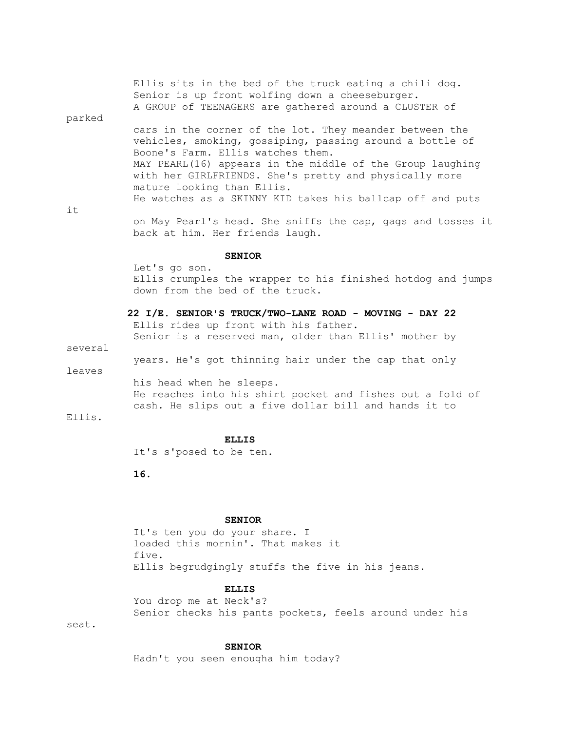|        | Ellis sits in the bed of the truck eating a chili dog.<br>Senior is up front wolfing down a cheeseburger.<br>A GROUP of TEENAGERS are gathered around a CLUSTER of |
|--------|--------------------------------------------------------------------------------------------------------------------------------------------------------------------|
| parked |                                                                                                                                                                    |
|        |                                                                                                                                                                    |
|        | cars in the corner of the lot. They meander between the                                                                                                            |
|        | vehicles, smoking, gossiping, passing around a bottle of                                                                                                           |
|        | Boone's Farm. Ellis watches them.                                                                                                                                  |
|        | MAY PEARL (16) appears in the middle of the Group laughing                                                                                                         |
|        | with her GIRLFRIENDS. She's pretty and physically more                                                                                                             |
|        |                                                                                                                                                                    |
|        | mature looking than Ellis.                                                                                                                                         |
|        | He watches as a SKINNY KID takes his ballcap off and puts                                                                                                          |
| it     |                                                                                                                                                                    |
|        | the Mill Distribution of Although CC and the sense are selling and the sense of the                                                                                |

 on May Pearl's head. She sniffs the cap, gags and tosses it back at him. Her friends laugh.

### **SENIOR**

 Let's go son. Ellis crumples the wrapper to his finished hotdog and jumps down from the bed of the truck.

 **22 I/E. SENIOR'S TRUCK/TWO-LANE ROAD - MOVING - DAY 22** Ellis rides up front with his father. Senior is a reserved man, older than Ellis' mother by

several

years. He's got thinning hair under the cap that only

leaves

 his head when he sleeps. He reaches into his shirt pocket and fishes out a fold of cash. He slips out a five dollar bill and hands it to

Ellis.

### **ELLIS**

It's s'posed to be ten.

 **16.**

## **SENIOR**

 It's ten you do your share. I loaded this mornin'. That makes it five. Ellis begrudgingly stuffs the five in his jeans.

### **ELLIS**

 You drop me at Neck's? Senior checks his pants pockets, feels around under his

seat.

### **SENIOR**

Hadn't you seen enougha him today?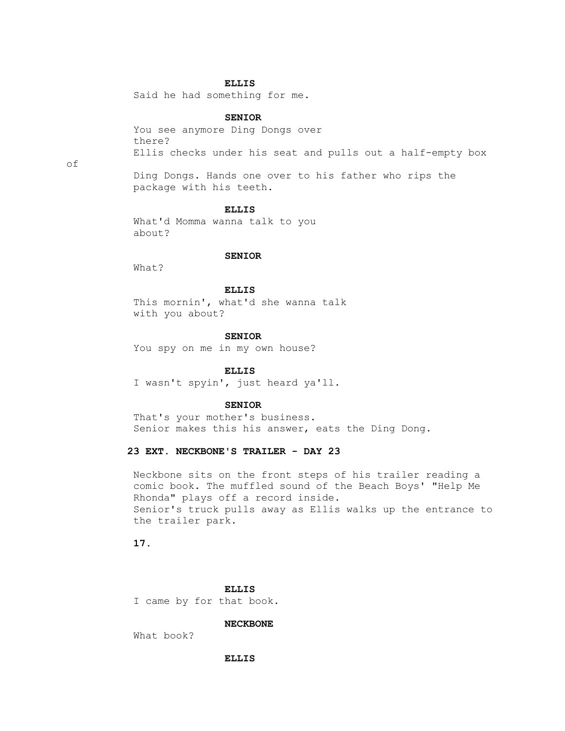# **ELLIS**

Said he had something for me.

## **SENIOR**

 You see anymore Ding Dongs over there? Ellis checks under his seat and pulls out a half-empty box

 Ding Dongs. Hands one over to his father who rips the package with his teeth.

### **ELLIS**

 What'd Momma wanna talk to you about?

### **SENIOR**

What?

# **ELLIS**

 This mornin', what'd she wanna talk with you about?

#### **SENIOR**

You spy on me in my own house?

# **ELLIS**

I wasn't spyin', just heard ya'll.

### **SENIOR**

 That's your mother's business. Senior makes this his answer, eats the Ding Dong.

# **23 EXT. NECKBONE'S TRAILER - DAY 23**

 Neckbone sits on the front steps of his trailer reading a comic book. The muffled sound of the Beach Boys' "Help Me Rhonda" plays off a record inside. Senior's truck pulls away as Ellis walks up the entrance to the trailer park.

 **17.**

 **ELLIS**

I came by for that book.

 **NECKBONE**

What book?

 **ELLIS**

of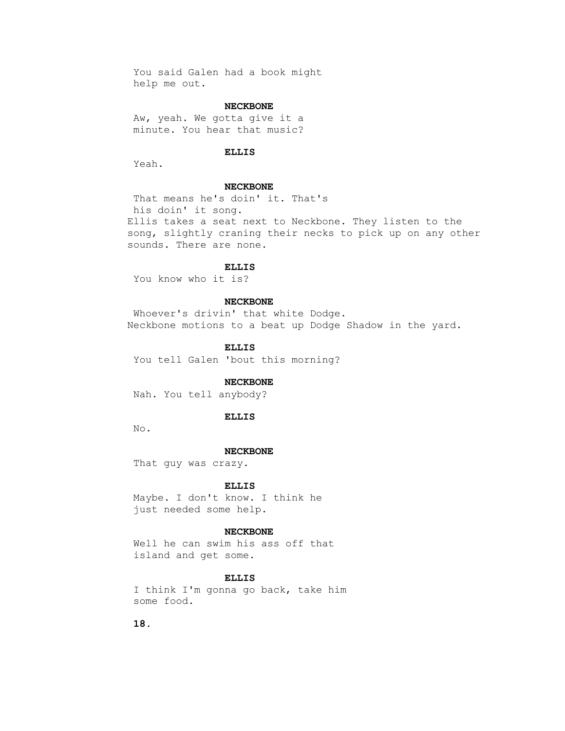You said Galen had a book might help me out.

# **NECKBONE**

 Aw, yeah. We gotta give it a minute. You hear that music?

# **ELLIS**

Yeah.

### **NECKBONE**

 That means he's doin' it. That's his doin' it song. Ellis takes a seat next to Neckbone. They listen to the song, slightly craning their necks to pick up on any other sounds. There are none.

# **ELLIS**

You know who it is?

## **NECKBONE**

 Whoever's drivin' that white Dodge. Neckbone motions to a beat up Dodge Shadow in the yard.

 **ELLIS**

You tell Galen 'bout this morning?

## **NECKBONE**

Nah. You tell anybody?

### **ELLIS**

No.

#### **NECKBONE**

That guy was crazy.

#### **ELLIS**

 Maybe. I don't know. I think he just needed some help.

### **NECKBONE**

 Well he can swim his ass off that island and get some.

## **ELLIS**

 I think I'm gonna go back, take him some food.

 **18.**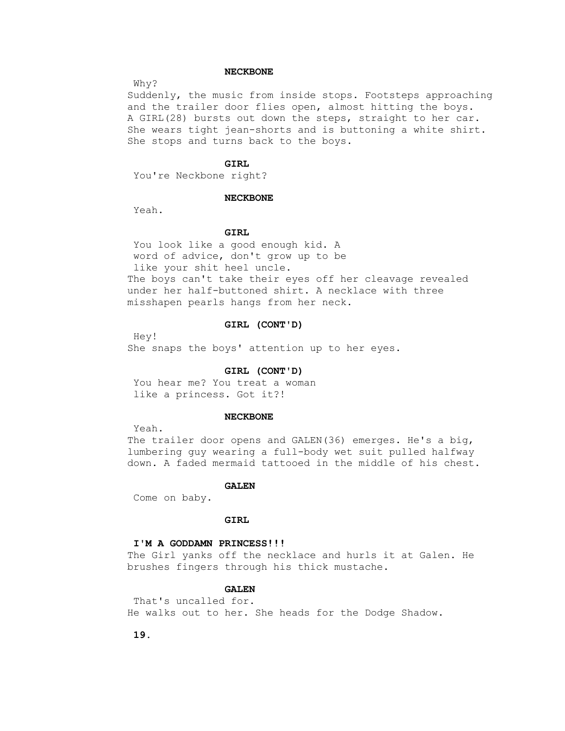## **NECKBONE**

Why?

 Suddenly, the music from inside stops. Footsteps approaching and the trailer door flies open, almost hitting the boys. A GIRL(28) bursts out down the steps, straight to her car. She wears tight jean-shorts and is buttoning a white shirt. She stops and turns back to the boys.

## **GIRL**

You're Neckbone right?

## **NECKBONE**

Yeah.

# **GIRL**

 You look like a good enough kid. A word of advice, don't grow up to be like your shit heel uncle. The boys can't take their eyes off her cleavage revealed under her half-buttoned shirt. A necklace with three misshapen pearls hangs from her neck.

# **GIRL (CONT'D)**

 Hey! She snaps the boys' attention up to her eyes.

## **GIRL (CONT'D)**

 You hear me? You treat a woman like a princess. Got it?!

### **NECKBONE**

Yeah.

 The trailer door opens and GALEN(36) emerges. He's a big, lumbering guy wearing a full-body wet suit pulled halfway down. A faded mermaid tattooed in the middle of his chest.

#### **GALEN**

Come on baby.

# **GIRL**

### **I'M A GODDAMN PRINCESS!!!**

 The Girl yanks off the necklace and hurls it at Galen. He brushes fingers through his thick mustache.

# **GALEN**

 That's uncalled for. He walks out to her. She heads for the Dodge Shadow.

 **19.**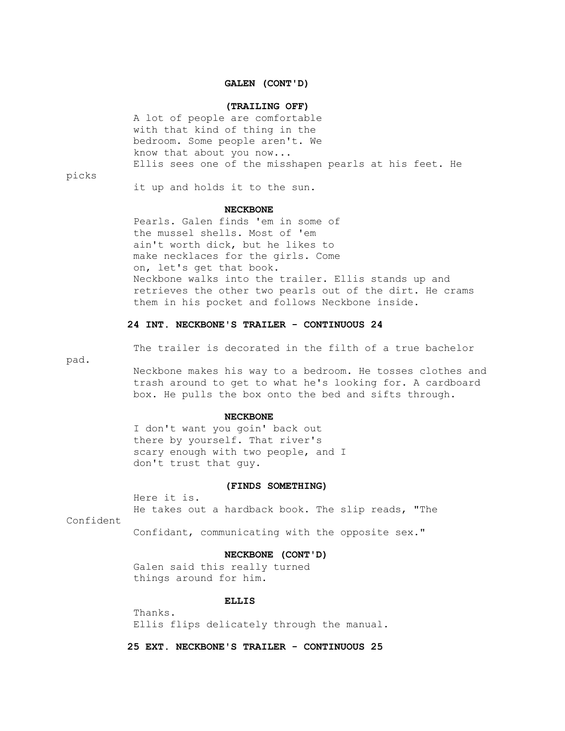## **GALEN (CONT'D)**

## **(TRAILING OFF)**

 A lot of people are comfortable with that kind of thing in the bedroom. Some people aren't. We know that about you now... Ellis sees one of the misshapen pearls at his feet. He

picks

it up and holds it to the sun.

### **NECKBONE**

 Pearls. Galen finds 'em in some of the mussel shells. Most of 'em ain't worth dick, but he likes to make necklaces for the girls. Come on, let's get that book. Neckbone walks into the trailer. Ellis stands up and retrieves the other two pearls out of the dirt. He crams them in his pocket and follows Neckbone inside.

# **24 INT. NECKBONE'S TRAILER - CONTINUOUS 24**

The trailer is decorated in the filth of a true bachelor

pad.

 Neckbone makes his way to a bedroom. He tosses clothes and trash around to get to what he's looking for. A cardboard box. He pulls the box onto the bed and sifts through.

#### **NECKBONE**

 I don't want you goin' back out there by yourself. That river's scary enough with two people, and I don't trust that guy.

### **(FINDS SOMETHING)**

Here it is.

He takes out a hardback book. The slip reads, "The

Confident

Confidant, communicating with the opposite sex."

# **NECKBONE (CONT'D)**

 Galen said this really turned things around for him.

### **ELLIS**

 Thanks. Ellis flips delicately through the manual.

 **25 EXT. NECKBONE'S TRAILER - CONTINUOUS 25**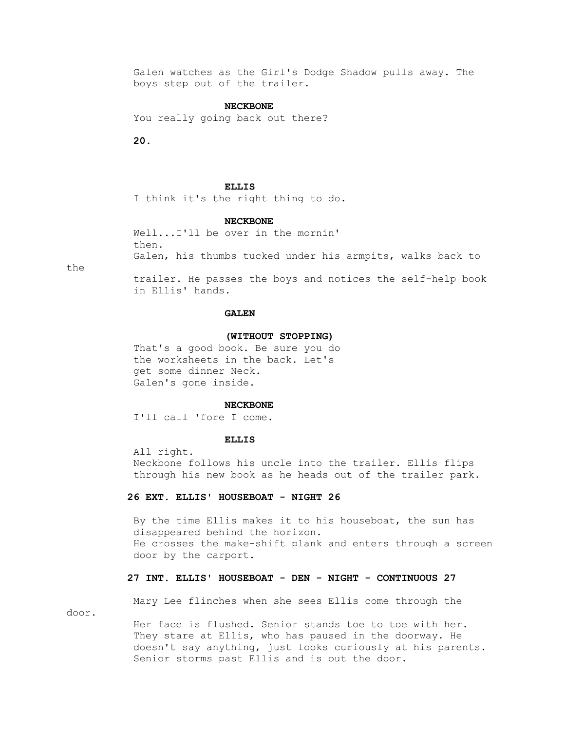Galen watches as the Girl's Dodge Shadow pulls away. The boys step out of the trailer.

## **NECKBONE**

You really going back out there?

 **20.**

### **ELLIS**

I think it's the right thing to do.

### **NECKBONE**

 Well...I'll be over in the mornin' then. Galen, his thumbs tucked under his armpits, walks back to

the

 trailer. He passes the boys and notices the self-help book in Ellis' hands.

# **GALEN**

## **(WITHOUT STOPPING)**

 That's a good book. Be sure you do the worksheets in the back. Let's get some dinner Neck. Galen's gone inside.

### **NECKBONE**

I'll call 'fore I come.

## **ELLIS**

 All right. Neckbone follows his uncle into the trailer. Ellis flips through his new book as he heads out of the trailer park.

## **26 EXT. ELLIS' HOUSEBOAT - NIGHT 26**

 By the time Ellis makes it to his houseboat, the sun has disappeared behind the horizon. He crosses the make-shift plank and enters through a screen door by the carport.

## **27 INT. ELLIS' HOUSEBOAT - DEN - NIGHT - CONTINUOUS 27**

door.

Mary Lee flinches when she sees Ellis come through the

Her face is flushed. Senior stands toe to toe with her. They stare at Ellis, who has paused in the doorway. He doesn't say anything, just looks curiously at his parents. Senior storms past Ellis and is out the door.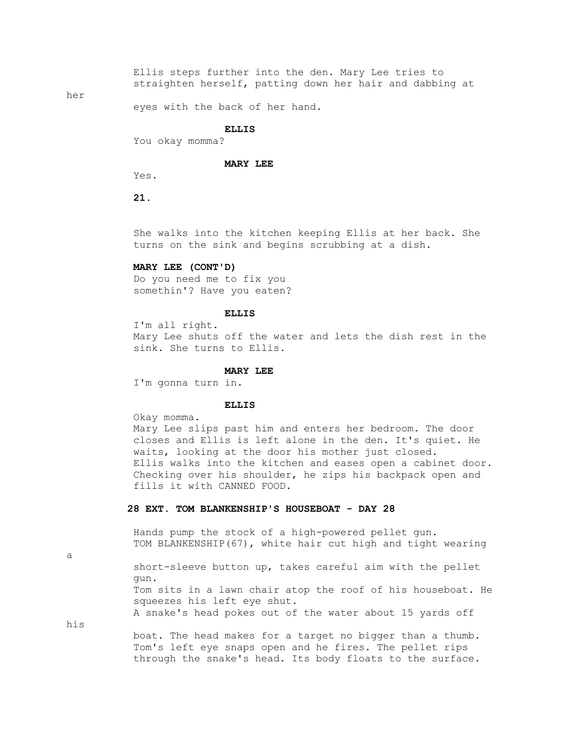Ellis steps further into the den. Mary Lee tries to straighten herself, patting down her hair and dabbing at

her

eyes with the back of her hand.

### **ELLIS**

You okay momma?

## **MARY LEE**

Yes.

 **21.**

 She walks into the kitchen keeping Ellis at her back. She turns on the sink and begins scrubbing at a dish.

# **MARY LEE (CONT'D)**

 Do you need me to fix you somethin'? Have you eaten?

## **ELLIS**

 I'm all right. Mary Lee shuts off the water and lets the dish rest in the sink. She turns to Ellis.

#### **MARY LEE**

I'm gonna turn in.

### **ELLIS**

Okay momma.

 Mary Lee slips past him and enters her bedroom. The door closes and Ellis is left alone in the den. It's quiet. He waits, looking at the door his mother just closed. Ellis walks into the kitchen and eases open a cabinet door. Checking over his shoulder, he zips his backpack open and fills it with CANNED FOOD.

# **28 EXT. TOM BLANKENSHIP'S HOUSEBOAT - DAY 28**

 Hands pump the stock of a high-powered pellet gun. TOM BLANKENSHIP(67), white hair cut high and tight wearing

a

 short-sleeve button up, takes careful aim with the pellet gun. Tom sits in a lawn chair atop the roof of his houseboat. He squeezes his left eye shut. A snake's head pokes out of the water about 15 yards off

his

 boat. The head makes for a target no bigger than a thumb. Tom's left eye snaps open and he fires. The pellet rips through the snake's head. Its body floats to the surface.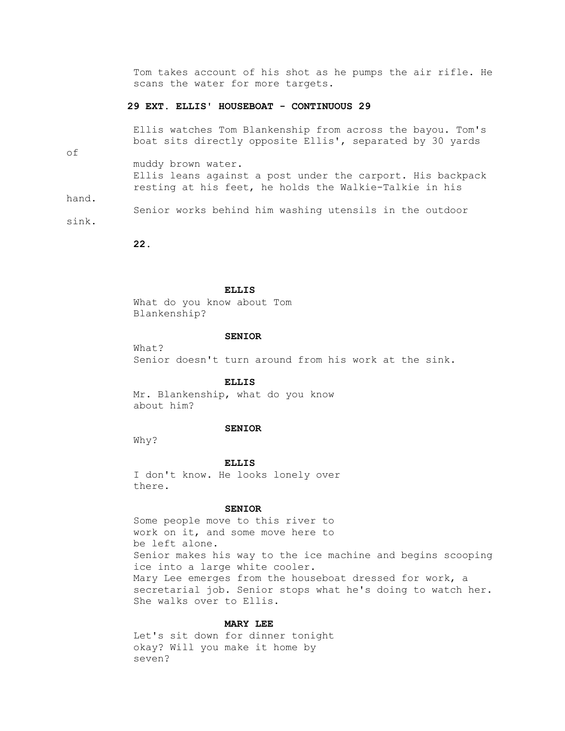Tom takes account of his shot as he pumps the air rifle. He scans the water for more targets.

# **29 EXT. ELLIS' HOUSEBOAT - CONTINUOUS 29**

 Ellis watches Tom Blankenship from across the bayou. Tom's boat sits directly opposite Ellis', separated by 30 yards

of

 muddy brown water. Ellis leans against a post under the carport. His backpack resting at his feet, he holds the Walkie-Talkie in his

hand.

 Senior works behind him washing utensils in the outdoor sink.

 **22.**

## **ELLIS**

 What do you know about Tom Blankenship?

### **SENIOR**

 $W$ hat? Senior doesn't turn around from his work at the sink.

 **ELLIS**

 Mr. Blankenship, what do you know about him?

### **SENIOR**

Why?

 **ELLIS**

 I don't know. He looks lonely over there.

## **SENIOR**

 Some people move to this river to work on it, and some move here to be left alone. Senior makes his way to the ice machine and begins scooping ice into a large white cooler. Mary Lee emerges from the houseboat dressed for work, a secretarial job. Senior stops what he's doing to watch her. She walks over to Ellis.

## **MARY LEE**

 Let's sit down for dinner tonight okay? Will you make it home by seven?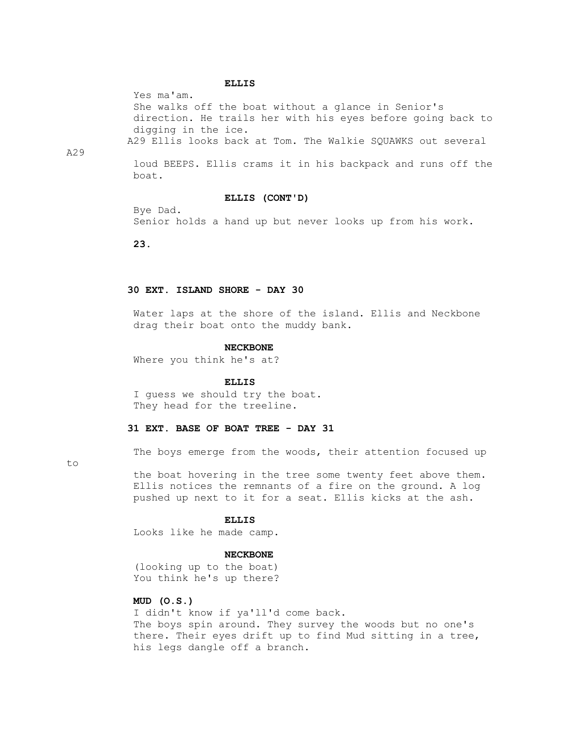### **ELLIS**

Yes ma'am.

 She walks off the boat without a glance in Senior's direction. He trails her with his eyes before going back to digging in the ice. A29 Ellis looks back at Tom. The Walkie SQUAWKS out several

A29

 loud BEEPS. Ellis crams it in his backpack and runs off the boat.

# **ELLIS (CONT'D)**

 Bye Dad. Senior holds a hand up but never looks up from his work.

 **23.**

# **30 EXT. ISLAND SHORE - DAY 30**

 Water laps at the shore of the island. Ellis and Neckbone drag their boat onto the muddy bank.

### **NECKBONE**

Where you think he's at?

### **ELLIS**

 I guess we should try the boat. They head for the treeline.

# **31 EXT. BASE OF BOAT TREE - DAY 31**

The boys emerge from the woods, their attention focused up

to

 the boat hovering in the tree some twenty feet above them. Ellis notices the remnants of a fire on the ground. A log pushed up next to it for a seat. Ellis kicks at the ash.

### **ELLIS**

Looks like he made camp.

## **NECKBONE**

 (looking up to the boat) You think he's up there?

# **MUD (O.S.)**

 I didn't know if ya'll'd come back. The boys spin around. They survey the woods but no one's there. Their eyes drift up to find Mud sitting in a tree, his legs dangle off a branch.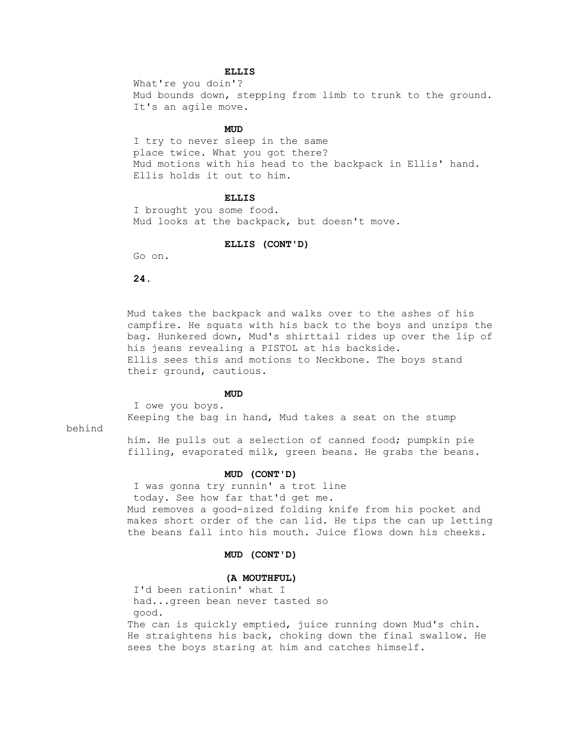# **ELLIS**

 What're you doin'? Mud bounds down, stepping from limb to trunk to the ground. It's an agile move.

# **MUD**

 I try to never sleep in the same place twice. What you got there? Mud motions with his head to the backpack in Ellis' hand. Ellis holds it out to him.

## **ELLIS**

 I brought you some food. Mud looks at the backpack, but doesn't move.

## **ELLIS (CONT'D)**

Go on.

 **24.**

 Mud takes the backpack and walks over to the ashes of his campfire. He squats with his back to the boys and unzips the bag. Hunkered down, Mud's shirttail rides up over the lip of his jeans revealing a PISTOL at his backside. Ellis sees this and motions to Neckbone. The boys stand their ground, cautious.

# **MUD**

 I owe you boys. Keeping the bag in hand, Mud takes a seat on the stump

behind

 him. He pulls out a selection of canned food; pumpkin pie filling, evaporated milk, green beans. He grabs the beans.

## **MUD (CONT'D)**

 I was gonna try runnin' a trot line today. See how far that'd get me. Mud removes a good-sized folding knife from his pocket and makes short order of the can lid. He tips the can up letting the beans fall into his mouth. Juice flows down his cheeks.

# **MUD (CONT'D)**

## **(A MOUTHFUL)**

 I'd been rationin' what I had...green bean never tasted so good. The can is quickly emptied, juice running down Mud's chin. He straightens his back, choking down the final swallow. He sees the boys staring at him and catches himself.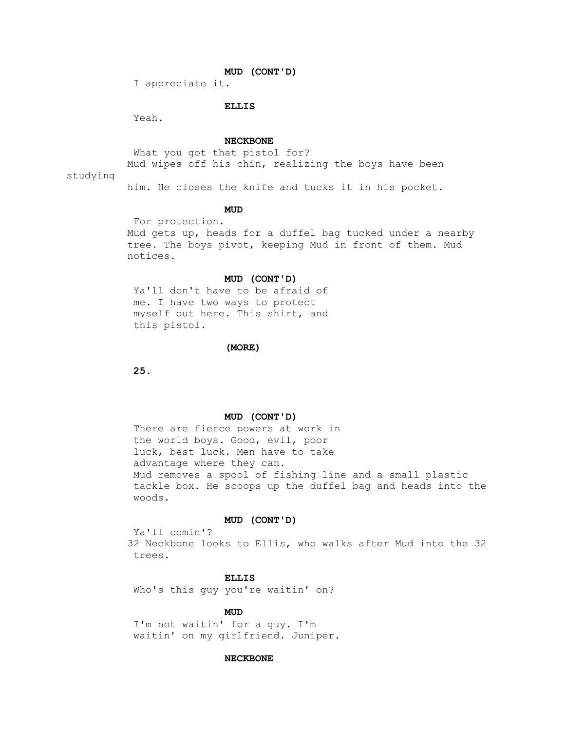# **MUD (CONT'D)**

I appreciate it.

# **ELLIS**

Yeah.

### **NECKBONE**

What you got that pistol for? Mud wipes off his chin, realizing the boys have been

studying

him. He closes the knife and tucks it in his pocket.

# **MUD**

 For protection. Mud gets up, heads for a duffel bag tucked under a nearby tree. The boys pivot, keeping Mud in front of them. Mud notices.

## **MUD (CONT'D)**

 Ya'll don't have to be afraid of me. I have two ways to protect myself out here. This shirt, and this pistol.

### **(MORE)**

 **25.**

# **MUD (CONT'D)**

 There are fierce powers at work in the world boys. Good, evil, poor luck, best luck. Men have to take advantage where they can. Mud removes a spool of fishing line and a small plastic tackle box. He scoops up the duffel bag and heads into the woods.

### **MUD (CONT'D)**

 Ya'll comin'? 32 Neckbone looks to Ellis, who walks after Mud into the 32 trees.

## **ELLIS**

Who's this guy you're waitin' on?

# **MUD**

 I'm not waitin' for a guy. I'm waitin' on my girlfriend. Juniper.

### **NECKBONE**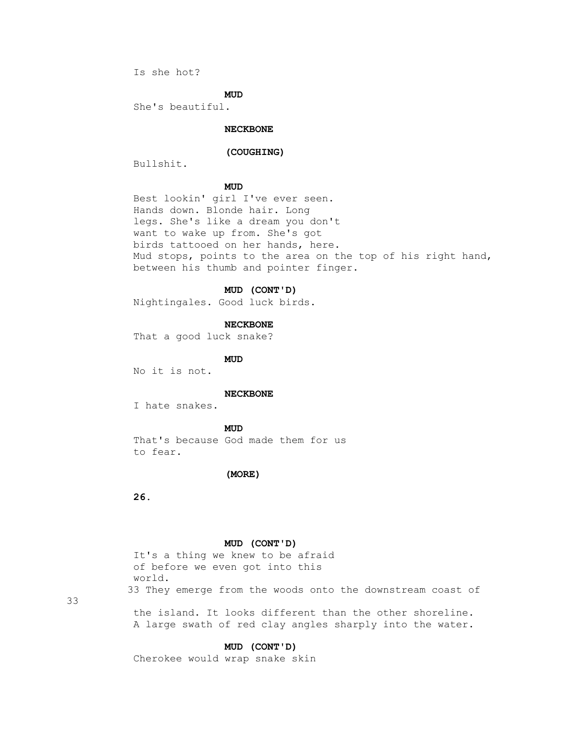Is she hot?

# **MUD**

She's beautiful.

# **NECKBONE**

# **(COUGHING)**

Bullshit.

# **MUD**

 Best lookin' girl I've ever seen. Hands down. Blonde hair. Long legs. She's like a dream you don't want to wake up from. She's got birds tattooed on her hands, here. Mud stops, points to the area on the top of his right hand, between his thumb and pointer finger.

# **MUD (CONT'D)**

Nightingales. Good luck birds.

### **NECKBONE**

That a good luck snake?

**MUD** 

No it is not.

### **NECKBONE**

I hate snakes.

# **MUD**

 That's because God made them for us to fear.

### **(MORE)**

 **26.**

## **MUD (CONT'D)**

 It's a thing we knew to be afraid of before we even got into this world. 33 They emerge from the woods onto the downstream coast of

33

 the island. It looks different than the other shoreline. A large swath of red clay angles sharply into the water.

## **MUD (CONT'D)**

Cherokee would wrap snake skin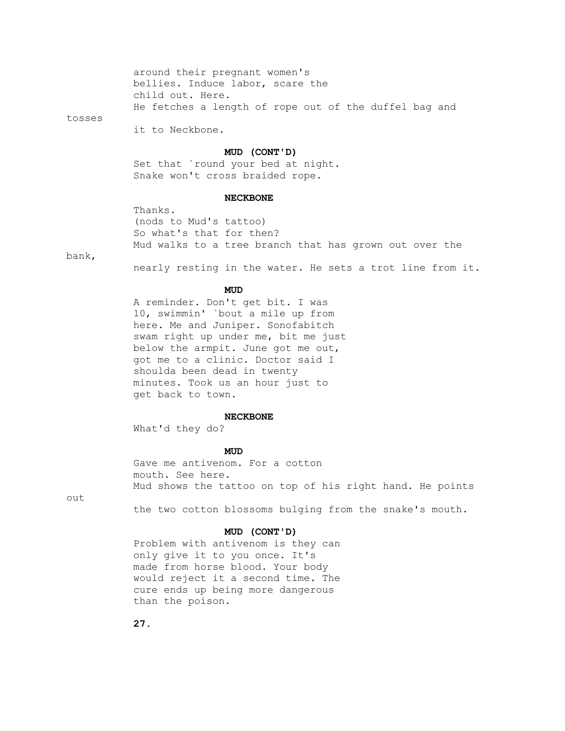around their pregnant women's bellies. Induce labor, scare the child out. Here. He fetches a length of rope out of the duffel bag and

tosses

it to Neckbone.

# **MUD (CONT'D)**

 Set that `round your bed at night. Snake won't cross braided rope.

## **NECKBONE**

```
 Thanks.
(nods to Mud's tattoo)
So what's that for then?
Mud walks to a tree branch that has grown out over the
```
bank,

nearly resting in the water. He sets a trot line from it.

# **MUD**

 A reminder. Don't get bit. I was 10, swimmin' `bout a mile up from here. Me and Juniper. Sonofabitch swam right up under me, bit me just below the armpit. June got me out, got me to a clinic. Doctor said I shoulda been dead in twenty minutes. Took us an hour just to get back to town.

#### **NECKBONE**

What'd they do?

# **MUD**

 Gave me antivenom. For a cotton mouth. See here. Mud shows the tattoo on top of his right hand. He points

out

the two cotton blossoms bulging from the snake's mouth.

## **MUD (CONT'D)**

 Problem with antivenom is they can only give it to you once. It's made from horse blood. Your body would reject it a second time. The cure ends up being more dangerous than the poison.

 **27.**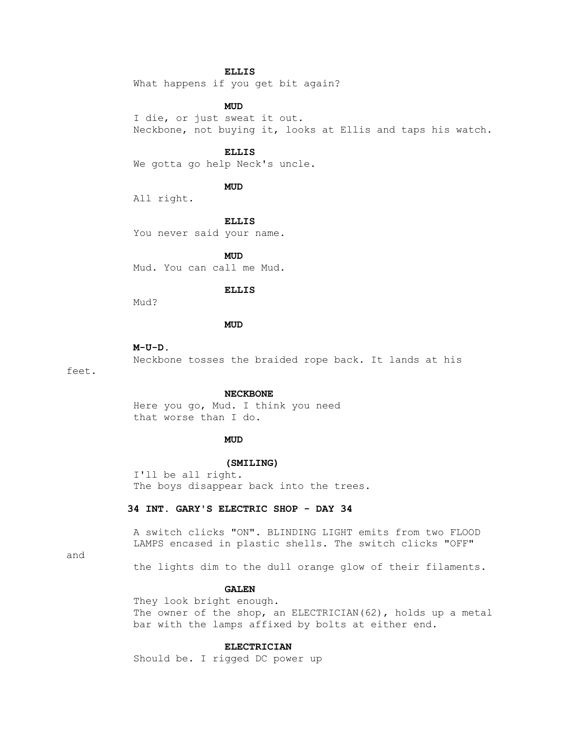## **ELLIS**

What happens if you get bit again?

## **MUD**

 I die, or just sweat it out. Neckbone, not buying it, looks at Ellis and taps his watch.

# **ELLIS**

We gotta go help Neck's uncle.

# **MUD**

All right.

 **ELLIS**

You never said your name.

**MUD** Mud. You can call me Mud.

# **ELLIS**

Mud?

# **MUD**

#### **M-U-D.**

Neckbone tosses the braided rope back. It lands at his

feet.

#### **NECKBONE**

 Here you go, Mud. I think you need that worse than I do.

# **MUD**

# **(SMILING)**

 I'll be all right. The boys disappear back into the trees.

# **34 INT. GARY'S ELECTRIC SHOP - DAY 34**

 A switch clicks "ON". BLINDING LIGHT emits from two FLOOD LAMPS encased in plastic shells. The switch clicks "OFF"

### and

the lights dim to the dull orange glow of their filaments.

# **GALEN**

 They look bright enough. The owner of the shop, an ELECTRICIAN(62), holds up a metal bar with the lamps affixed by bolts at either end.

# **ELECTRICIAN**

Should be. I rigged DC power up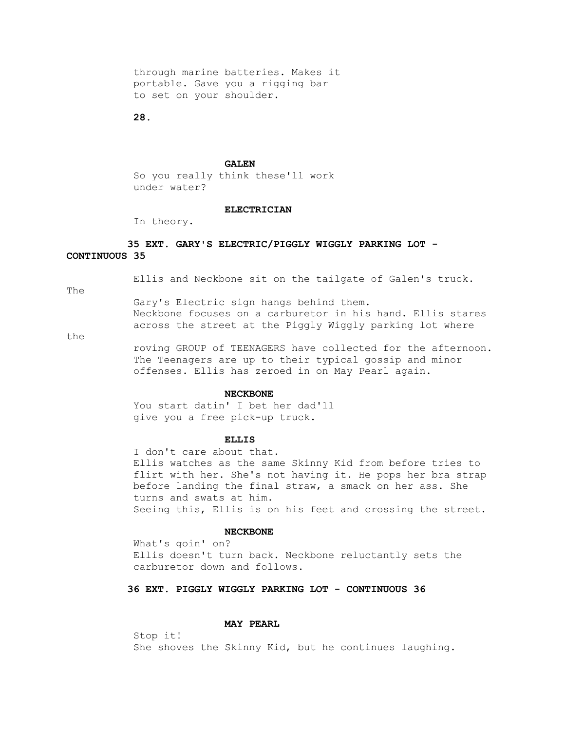through marine batteries. Makes it portable. Gave you a rigging bar to set on your shoulder.

 **28.**

### **GALEN**

 So you really think these'll work under water?

## **ELECTRICIAN**

In theory.

# **35 EXT. GARY'S ELECTRIC/PIGGLY WIGGLY PARKING LOT - CONTINUOUS 35**

Ellis and Neckbone sit on the tailgate of Galen's truck.

The

 Gary's Electric sign hangs behind them. Neckbone focuses on a carburetor in his hand. Ellis stares across the street at the Piggly Wiggly parking lot where

the

 roving GROUP of TEENAGERS have collected for the afternoon. The Teenagers are up to their typical gossip and minor offenses. Ellis has zeroed in on May Pearl again.

## **NECKBONE**

 You start datin' I bet her dad'll give you a free pick-up truck.

### **ELLIS**

 I don't care about that. Ellis watches as the same Skinny Kid from before tries to flirt with her. She's not having it. He pops her bra strap before landing the final straw, a smack on her ass. She turns and swats at him. Seeing this, Ellis is on his feet and crossing the street.

# **NECKBONE**

 What's goin' on? Ellis doesn't turn back. Neckbone reluctantly sets the carburetor down and follows.

# **36 EXT. PIGGLY WIGGLY PARKING LOT - CONTINUOUS 36**

# **MAY PEARL**

 Stop it! She shoves the Skinny Kid, but he continues laughing.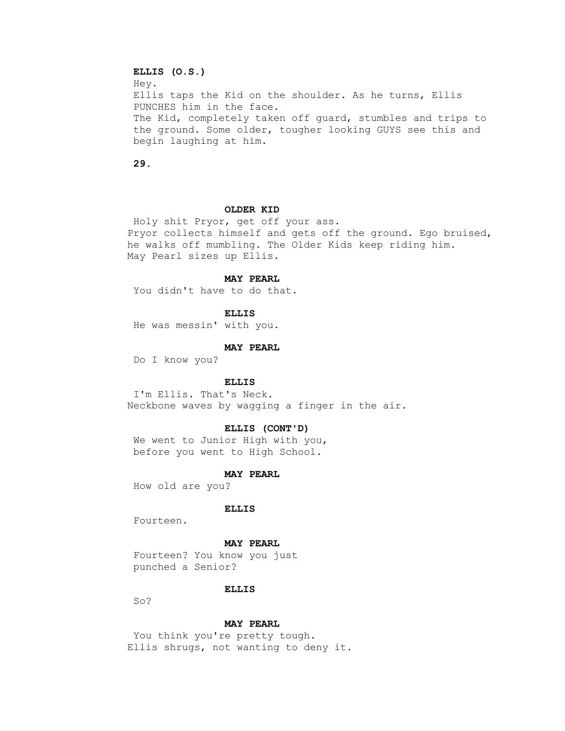# **ELLIS (O.S.)** Hey. Ellis taps the Kid on the shoulder. As he turns, Ellis PUNCHES him in the face. The Kid, completely taken off guard, stumbles and trips to the ground. Some older, tougher looking GUYS see this and begin laughing at him.

 **29.**

## **OLDER KID**

 Holy shit Pryor, get off your ass. Pryor collects himself and gets off the ground. Ego bruised, he walks off mumbling. The Older Kids keep riding him. May Pearl sizes up Ellis.

### **MAY PEARL**

You didn't have to do that.

 **ELLIS**

He was messin' with you.

### **MAY PEARL**

Do I know you?

### **ELLIS**

 I'm Ellis. That's Neck. Neckbone waves by wagging a finger in the air.

## **ELLIS (CONT'D)**

 We went to Junior High with you, before you went to High School.

### **MAY PEARL**

How old are you?

### **ELLIS**

Fourteen.

### **MAY PEARL**

 Fourteen? You know you just punched a Senior?

### **ELLIS**

So?

### **MAY PEARL**

You think you're pretty tough. Ellis shrugs, not wanting to deny it.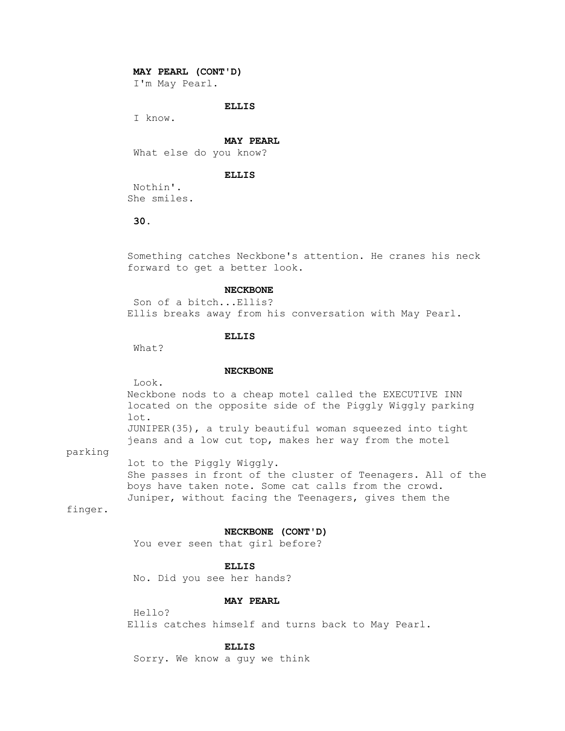## **MAY PEARL (CONT'D)**

I'm May Pearl.

# **ELLIS**

I know.

#### **MAY PEARL**

What else do you know?

## **ELLIS**

 Nothin'. She smiles.

## **30.**

 Something catches Neckbone's attention. He cranes his neck forward to get a better look.

## **NECKBONE**

 Son of a bitch...Ellis? Ellis breaks away from his conversation with May Pearl.

# **ELLIS**

What?

## **NECKBONE**

Look.

 Neckbone nods to a cheap motel called the EXECUTIVE INN located on the opposite side of the Piggly Wiggly parking lot. JUNIPER(35), a truly beautiful woman squeezed into tight

jeans and a low cut top, makes her way from the motel

# parking

 lot to the Piggly Wiggly. She passes in front of the cluster of Teenagers. All of the boys have taken note. Some cat calls from the crowd. Juniper, without facing the Teenagers, gives them the

# finger.

## **NECKBONE (CONT'D)**

You ever seen that girl before?

### **ELLIS**

No. Did you see her hands?

# **MAY PEARL**

 Hello? Ellis catches himself and turns back to May Pearl.

# **ELLIS**

Sorry. We know a guy we think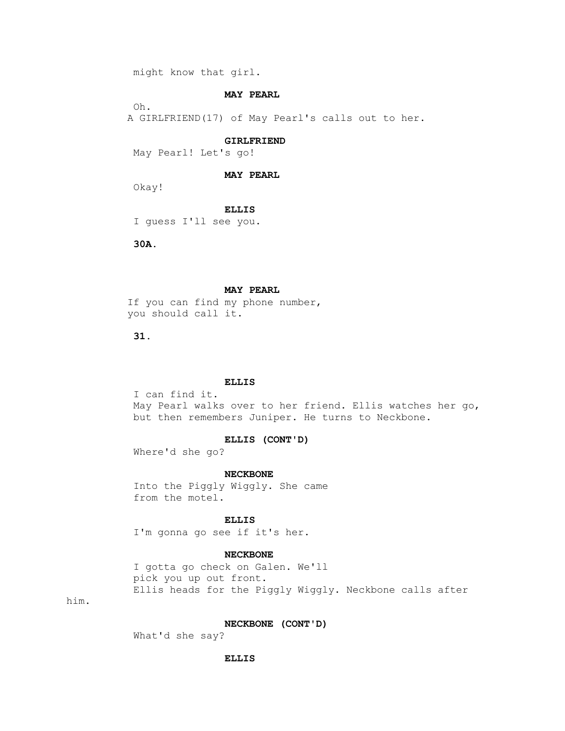might know that girl.

# **MAY PEARL**

Oh.

A GIRLFRIEND(17) of May Pearl's calls out to her.

#### **GIRLFRIEND**

May Pearl! Let's go!

### **MAY PEARL**

Okay!

## **ELLIS**

I guess I'll see you.

 **30A.**

## **MAY PEARL**

 If you can find my phone number, you should call it.

 **31.**

## **ELLIS**

 I can find it. May Pearl walks over to her friend. Ellis watches her go, but then remembers Juniper. He turns to Neckbone.

## **ELLIS (CONT'D)**

Where'd she go?

### **NECKBONE**

 Into the Piggly Wiggly. She came from the motel.

 **ELLIS**

I'm gonna go see if it's her.

# **NECKBONE**

 I gotta go check on Galen. We'll pick you up out front. Ellis heads for the Piggly Wiggly. Neckbone calls after

him.

# **NECKBONE (CONT'D)**

What'd she say?

### **ELLIS**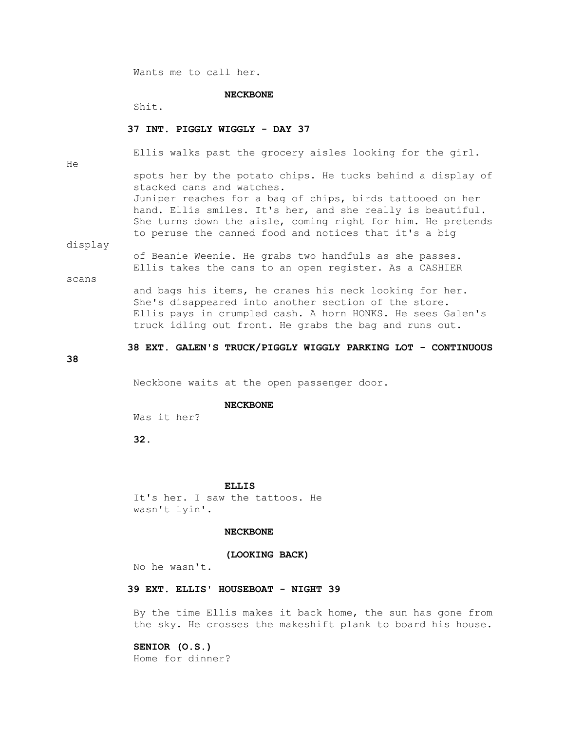Wants me to call her.

### **NECKBONE**

Shit.

# **37 INT. PIGGLY WIGGLY - DAY 37**

He

Ellis walks past the grocery aisles looking for the girl.

 spots her by the potato chips. He tucks behind a display of stacked cans and watches. Juniper reaches for a bag of chips, birds tattooed on her hand. Ellis smiles. It's her, and she really is beautiful. She turns down the aisle, coming right for him. He pretends to peruse the canned food and notices that it's a big

display

 of Beanie Weenie. He grabs two handfuls as she passes. Ellis takes the cans to an open register. As a CASHIER

scans

 and bags his items, he cranes his neck looking for her. She's disappeared into another section of the store. Ellis pays in crumpled cash. A horn HONKS. He sees Galen's truck idling out front. He grabs the bag and runs out.

# **38 EXT. GALEN'S TRUCK/PIGGLY WIGGLY PARKING LOT - CONTINUOUS**

**38**

Neckbone waits at the open passenger door.

### **NECKBONE**

Was it her?

 **32.**

#### **ELLIS**

 It's her. I saw the tattoos. He wasn't lyin'.

### **NECKBONE**

## **(LOOKING BACK)**

No he wasn't.

# **39 EXT. ELLIS' HOUSEBOAT - NIGHT 39**

 By the time Ellis makes it back home, the sun has gone from the sky. He crosses the makeshift plank to board his house.

# **SENIOR (O.S.)**

Home for dinner?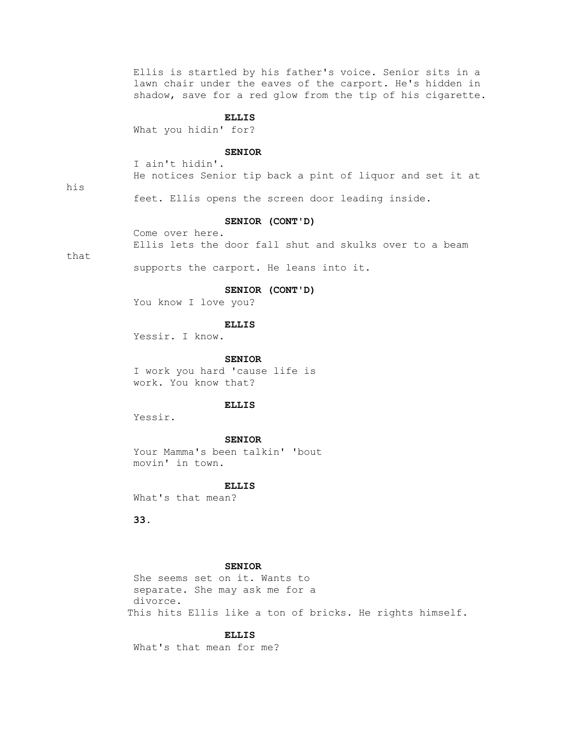Ellis is startled by his father's voice. Senior sits in a lawn chair under the eaves of the carport. He's hidden in shadow, save for a red glow from the tip of his cigarette.

## **ELLIS**

What you hidin' for?

# **SENIOR**

 I ain't hidin'. He notices Senior tip back a pint of liquor and set it at

his

feet. Ellis opens the screen door leading inside.

### **SENIOR (CONT'D)**

 Come over here. Ellis lets the door fall shut and skulks over to a beam

that

supports the carport. He leans into it.

# **SENIOR (CONT'D)**

You know I love you?

### **ELLIS**

Yessir. I know.

 **SENIOR**

 I work you hard 'cause life is work. You know that?

# **ELLIS**

Yessir.

### **SENIOR**

 Your Mamma's been talkin' 'bout movin' in town.

#### **ELLIS**

What's that mean?

 **33.**

# **SENIOR**

 She seems set on it. Wants to separate. She may ask me for a divorce. This hits Ellis like a ton of bricks. He rights himself.

 **ELLIS**

What's that mean for me?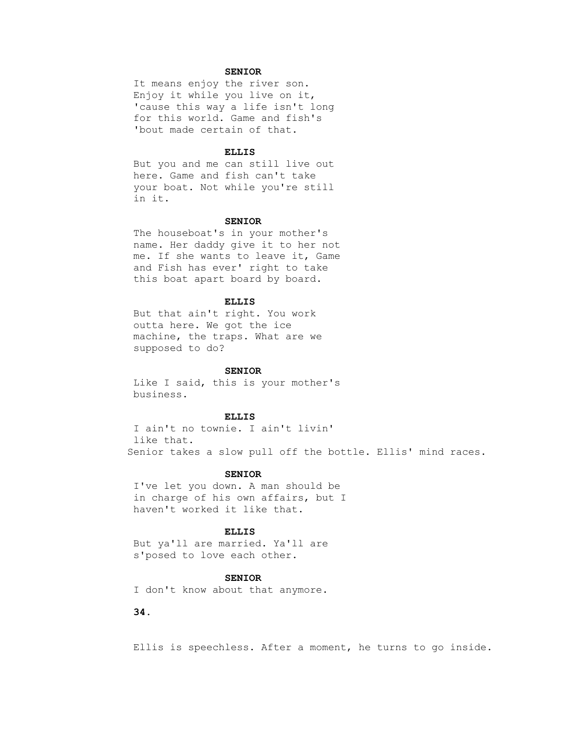### **SENIOR**

 It means enjoy the river son. Enjoy it while you live on it, 'cause this way a life isn't long for this world. Game and fish's 'bout made certain of that.

### **ELLIS**

 But you and me can still live out here. Game and fish can't take your boat. Not while you're still in it.

#### **SENIOR**

 The houseboat's in your mother's name. Her daddy give it to her not me. If she wants to leave it, Game and Fish has ever' right to take this boat apart board by board.

#### **ELLIS**

 But that ain't right. You work outta here. We got the ice machine, the traps. What are we supposed to do?

#### **SENIOR**

 Like I said, this is your mother's business.

### **ELLIS**

 I ain't no townie. I ain't livin' like that. Senior takes a slow pull off the bottle. Ellis' mind races.

#### **SENIOR**

 I've let you down. A man should be in charge of his own affairs, but I haven't worked it like that.

## **ELLIS**

 But ya'll are married. Ya'll are s'posed to love each other.

#### **SENIOR**

I don't know about that anymore.

# **34.**

Ellis is speechless. After a moment, he turns to go inside.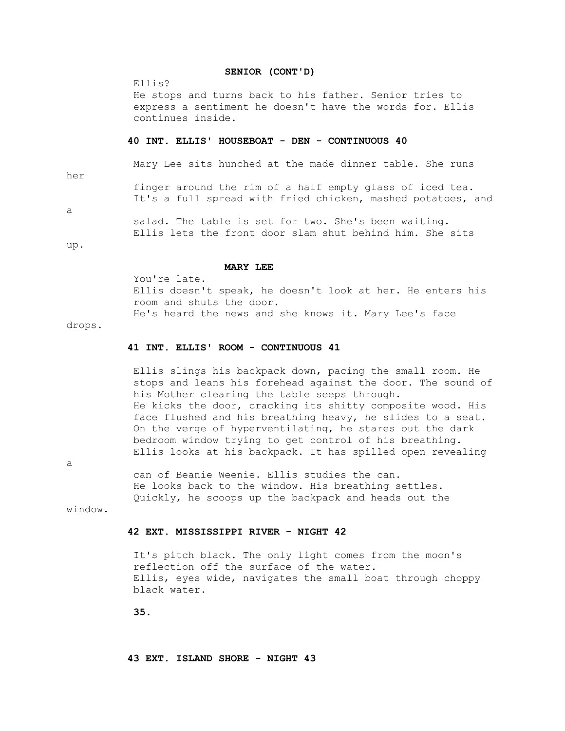### **SENIOR (CONT'D)**

Ellis?

 He stops and turns back to his father. Senior tries to express a sentiment he doesn't have the words for. Ellis continues inside.

#### **40 INT. ELLIS' HOUSEBOAT - DEN - CONTINUOUS 40**

 Mary Lee sits hunched at the made dinner table. She runs her finger around the rim of a half empty glass of iced tea. It's a full spread with fried chicken, mashed potatoes, and

a

 salad. The table is set for two. She's been waiting. Ellis lets the front door slam shut behind him. She sits

up.

#### **MARY LEE**

 You're late. Ellis doesn't speak, he doesn't look at her. He enters his room and shuts the door. He's heard the news and she knows it. Mary Lee's face

#### drops.

#### **41 INT. ELLIS' ROOM - CONTINUOUS 41**

 Ellis slings his backpack down, pacing the small room. He stops and leans his forehead against the door. The sound of his Mother clearing the table seeps through. He kicks the door, cracking its shitty composite wood. His face flushed and his breathing heavy, he slides to a seat. On the verge of hyperventilating, he stares out the dark bedroom window trying to get control of his breathing. Ellis looks at his backpack. It has spilled open revealing

a

 can of Beanie Weenie. Ellis studies the can. He looks back to the window. His breathing settles. Quickly, he scoops up the backpack and heads out the

window.

#### **42 EXT. MISSISSIPPI RIVER - NIGHT 42**

 It's pitch black. The only light comes from the moon's reflection off the surface of the water. Ellis, eyes wide, navigates the small boat through choppy black water.

 **35.**

 **43 EXT. ISLAND SHORE - NIGHT 43**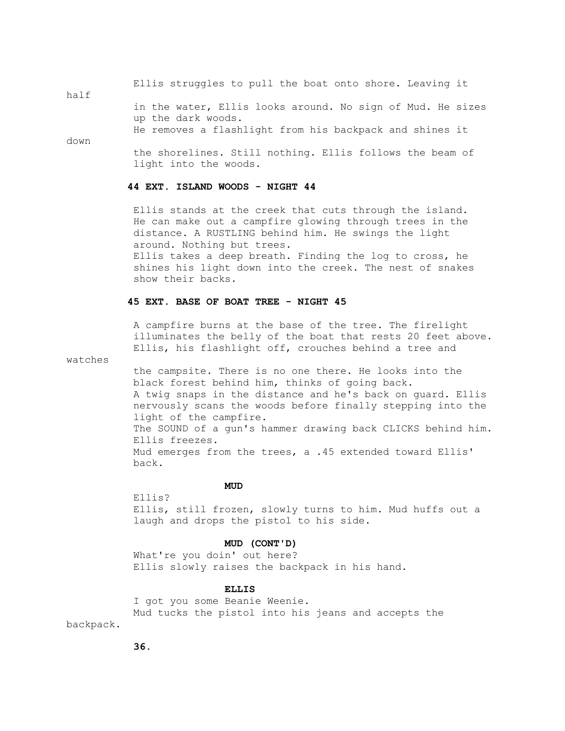Ellis struggles to pull the boat onto shore. Leaving it

half

 in the water, Ellis looks around. No sign of Mud. He sizes up the dark woods.

He removes a flashlight from his backpack and shines it

down

 the shorelines. Still nothing. Ellis follows the beam of light into the woods.

## **44 EXT. ISLAND WOODS - NIGHT 44**

 Ellis stands at the creek that cuts through the island. He can make out a campfire glowing through trees in the distance. A RUSTLING behind him. He swings the light around. Nothing but trees. Ellis takes a deep breath. Finding the log to cross, he

 shines his light down into the creek. The nest of snakes show their backs.

### **45 EXT. BASE OF BOAT TREE - NIGHT 45**

 A campfire burns at the base of the tree. The firelight illuminates the belly of the boat that rests 20 feet above. Ellis, his flashlight off, crouches behind a tree and

watches

 the campsite. There is no one there. He looks into the black forest behind him, thinks of going back. A twig snaps in the distance and he's back on guard. Ellis nervously scans the woods before finally stepping into the light of the campfire. The SOUND of a gun's hammer drawing back CLICKS behind him. Ellis freezes. Mud emerges from the trees, a .45 extended toward Ellis' back.

## **MUD**

 Ellis? Ellis, still frozen, slowly turns to him. Mud huffs out a laugh and drops the pistol to his side.

### **MUD (CONT'D)**

 What're you doin' out here? Ellis slowly raises the backpack in his hand.

### **ELLIS**

 I got you some Beanie Weenie. Mud tucks the pistol into his jeans and accepts the backpack.

 **36.**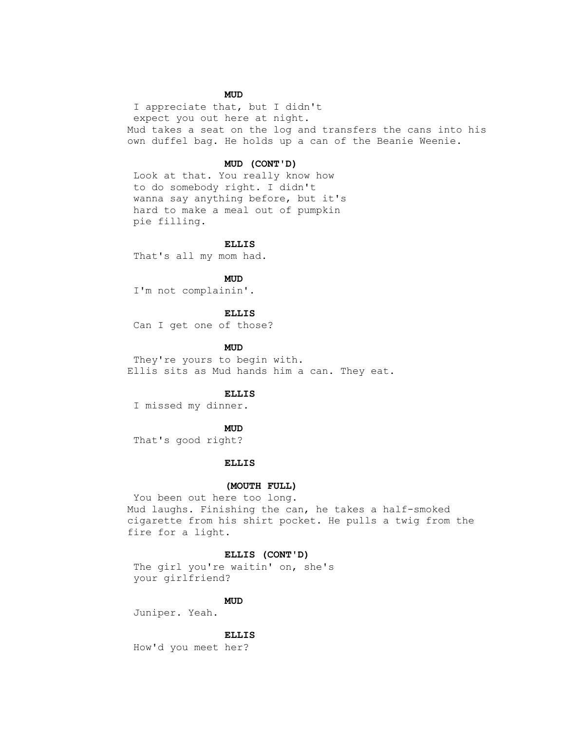## **MUD**

 I appreciate that, but I didn't expect you out here at night. Mud takes a seat on the log and transfers the cans into his own duffel bag. He holds up a can of the Beanie Weenie.

### **MUD (CONT'D)**

 Look at that. You really know how to do somebody right. I didn't wanna say anything before, but it's hard to make a meal out of pumpkin pie filling.

 **ELLIS**

That's all my mom had.

**MUD** 

I'm not complainin'.

 **ELLIS**

Can I get one of those?

**MUD** 

 They're yours to begin with. Ellis sits as Mud hands him a can. They eat.

### **ELLIS**

I missed my dinner.

## **MUD**

That's good right?

### **ELLIS**

### **(MOUTH FULL)**

 You been out here too long. Mud laughs. Finishing the can, he takes a half-smoked cigarette from his shirt pocket. He pulls a twig from the fire for a light.

### **ELLIS (CONT'D)**

 The girl you're waitin' on, she's your girlfriend?

## **MUD**

Juniper. Yeah.

 **ELLIS**

How'd you meet her?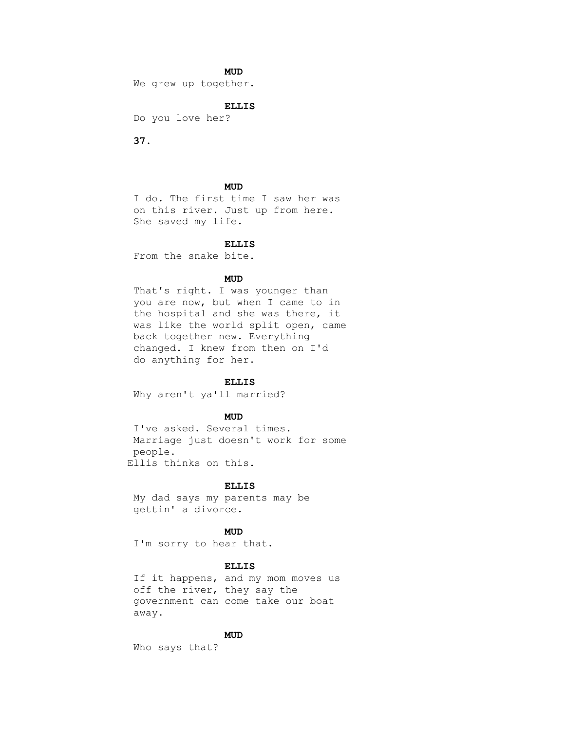## **MUD**

We grew up together.

## **ELLIS**

Do you love her?

 **37.**

## **MUD**

 I do. The first time I saw her was on this river. Just up from here. She saved my life.

## **ELLIS**

From the snake bite.

## **MUD**

 That's right. I was younger than you are now, but when I came to in the hospital and she was there, it was like the world split open, came back together new. Everything changed. I knew from then on I'd do anything for her.

#### **ELLIS**

Why aren't ya'll married?

## **MUD**

 I've asked. Several times. Marriage just doesn't work for some people. Ellis thinks on this.

#### **ELLIS**

 My dad says my parents may be gettin' a divorce.

## **MUD**

I'm sorry to hear that.

# **ELLIS**

 If it happens, and my mom moves us off the river, they say the government can come take our boat away.

### **MUD**

Who says that?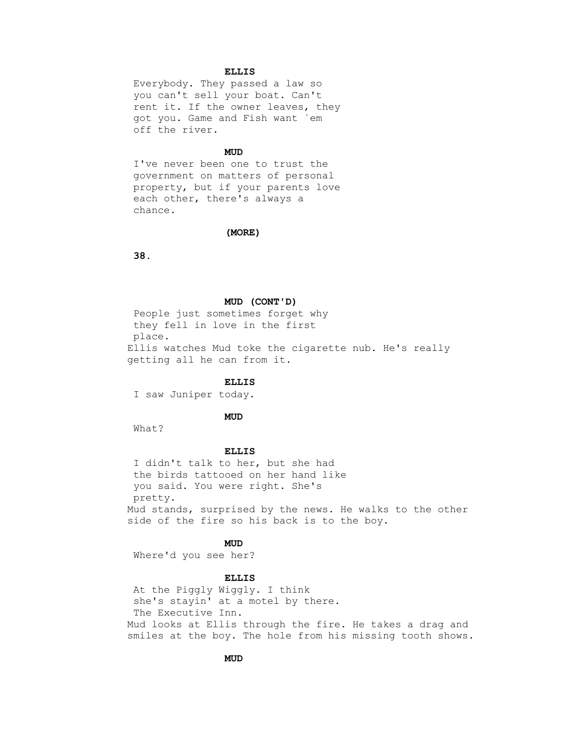### **ELLIS**

 Everybody. They passed a law so you can't sell your boat. Can't rent it. If the owner leaves, they got you. Game and Fish want `em off the river.

## **MUD**

 I've never been one to trust the government on matters of personal property, but if your parents love each other, there's always a chance.

#### **(MORE)**

 **38.**

#### **MUD (CONT'D)**

 People just sometimes forget why they fell in love in the first place. Ellis watches Mud toke the cigarette nub. He's really getting all he can from it.

### **ELLIS**

I saw Juniper today.

## **MUD**

What?

### **ELLIS**

 I didn't talk to her, but she had the birds tattooed on her hand like you said. You were right. She's pretty. Mud stands, surprised by the news. He walks to the other side of the fire so his back is to the boy.

## **MUD**

Where'd you see her?

# **ELLIS**

 At the Piggly Wiggly. I think she's stayin' at a motel by there. The Executive Inn. Mud looks at Ellis through the fire. He takes a drag and smiles at the boy. The hole from his missing tooth shows.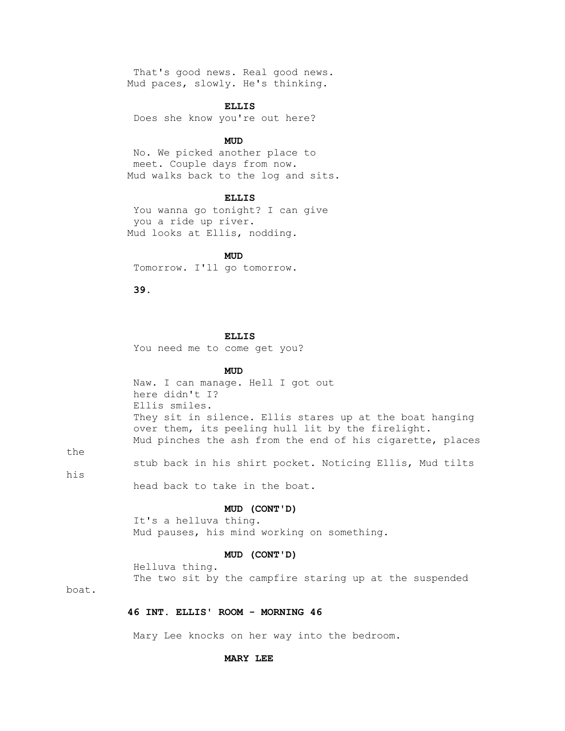That's good news. Real good news. Mud paces, slowly. He's thinking.

#### **ELLIS**

Does she know you're out here?

## **MUD**

 No. We picked another place to meet. Couple days from now. Mud walks back to the log and sits.

### **ELLIS**

 You wanna go tonight? I can give you a ride up river. Mud looks at Ellis, nodding.

**MUD** 

Tomorrow. I'll go tomorrow.

 **39.**

#### **ELLIS**

You need me to come get you?

## **MUD**

 Naw. I can manage. Hell I got out here didn't I? Ellis smiles. They sit in silence. Ellis stares up at the boat hanging over them, its peeling hull lit by the firelight. Mud pinches the ash from the end of his cigarette, places

the

stub back in his shirt pocket. Noticing Ellis, Mud tilts

his

head back to take in the boat.

### **MUD (CONT'D)**

 It's a helluva thing. Mud pauses, his mind working on something.

#### **MUD (CONT'D)**

Helluva thing.

The two sit by the campfire staring up at the suspended

boat.

### **46 INT. ELLIS' ROOM - MORNING 46**

Mary Lee knocks on her way into the bedroom.

#### **MARY LEE**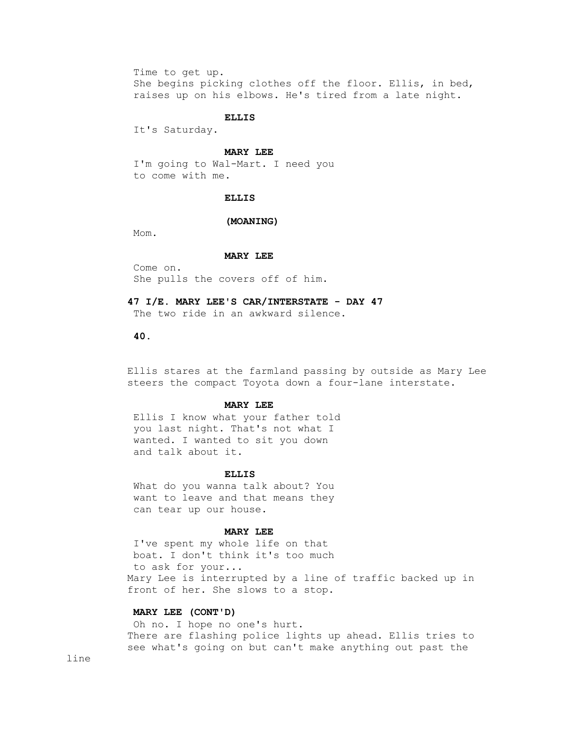Time to get up. She begins picking clothes off the floor. Ellis, in bed, raises up on his elbows. He's tired from a late night.

#### **ELLIS**

It's Saturday.

## **MARY LEE**

 I'm going to Wal-Mart. I need you to come with me.

## **ELLIS**

#### **(MOANING)**

Mom.

#### **MARY LEE**

 Come on. She pulls the covers off of him.

### **47 I/E. MARY LEE'S CAR/INTERSTATE - DAY 47**

The two ride in an awkward silence.

### **40.**

 Ellis stares at the farmland passing by outside as Mary Lee steers the compact Toyota down a four-lane interstate.

### **MARY LEE**

 Ellis I know what your father told you last night. That's not what I wanted. I wanted to sit you down and talk about it.

#### **ELLIS**

 What do you wanna talk about? You want to leave and that means they can tear up our house.

## **MARY LEE**

 I've spent my whole life on that boat. I don't think it's too much to ask for your... Mary Lee is interrupted by a line of traffic backed up in front of her. She slows to a stop.

### **MARY LEE (CONT'D)**

 Oh no. I hope no one's hurt. There are flashing police lights up ahead. Ellis tries to see what's going on but can't make anything out past the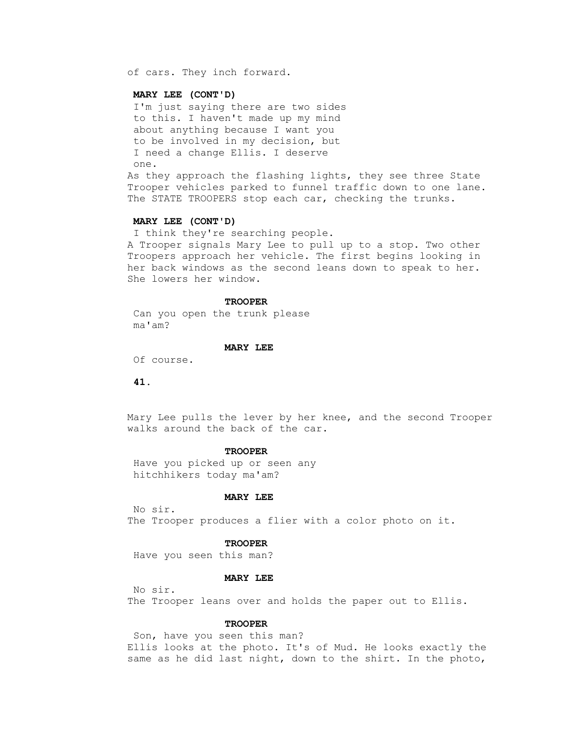of cars. They inch forward.

### **MARY LEE (CONT'D)**

 I'm just saying there are two sides to this. I haven't made up my mind about anything because I want you to be involved in my decision, but I need a change Ellis. I deserve one.

 As they approach the flashing lights, they see three State Trooper vehicles parked to funnel traffic down to one lane. The STATE TROOPERS stop each car, checking the trunks.

### **MARY LEE (CONT'D)**

 I think they're searching people. A Trooper signals Mary Lee to pull up to a stop. Two other Troopers approach her vehicle. The first begins looking in her back windows as the second leans down to speak to her. She lowers her window.

### **TROOPER**

 Can you open the trunk please ma'am?

#### **MARY LEE**

Of course.

#### **41.**

 Mary Lee pulls the lever by her knee, and the second Trooper walks around the back of the car.

#### **TROOPER**

 Have you picked up or seen any hitchhikers today ma'am?

#### **MARY LEE**

 No sir. The Trooper produces a flier with a color photo on it.

#### **TROOPER**

Have you seen this man?

## **MARY LEE**

No sir.

The Trooper leans over and holds the paper out to Ellis.

#### **TROOPER**

 Son, have you seen this man? Ellis looks at the photo. It's of Mud. He looks exactly the same as he did last night, down to the shirt. In the photo,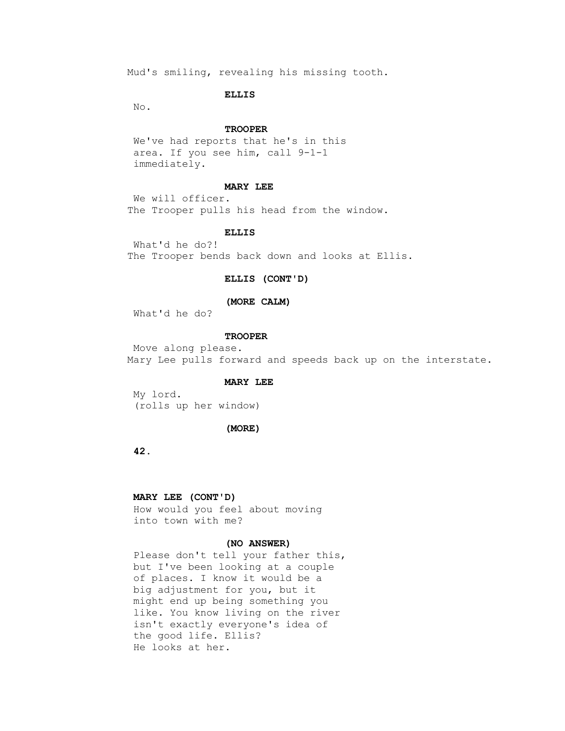Mud's smiling, revealing his missing tooth.

### **ELLIS**

No.

## **TROOPER**

 We've had reports that he's in this area. If you see him, call 9-1-1 immediately.

#### **MARY LEE**

 We will officer. The Trooper pulls his head from the window.

## **ELLIS**

 What'd he do?! The Trooper bends back down and looks at Ellis.

### **ELLIS (CONT'D)**

### **(MORE CALM)**

What'd he do?

## **TROOPER**

 Move along please. Mary Lee pulls forward and speeds back up on the interstate.

#### **MARY LEE**

 My lord. (rolls up her window)

#### **(MORE)**

 **42.**

### **MARY LEE (CONT'D)**

 How would you feel about moving into town with me?

### **(NO ANSWER)**

 Please don't tell your father this, but I've been looking at a couple of places. I know it would be a big adjustment for you, but it might end up being something you like. You know living on the river isn't exactly everyone's idea of the good life. Ellis? He looks at her.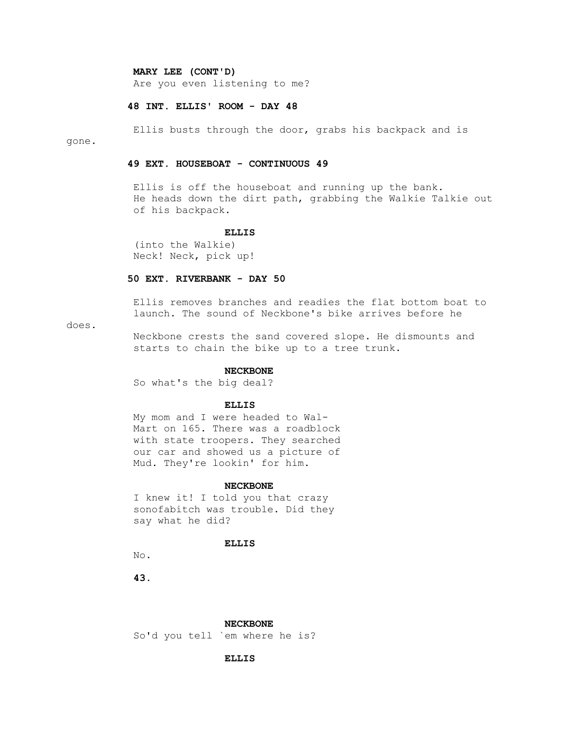**MARY LEE (CONT'D)**

Are you even listening to me?

# **48 INT. ELLIS' ROOM - DAY 48**

 Ellis busts through the door, grabs his backpack and is gone.

### **49 EXT. HOUSEBOAT - CONTINUOUS 49**

 Ellis is off the houseboat and running up the bank. He heads down the dirt path, grabbing the Walkie Talkie out of his backpack.

#### **ELLIS**

 (into the Walkie) Neck! Neck, pick up!

# **50 EXT. RIVERBANK - DAY 50**

 Ellis removes branches and readies the flat bottom boat to launch. The sound of Neckbone's bike arrives before he

## does.

 Neckbone crests the sand covered slope. He dismounts and starts to chain the bike up to a tree trunk.

### **NECKBONE**

So what's the big deal?

### **ELLIS**

 My mom and I were headed to Wal- Mart on 165. There was a roadblock with state troopers. They searched our car and showed us a picture of Mud. They're lookin' for him.

#### **NECKBONE**

 I knew it! I told you that crazy sonofabitch was trouble. Did they say what he did?

#### **ELLIS**

No.

 **43.**

#### **NECKBONE**

So'd you tell `em where he is?

### **ELLIS**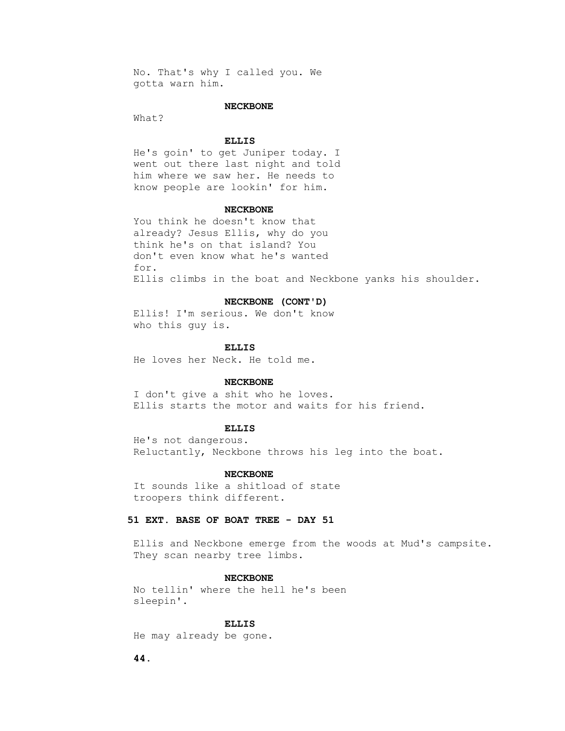No. That's why I called you. We gotta warn him.

### **NECKBONE**

What?

### **ELLIS**

 He's goin' to get Juniper today. I went out there last night and told him where we saw her. He needs to know people are lookin' for him.

#### **NECKBONE**

 You think he doesn't know that already? Jesus Ellis, why do you think he's on that island? You don't even know what he's wanted for. Ellis climbs in the boat and Neckbone yanks his shoulder.

#### **NECKBONE (CONT'D)**

 Ellis! I'm serious. We don't know who this guy is.

#### **ELLIS**

He loves her Neck. He told me.

#### **NECKBONE**

 I don't give a shit who he loves. Ellis starts the motor and waits for his friend.

#### **ELLIS**

 He's not dangerous. Reluctantly, Neckbone throws his leg into the boat.

#### **NECKBONE**

 It sounds like a shitload of state troopers think different.

### **51 EXT. BASE OF BOAT TREE - DAY 51**

 Ellis and Neckbone emerge from the woods at Mud's campsite. They scan nearby tree limbs.

### **NECKBONE**

 No tellin' where the hell he's been sleepin'.

#### **ELLIS**

He may already be gone.

 **44.**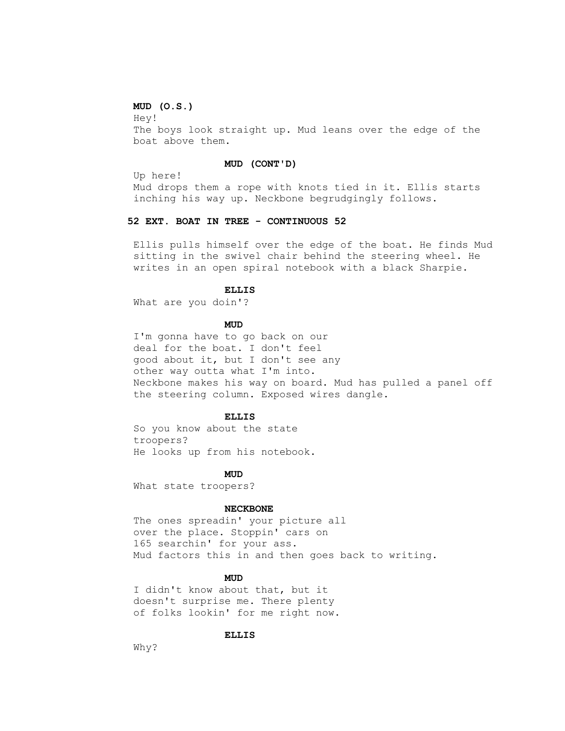# **MUD (O.S.)**

 Hey! The boys look straight up. Mud leans over the edge of the boat above them.

## **MUD (CONT'D)**

Up here!

 Mud drops them a rope with knots tied in it. Ellis starts inching his way up. Neckbone begrudgingly follows.

### **52 EXT. BOAT IN TREE - CONTINUOUS 52**

 Ellis pulls himself over the edge of the boat. He finds Mud sitting in the swivel chair behind the steering wheel. He writes in an open spiral notebook with a black Sharpie.

### **ELLIS**

What are you doin'?

## **MUD**

 I'm gonna have to go back on our deal for the boat. I don't feel good about it, but I don't see any other way outta what I'm into. Neckbone makes his way on board. Mud has pulled a panel off the steering column. Exposed wires dangle.

### **ELLIS**

 So you know about the state troopers? He looks up from his notebook.

# **MUD**

What state troopers?

#### **NECKBONE**

 The ones spreadin' your picture all over the place. Stoppin' cars on 165 searchin' for your ass. Mud factors this in and then goes back to writing.

## **MUD**

 I didn't know about that, but it doesn't surprise me. There plenty of folks lookin' for me right now.

### **ELLIS**

Why?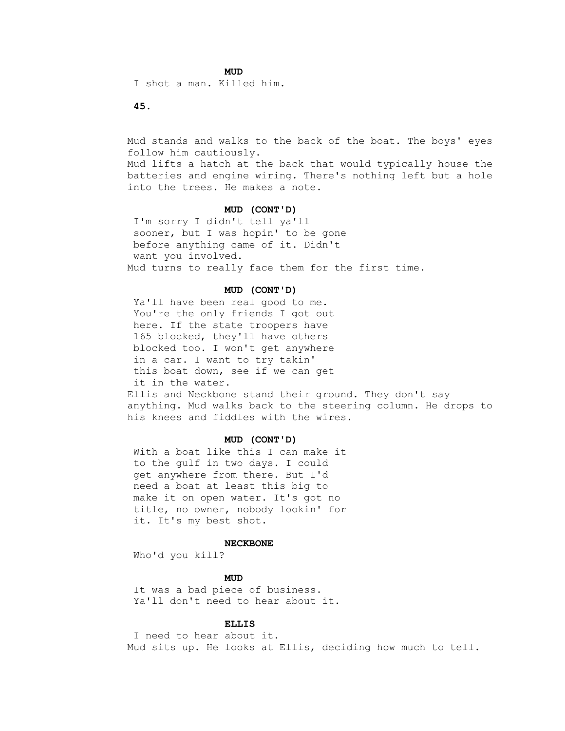**MUD** 

I shot a man. Killed him.

 **45.**

 Mud stands and walks to the back of the boat. The boys' eyes follow him cautiously.

 Mud lifts a hatch at the back that would typically house the batteries and engine wiring. There's nothing left but a hole into the trees. He makes a note.

#### **MUD (CONT'D)**

 I'm sorry I didn't tell ya'll sooner, but I was hopin' to be gone before anything came of it. Didn't want you involved. Mud turns to really face them for the first time.

### **MUD (CONT'D)**

 Ya'll have been real good to me. You're the only friends I got out here. If the state troopers have 165 blocked, they'll have others blocked too. I won't get anywhere in a car. I want to try takin' this boat down, see if we can get it in the water. Ellis and Neckbone stand their ground. They don't say

 anything. Mud walks back to the steering column. He drops to his knees and fiddles with the wires.

### **MUD (CONT'D)**

 With a boat like this I can make it to the gulf in two days. I could get anywhere from there. But I'd need a boat at least this big to make it on open water. It's got no title, no owner, nobody lookin' for it. It's my best shot.

#### **NECKBONE**

Who'd you kill?

## **MUD**

 It was a bad piece of business. Ya'll don't need to hear about it.

#### **ELLIS**

 I need to hear about it. Mud sits up. He looks at Ellis, deciding how much to tell.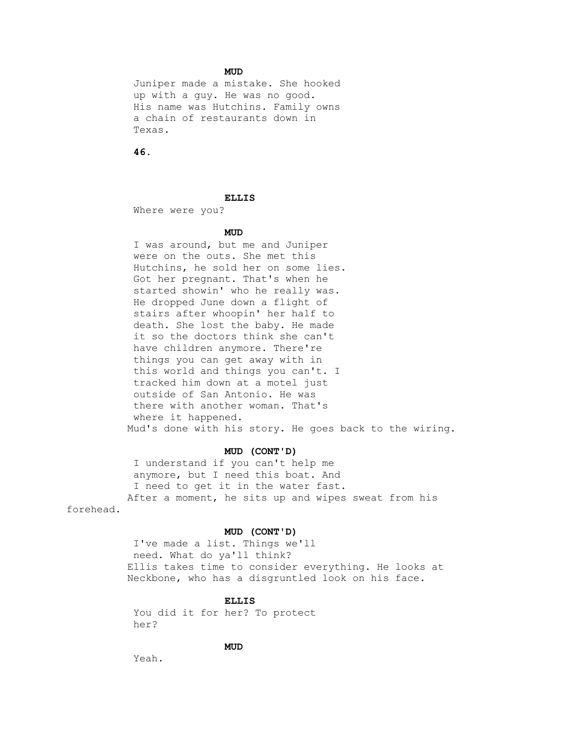## **MUD**

 Juniper made a mistake. She hooked up with a guy. He was no good. His name was Hutchins. Family owns a chain of restaurants down in Texas.

 **46.**

### **ELLIS**

Where were you?

## **MUD**

 I was around, but me and Juniper were on the outs. She met this Hutchins, he sold her on some lies. Got her pregnant. That's when he started showin' who he really was. He dropped June down a flight of stairs after whoopin' her half to death. She lost the baby. He made it so the doctors think she can't have children anymore. There're things you can get away with in this world and things you can't. I tracked him down at a motel just outside of San Antonio. He was there with another woman. That's where it happened. Mud's done with his story. He goes back to the wiring.

### **MUD (CONT'D)**

 I understand if you can't help me anymore, but I need this boat. And I need to get it in the water fast. After a moment, he sits up and wipes sweat from his

forehead.

### **MUD (CONT'D)**

 I've made a list. Things we'll need. What do ya'll think? Ellis takes time to consider everything. He looks at Neckbone, who has a disgruntled look on his face.

### **ELLIS**

 You did it for her? To protect her?

## **MUD**

Yeah.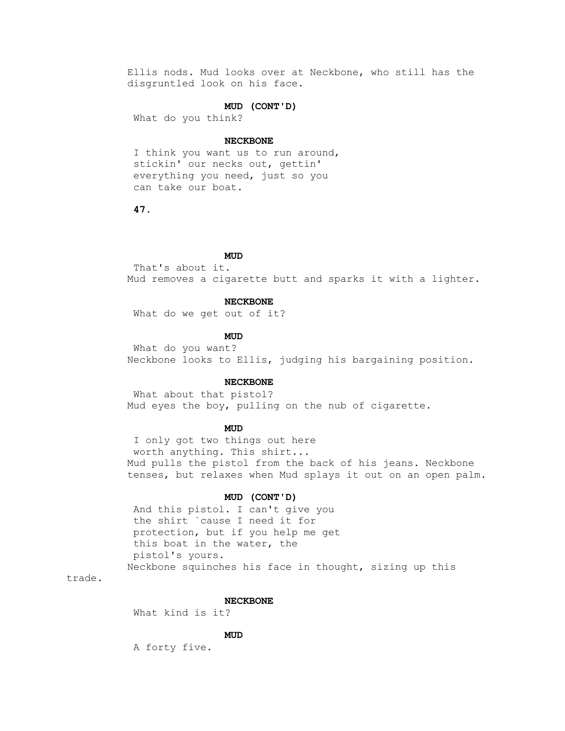Ellis nods. Mud looks over at Neckbone, who still has the disgruntled look on his face.

## **MUD (CONT'D)**

What do you think?

#### **NECKBONE**

 I think you want us to run around, stickin' our necks out, gettin' everything you need, just so you can take our boat.

 **47.**

## **MUD**

 That's about it. Mud removes a cigarette butt and sparks it with a lighter.

### **NECKBONE**

What do we get out of it?

**MUD** 

 What do you want? Neckbone looks to Ellis, judging his bargaining position.

#### **NECKBONE**

 What about that pistol? Mud eyes the boy, pulling on the nub of cigarette.

## **MUD**

 I only got two things out here worth anything. This shirt... Mud pulls the pistol from the back of his jeans. Neckbone tenses, but relaxes when Mud splays it out on an open palm.

### **MUD (CONT'D)**

 And this pistol. I can't give you the shirt `cause I need it for protection, but if you help me get this boat in the water, the pistol's yours. Neckbone squinches his face in thought, sizing up this

trade.

#### **NECKBONE**

What kind is it?

## **MUD**

A forty five.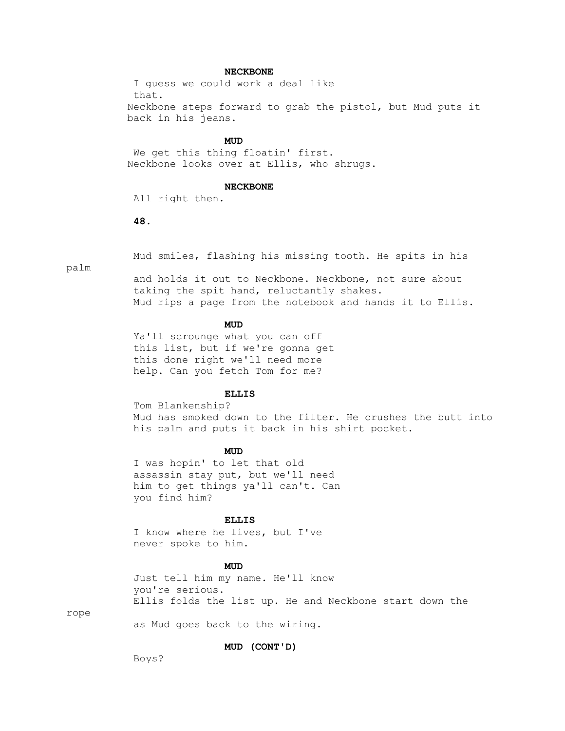### **NECKBONE**

 I guess we could work a deal like that. Neckbone steps forward to grab the pistol, but Mud puts it back in his jeans.

## **MUD**

 We get this thing floatin' first. Neckbone looks over at Ellis, who shrugs.

#### **NECKBONE**

All right then.

### **48.**

Mud smiles, flashing his missing tooth. He spits in his

palm

 and holds it out to Neckbone. Neckbone, not sure about taking the spit hand, reluctantly shakes. Mud rips a page from the notebook and hands it to Ellis.

## **MUD**

 Ya'll scrounge what you can off this list, but if we're gonna get this done right we'll need more help. Can you fetch Tom for me?

#### **ELLIS**

 Tom Blankenship? Mud has smoked down to the filter. He crushes the butt into his palm and puts it back in his shirt pocket.

## **MUD**

 I was hopin' to let that old assassin stay put, but we'll need him to get things ya'll can't. Can you find him?

#### **ELLIS**

 I know where he lives, but I've never spoke to him.

## **MUD**

 Just tell him my name. He'll know you're serious. Ellis folds the list up. He and Neckbone start down the

rope

as Mud goes back to the wiring.

### **MUD (CONT'D)**

Boys?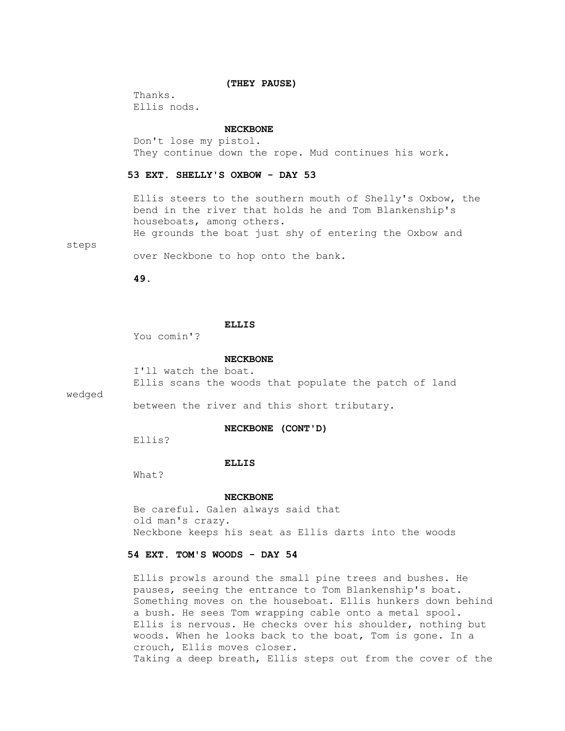#### **(THEY PAUSE)**

 Thanks. Ellis nods.

#### **NECKBONE**

 Don't lose my pistol. They continue down the rope. Mud continues his work.

### **53 EXT. SHELLY'S OXBOW - DAY 53**

 Ellis steers to the southern mouth of Shelly's Oxbow, the bend in the river that holds he and Tom Blankenship's houseboats, among others.

He grounds the boat just shy of entering the Oxbow and

steps

over Neckbone to hop onto the bank.

 **49.**

### **ELLIS**

You comin'?

#### **NECKBONE**

I'll watch the boat.

Ellis scans the woods that populate the patch of land

wedged

between the river and this short tributary.

### **NECKBONE (CONT'D)**

Ellis?

### **ELLIS**

What?

#### **NECKBONE**

 Be careful. Galen always said that old man's crazy. Neckbone keeps his seat as Ellis darts into the woods

## **54 EXT. TOM'S WOODS - DAY 54**

 Ellis prowls around the small pine trees and bushes. He pauses, seeing the entrance to Tom Blankenship's boat. Something moves on the houseboat. Ellis hunkers down behind a bush. He sees Tom wrapping cable onto a metal spool. Ellis is nervous. He checks over his shoulder, nothing but woods. When he looks back to the boat, Tom is gone. In a crouch, Ellis moves closer. Taking a deep breath, Ellis steps out from the cover of the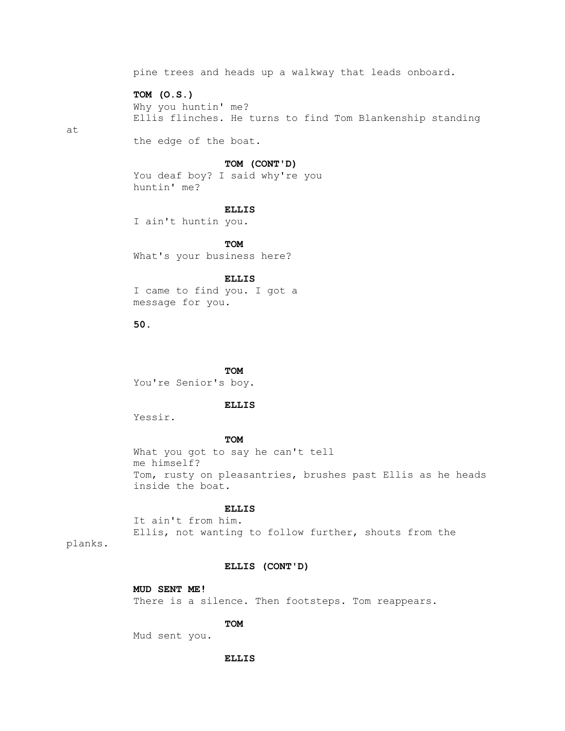pine trees and heads up a walkway that leads onboard.

 **TOM (O.S.)**

 Why you huntin' me? Ellis flinches. He turns to find Tom Blankenship standing

at

the edge of the boat.

### **TOM (CONT'D)**

 You deaf boy? I said why're you huntin' me?

#### **ELLIS**

I ain't huntin you.

**TOM** What's your business here?

 **ELLIS**

 I came to find you. I got a message for you.

 **50.**

**TOM** You're Senior's boy.

## **ELLIS**

Yessir.

## **TOM**

 What you got to say he can't tell me himself? Tom, rusty on pleasantries, brushes past Ellis as he heads inside the boat.

## **ELLIS**

 It ain't from him. Ellis, not wanting to follow further, shouts from the

planks.

#### **ELLIS (CONT'D)**

 **MUD SENT ME!** There is a silence. Then footsteps. Tom reappears.

## **TOM**

Mud sent you.

 **ELLIS**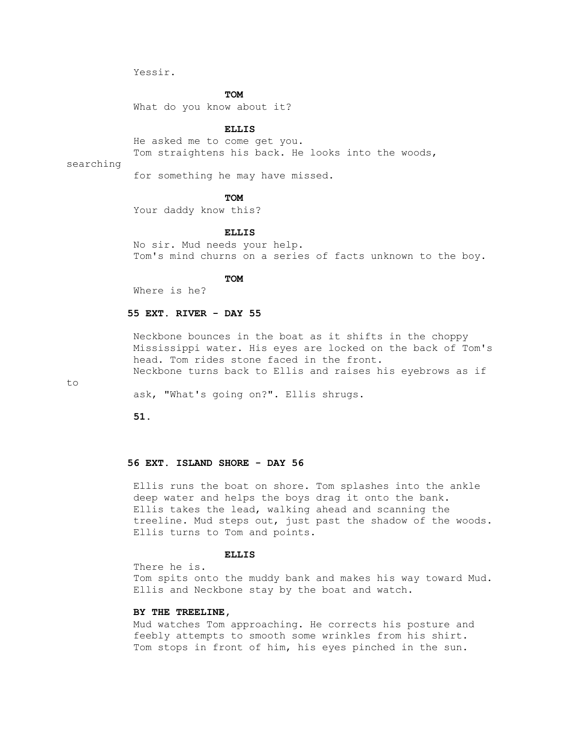Yessir.

## **TOM**

What do you know about it?

### **ELLIS**

He asked me to come get you.

Tom straightens his back. He looks into the woods,

searching

for something he may have missed.

## **TOM**

Your daddy know this?

### **ELLIS**

 No sir. Mud needs your help. Tom's mind churns on a series of facts unknown to the boy.

## **TOM**

Where is he?

### **55 EXT. RIVER - DAY 55**

 Neckbone bounces in the boat as it shifts in the choppy Mississippi water. His eyes are locked on the back of Tom's head. Tom rides stone faced in the front. Neckbone turns back to Ellis and raises his eyebrows as if

to

ask, "What's going on?". Ellis shrugs.

 **51.**

### **56 EXT. ISLAND SHORE - DAY 56**

 Ellis runs the boat on shore. Tom splashes into the ankle deep water and helps the boys drag it onto the bank. Ellis takes the lead, walking ahead and scanning the treeline. Mud steps out, just past the shadow of the woods. Ellis turns to Tom and points.

## **ELLIS**

There he is.

 Tom spits onto the muddy bank and makes his way toward Mud. Ellis and Neckbone stay by the boat and watch.

### **BY THE TREELINE,**

 Mud watches Tom approaching. He corrects his posture and feebly attempts to smooth some wrinkles from his shirt. Tom stops in front of him, his eyes pinched in the sun.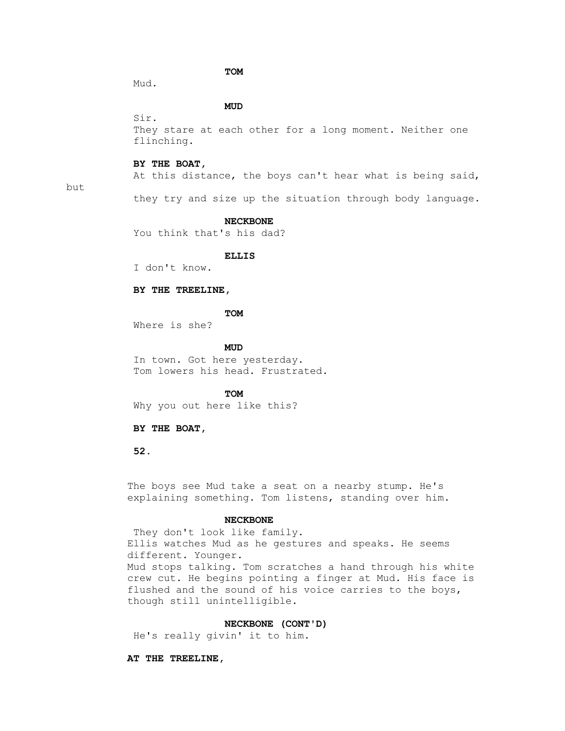## **TOM**

Mud.

Sir.

## **MUD**

 They stare at each other for a long moment. Neither one flinching.

#### **BY THE BOAT,**

At this distance, the boys can't hear what is being said,

## but

they try and size up the situation through body language.

#### **NECKBONE**

You think that's his dad?

#### **ELLIS**

I don't know.

## **BY THE TREELINE,**

**TOM** 

Where is she?

**MUD** 

 In town. Got here yesterday. Tom lowers his head. Frustrated.

**TOM** 

Why you out here like this?

#### **BY THE BOAT,**

 **52.**

 The boys see Mud take a seat on a nearby stump. He's explaining something. Tom listens, standing over him.

#### **NECKBONE**

They don't look like family. Ellis watches Mud as he gestures and speaks. He seems different. Younger. Mud stops talking. Tom scratches a hand through his white crew cut. He begins pointing a finger at Mud. His face is flushed and the sound of his voice carries to the boys, though still unintelligible.

## **NECKBONE (CONT'D)**

He's really givin' it to him.

### **AT THE TREELINE,**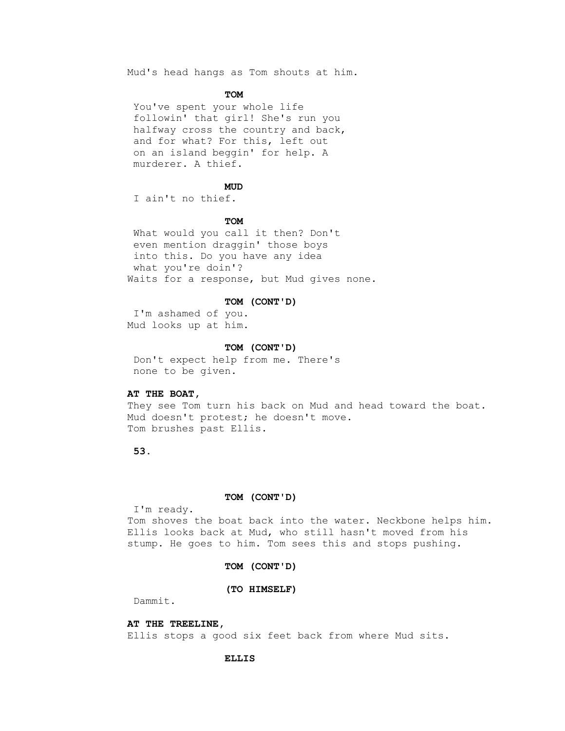Mud's head hangs as Tom shouts at him.

## **TOM**

 You've spent your whole life followin' that girl! She's run you halfway cross the country and back, and for what? For this, left out on an island beggin' for help. A murderer. A thief.

## **MUD**

I ain't no thief.

## **TOM**

 What would you call it then? Don't even mention draggin' those boys into this. Do you have any idea what you're doin'? Waits for a response, but Mud gives none.

#### **TOM (CONT'D)**

 I'm ashamed of you. Mud looks up at him.

#### **TOM (CONT'D)**

 Don't expect help from me. There's none to be given.

### **AT THE BOAT,**

 They see Tom turn his back on Mud and head toward the boat. Mud doesn't protest; he doesn't move. Tom brushes past Ellis.

# **53.**

### **TOM (CONT'D)**

I'm ready.

 Tom shoves the boat back into the water. Neckbone helps him. Ellis looks back at Mud, who still hasn't moved from his stump. He goes to him. Tom sees this and stops pushing.

### **TOM (CONT'D)**

#### **(TO HIMSELF)**

Dammit.

## **AT THE TREELINE,**

Ellis stops a good six feet back from where Mud sits.

### **ELLIS**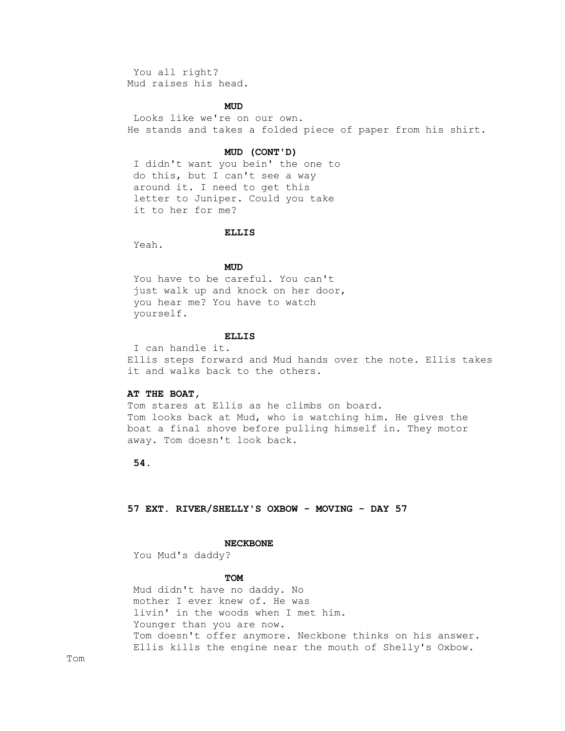You all right? Mud raises his head.

## **MUD**

 Looks like we're on our own. He stands and takes a folded piece of paper from his shirt.

### **MUD (CONT'D)**

 I didn't want you bein' the one to do this, but I can't see a way around it. I need to get this letter to Juniper. Could you take it to her for me?

### **ELLIS**

Yeah.

## **MUD**

 You have to be careful. You can't just walk up and knock on her door, you hear me? You have to watch yourself.

#### **ELLIS**

 I can handle it. Ellis steps forward and Mud hands over the note. Ellis takes it and walks back to the others.

#### **AT THE BOAT,**

 Tom stares at Ellis as he climbs on board. Tom looks back at Mud, who is watching him. He gives the boat a final shove before pulling himself in. They motor away. Tom doesn't look back.

## **54.**

### **57 EXT. RIVER/SHELLY'S OXBOW - MOVING - DAY 57**

#### **NECKBONE**

You Mud's daddy?

## **TOM**

 Mud didn't have no daddy. No mother I ever knew of. He was livin' in the woods when I met him. Younger than you are now. Tom doesn't offer anymore. Neckbone thinks on his answer. Ellis kills the engine near the mouth of Shelly's Oxbow.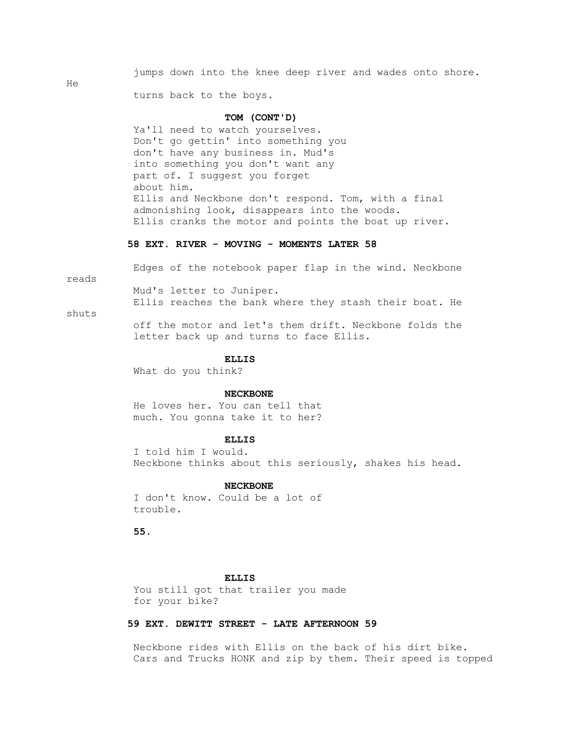jumps down into the knee deep river and wades onto shore.

turns back to the boys.

## **TOM (CONT'D)**

 Ya'll need to watch yourselves. Don't go gettin' into something you don't have any business in. Mud's into something you don't want any part of. I suggest you forget about him. Ellis and Neckbone don't respond. Tom, with a final admonishing look, disappears into the woods. Ellis cranks the motor and points the boat up river.

### **58 EXT. RIVER - MOVING - MOMENTS LATER 58**

Edges of the notebook paper flap in the wind. Neckbone

reads

He

 Mud's letter to Juniper. Ellis reaches the bank where they stash their boat. He

shuts

 off the motor and let's them drift. Neckbone folds the letter back up and turns to face Ellis.

### **ELLIS**

What do you think?

#### **NECKBONE**

 He loves her. You can tell that much. You gonna take it to her?

### **ELLIS**

 I told him I would. Neckbone thinks about this seriously, shakes his head.

#### **NECKBONE**

 I don't know. Could be a lot of trouble.

 **55.**

## **ELLIS**

 You still got that trailer you made for your bike?

## **59 EXT. DEWITT STREET - LATE AFTERNOON 59**

 Neckbone rides with Ellis on the back of his dirt bike. Cars and Trucks HONK and zip by them. Their speed is topped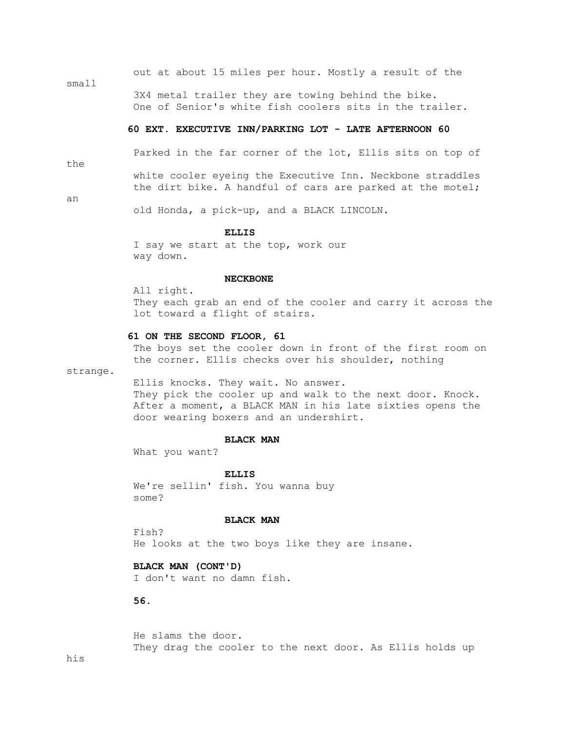|       |  |  |  |  | out at about 15 miles per hour. Mostly a result of the  |  |
|-------|--|--|--|--|---------------------------------------------------------|--|
| small |  |  |  |  |                                                         |  |
|       |  |  |  |  | 3X4 metal trailer they are towing behind the bike.      |  |
|       |  |  |  |  | One of Senior's white fish coolers sits in the trailer. |  |

### **60 EXT. EXECUTIVE INN/PARKING LOT - LATE AFTERNOON 60**

the

Parked in the far corner of the lot, Ellis sits on top of

 white cooler eyeing the Executive Inn. Neckbone straddles the dirt bike. A handful of cars are parked at the motel;

an

old Honda, a pick-up, and a BLACK LINCOLN.

### **ELLIS**

 I say we start at the top, work our way down.

### **NECKBONE**

 All right. They each grab an end of the cooler and carry it across the lot toward a flight of stairs.

### **61 ON THE SECOND FLOOR, 61**

 The boys set the cooler down in front of the first room on the corner. Ellis checks over his shoulder, nothing

strange.

Ellis knocks. They wait. No answer.

They pick the cooler up and walk to the next door. Knock. After a moment, a BLACK MAN in his late sixties opens the door wearing boxers and an undershirt.

#### **BLACK MAN**

What you want?

#### **ELLIS**

 We're sellin' fish. You wanna buy some?

### **BLACK MAN**

 Fish? He looks at the two boys like they are insane.

## **BLACK MAN (CONT'D)**

I don't want no damn fish.

# **56.**

 He slams the door. They drag the cooler to the next door. As Ellis holds up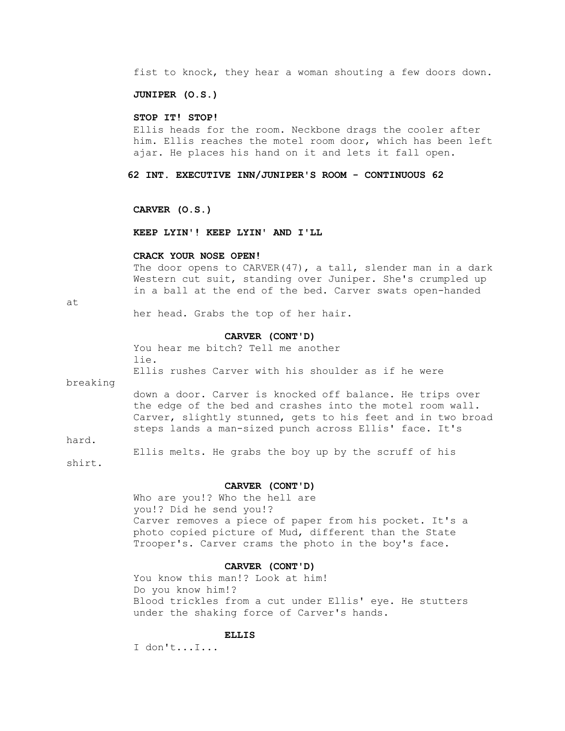fist to knock, they hear a woman shouting a few doors down.

### **JUNIPER (O.S.)**

### **STOP IT! STOP!**

 Ellis heads for the room. Neckbone drags the cooler after him. Ellis reaches the motel room door, which has been left ajar. He places his hand on it and lets it fall open.

#### **62 INT. EXECUTIVE INN/JUNIPER'S ROOM - CONTINUOUS 62**

 **CARVER (O.S.)**

### **KEEP LYIN'! KEEP LYIN' AND I'LL**

#### **CRACK YOUR NOSE OPEN!**

The door opens to CARVER(47), a tall, slender man in a dark Western cut suit, standing over Juniper. She's crumpled up in a ball at the end of the bed. Carver swats open-handed

at

her head. Grabs the top of her hair.

#### **CARVER (CONT'D)**

 You hear me bitch? Tell me another lie.

Ellis rushes Carver with his shoulder as if he were

breaking

 down a door. Carver is knocked off balance. He trips over the edge of the bed and crashes into the motel room wall. Carver, slightly stunned, gets to his feet and in two broad steps lands a man-sized punch across Ellis' face. It's

hard.

Ellis melts. He grabs the boy up by the scruff of his

shirt.

#### **CARVER (CONT'D)**

 Who are you!? Who the hell are you!? Did he send you!? Carver removes a piece of paper from his pocket. It's a photo copied picture of Mud, different than the State Trooper's. Carver crams the photo in the boy's face.

#### **CARVER (CONT'D)**

 You know this man!? Look at him! Do you know him!? Blood trickles from a cut under Ellis' eye. He stutters under the shaking force of Carver's hands.

### **ELLIS**

I don't...I...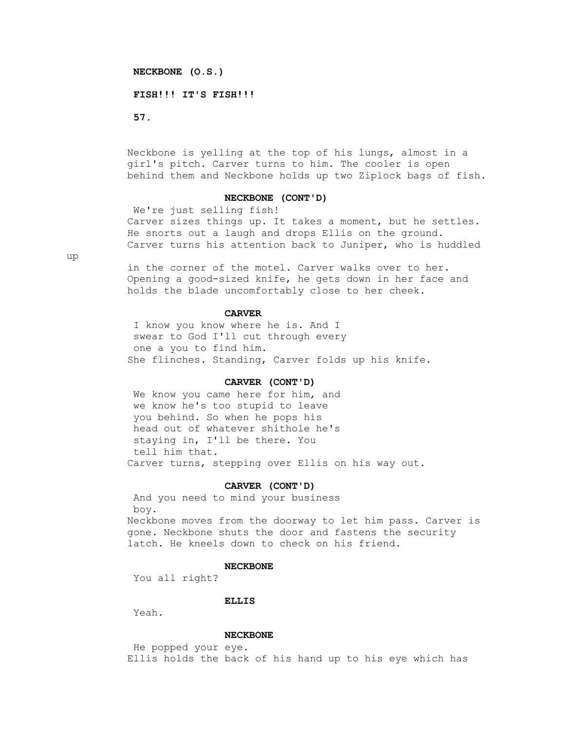### **NECKBONE (O.S.)**

#### **FISH!!! IT'S FISH!!!**

 **57.**

 Neckbone is yelling at the top of his lungs, almost in a girl's pitch. Carver turns to him. The cooler is open behind them and Neckbone holds up two Ziplock bags of fish.

## **NECKBONE (CONT'D)**

 We're just selling fish! Carver sizes things up. It takes a moment, but he settles. He snorts out a laugh and drops Ellis on the ground. Carver turns his attention back to Juniper, who is huddled

up

 in the corner of the motel. Carver walks over to her. Opening a good-sized knife, he gets down in her face and holds the blade uncomfortably close to her cheek.

# **CARVER**

 I know you know where he is. And I swear to God I'll cut through every one a you to find him. She flinches. Standing, Carver folds up his knife.

#### **CARVER (CONT'D)**

 We know you came here for him, and we know he's too stupid to leave you behind. So when he pops his head out of whatever shithole he's staying in, I'll be there. You tell him that. Carver turns, stepping over Ellis on his way out.

#### **CARVER (CONT'D)**

 And you need to mind your business boy. Neckbone moves from the doorway to let him pass. Carver is gone. Neckbone shuts the door and fastens the security latch. He kneels down to check on his friend.

#### **NECKBONE**

You all right?

#### **ELLIS**

Yeah.

### **NECKBONE**

 He popped your eye. Ellis holds the back of his hand up to his eye which has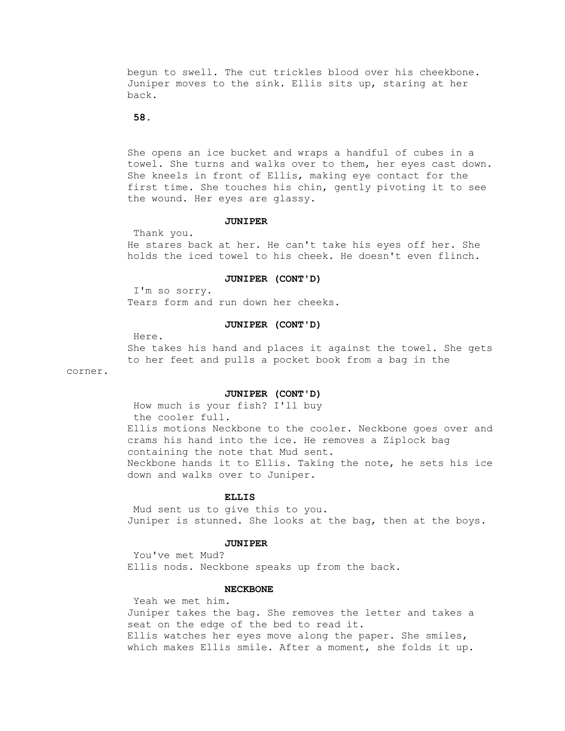begun to swell. The cut trickles blood over his cheekbone. Juniper moves to the sink. Ellis sits up, staring at her back.

## **58.**

 She opens an ice bucket and wraps a handful of cubes in a towel. She turns and walks over to them, her eyes cast down. She kneels in front of Ellis, making eye contact for the first time. She touches his chin, gently pivoting it to see the wound. Her eyes are glassy.

#### **JUNIPER**

 Thank you. He stares back at her. He can't take his eyes off her. She holds the iced towel to his cheek. He doesn't even flinch.

### **JUNIPER (CONT'D)**

 I'm so sorry. Tears form and run down her cheeks.

### **JUNIPER (CONT'D)**

Here.

 She takes his hand and places it against the towel. She gets to her feet and pulls a pocket book from a bag in the

corner.

#### **JUNIPER (CONT'D)**

 How much is your fish? I'll buy the cooler full. Ellis motions Neckbone to the cooler. Neckbone goes over and crams his hand into the ice. He removes a Ziplock bag containing the note that Mud sent. Neckbone hands it to Ellis. Taking the note, he sets his ice down and walks over to Juniper.

### **ELLIS**

 Mud sent us to give this to you. Juniper is stunned. She looks at the bag, then at the boys.

#### **JUNIPER**

 You've met Mud? Ellis nods. Neckbone speaks up from the back.

### **NECKBONE**

 Yeah we met him. Juniper takes the bag. She removes the letter and takes a seat on the edge of the bed to read it. Ellis watches her eyes move along the paper. She smiles, which makes Ellis smile. After a moment, she folds it up.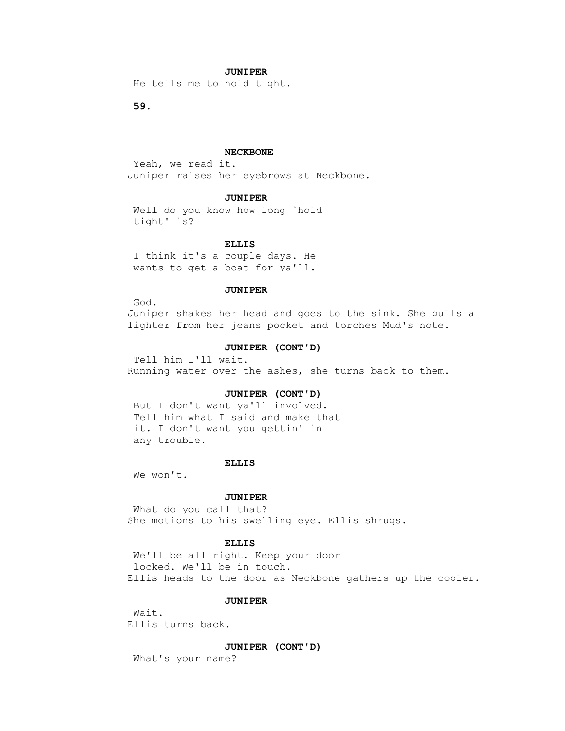### **JUNIPER**

He tells me to hold tight.

 **59.**

#### **NECKBONE**

 Yeah, we read it. Juniper raises her eyebrows at Neckbone.

### **JUNIPER**

 Well do you know how long `hold tight' is?

### **ELLIS**

 I think it's a couple days. He wants to get a boat for ya'll.

### **JUNIPER**

God.

 Juniper shakes her head and goes to the sink. She pulls a lighter from her jeans pocket and torches Mud's note.

#### **JUNIPER (CONT'D)**

 Tell him I'll wait. Running water over the ashes, she turns back to them.

### **JUNIPER (CONT'D)**

 But I don't want ya'll involved. Tell him what I said and make that it. I don't want you gettin' in any trouble.

#### **ELLIS**

We won't.

#### **JUNIPER**

 What do you call that? She motions to his swelling eye. Ellis shrugs.

#### **ELLIS**

 We'll be all right. Keep your door locked. We'll be in touch. Ellis heads to the door as Neckbone gathers up the cooler.

## **JUNIPER**

 Wait. Ellis turns back.

 **JUNIPER (CONT'D)**

What's your name?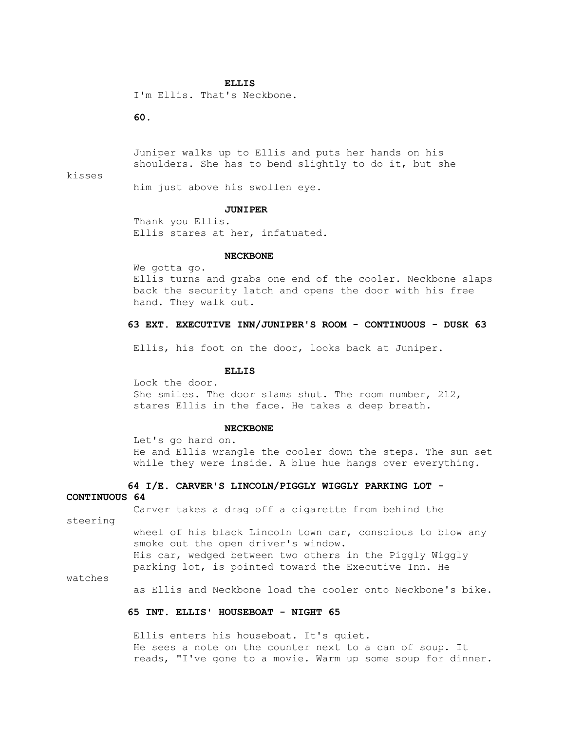#### **ELLIS**

I'm Ellis. That's Neckbone.

# **60.**

 Juniper walks up to Ellis and puts her hands on his shoulders. She has to bend slightly to do it, but she

#### kisses

him just above his swollen eye.

#### **JUNIPER**

 Thank you Ellis. Ellis stares at her, infatuated.

#### **NECKBONE**

 We gotta go. Ellis turns and grabs one end of the cooler. Neckbone slaps back the security latch and opens the door with his free hand. They walk out.

### **63 EXT. EXECUTIVE INN/JUNIPER'S ROOM - CONTINUOUS - DUSK 63**

Ellis, his foot on the door, looks back at Juniper.

### **ELLIS**

 Lock the door. She smiles. The door slams shut. The room number, 212, stares Ellis in the face. He takes a deep breath.

#### **NECKBONE**

 Let's go hard on. He and Ellis wrangle the cooler down the steps. The sun set while they were inside. A blue hue hangs over everything.

# **64 I/E. CARVER'S LINCOLN/PIGGLY WIGGLY PARKING LOT -**

**CONTINUOUS 64**

Carver takes a drag off a cigarette from behind the

steering

 wheel of his black Lincoln town car, conscious to blow any smoke out the open driver's window. His car, wedged between two others in the Piggly Wiggly parking lot, is pointed toward the Executive Inn. He

watches

as Ellis and Neckbone load the cooler onto Neckbone's bike.

### **65 INT. ELLIS' HOUSEBOAT - NIGHT 65**

 Ellis enters his houseboat. It's quiet. He sees a note on the counter next to a can of soup. It reads, "I've gone to a movie. Warm up some soup for dinner.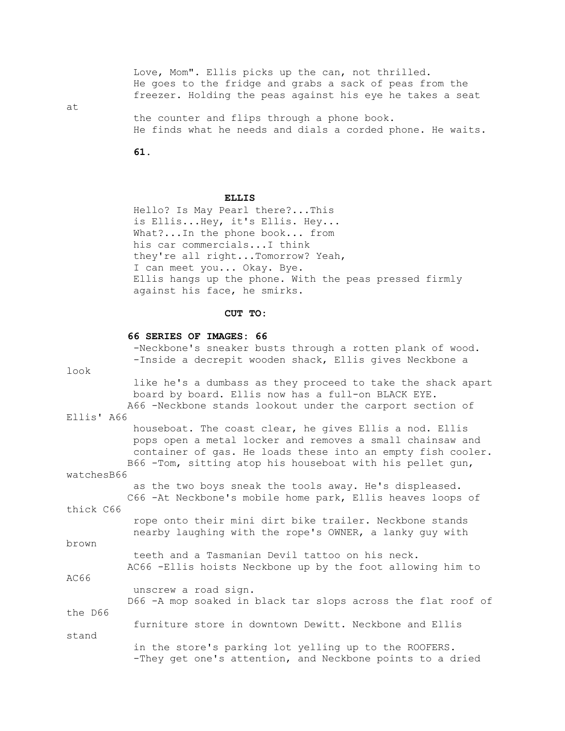Love, Mom". Ellis picks up the can, not thrilled. He goes to the fridge and grabs a sack of peas from the freezer. Holding the peas against his eye he takes a seat

at

 the counter and flips through a phone book. He finds what he needs and dials a corded phone. He waits.

 **61.**

### **ELLIS**

 Hello? Is May Pearl there?...This is Ellis...Hey, it's Ellis. Hey... What?...In the phone book... from his car commercials...I think they're all right...Tomorrow? Yeah, I can meet you... Okay. Bye. Ellis hangs up the phone. With the peas pressed firmly against his face, he smirks.

### **CUT TO:**

### **66 SERIES OF IMAGES: 66**

 -Neckbone's sneaker busts through a rotten plank of wood. -Inside a decrepit wooden shack, Ellis gives Neckbone a look like he's a dumbass as they proceed to take the shack apart board by board. Ellis now has a full-on BLACK EYE. A66 -Neckbone stands lookout under the carport section of Ellis' A66 houseboat. The coast clear, he gives Ellis a nod. Ellis pops open a metal locker and removes a small chainsaw and container of gas. He loads these into an empty fish cooler. B66 -Tom, sitting atop his houseboat with his pellet gun, watchesB66 as the two boys sneak the tools away. He's displeased. C66 -At Neckbone's mobile home park, Ellis heaves loops of thick C66 rope onto their mini dirt bike trailer. Neckbone stands nearby laughing with the rope's OWNER, a lanky guy with brown teeth and a Tasmanian Devil tattoo on his neck. AC66 -Ellis hoists Neckbone up by the foot allowing him to AC66 unscrew a road sign. D66 -A mop soaked in black tar slops across the flat roof of the D66 furniture store in downtown Dewitt. Neckbone and Ellis stand in the store's parking lot yelling up to the ROOFERS. -They get one's attention, and Neckbone points to a dried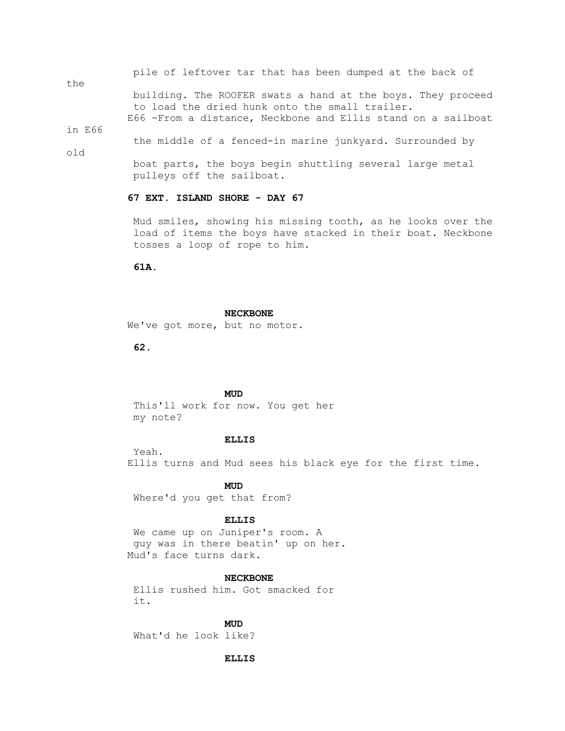pile of leftover tar that has been dumped at the back of

the building. The ROOFER swats a hand at the boys. They proceed to load the dried hunk onto the small trailer. E66 -From a distance, Neckbone and Ellis stand on a sailboat

in E66

the middle of a fenced-in marine junkyard. Surrounded by

old

 boat parts, the boys begin shuttling several large metal pulleys off the sailboat.

# **67 EXT. ISLAND SHORE - DAY 67**

 Mud smiles, showing his missing tooth, as he looks over the load of items the boys have stacked in their boat. Neckbone tosses a loop of rope to him.

 **61A.**

#### **NECKBONE**

We've got more, but no motor.

 **62.**

## **MUD**

 This'll work for now. You get her my note?

### **ELLIS**

 Yeah. Ellis turns and Mud sees his black eye for the first time.

**MUD** Where'd you get that from?

#### **ELLIS**

 We came up on Juniper's room. A guy was in there beatin' up on her. Mud's face turns dark.

#### **NECKBONE**

 Ellis rushed him. Got smacked for it.

**MUD** 

What'd he look like?

### **ELLIS**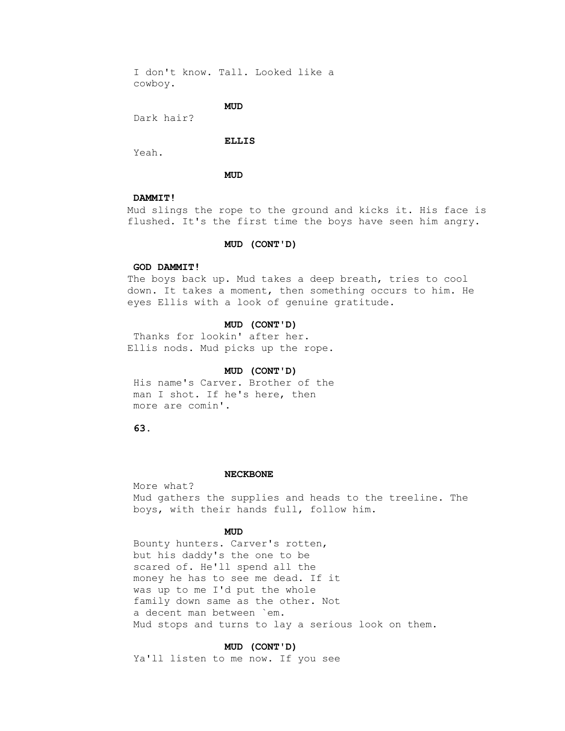I don't know. Tall. Looked like a cowboy.

**MUD** 

Dark hair?

#### **ELLIS**

Yeah.

**MUD** 

## **DAMMIT!**

 Mud slings the rope to the ground and kicks it. His face is flushed. It's the first time the boys have seen him angry.

### **MUD (CONT'D)**

### **GOD DAMMIT!**

 The boys back up. Mud takes a deep breath, tries to cool down. It takes a moment, then something occurs to him. He eyes Ellis with a look of genuine gratitude.

### **MUD (CONT'D)**

 Thanks for lookin' after her. Ellis nods. Mud picks up the rope.

### **MUD (CONT'D)**

 His name's Carver. Brother of the man I shot. If he's here, then more are comin'.

 **63.**

#### **NECKBONE**

 More what? Mud gathers the supplies and heads to the treeline. The boys, with their hands full, follow him.

## **MUD**

 Bounty hunters. Carver's rotten, but his daddy's the one to be scared of. He'll spend all the money he has to see me dead. If it was up to me I'd put the whole family down same as the other. Not a decent man between `em. Mud stops and turns to lay a serious look on them.

### **MUD (CONT'D)**

Ya'll listen to me now. If you see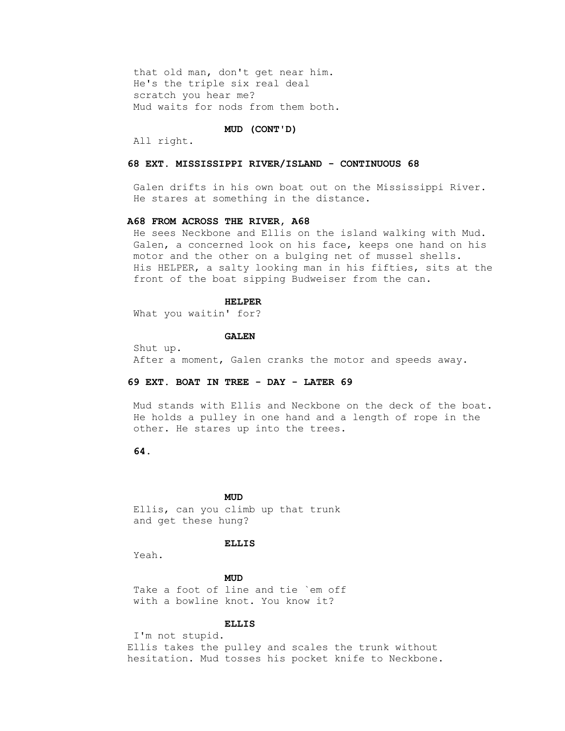that old man, don't get near him. He's the triple six real deal scratch you hear me? Mud waits for nods from them both.

#### **MUD (CONT'D)**

All right.

## **68 EXT. MISSISSIPPI RIVER/ISLAND - CONTINUOUS 68**

 Galen drifts in his own boat out on the Mississippi River. He stares at something in the distance.

### **A68 FROM ACROSS THE RIVER, A68**

 He sees Neckbone and Ellis on the island walking with Mud. Galen, a concerned look on his face, keeps one hand on his motor and the other on a bulging net of mussel shells. His HELPER, a salty looking man in his fifties, sits at the front of the boat sipping Budweiser from the can.

#### **HELPER**

What you waitin' for?

#### **GALEN**

 Shut up. After a moment, Galen cranks the motor and speeds away.

### **69 EXT. BOAT IN TREE - DAY - LATER 69**

 Mud stands with Ellis and Neckbone on the deck of the boat. He holds a pulley in one hand and a length of rope in the other. He stares up into the trees.

## **64.**

## **MUD**

 Ellis, can you climb up that trunk and get these hung?

#### **ELLIS**

Yeah.

## **MUD**

 Take a foot of line and tie `em off with a bowline knot. You know it?

## **ELLIS**

 I'm not stupid. Ellis takes the pulley and scales the trunk without hesitation. Mud tosses his pocket knife to Neckbone.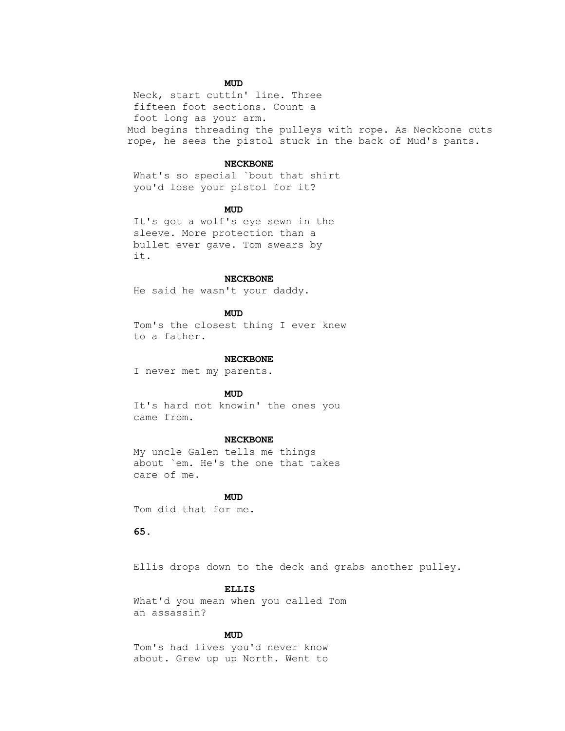# **MUD**

 Neck, start cuttin' line. Three fifteen foot sections. Count a foot long as your arm. Mud begins threading the pulleys with rope. As Neckbone cuts rope, he sees the pistol stuck in the back of Mud's pants.

#### **NECKBONE**

 What's so special `bout that shirt you'd lose your pistol for it?

## **MUD**

 It's got a wolf's eye sewn in the sleeve. More protection than a bullet ever gave. Tom swears by it.

### **NECKBONE**

He said he wasn't your daddy.

## **MUD**

 Tom's the closest thing I ever knew to a father.

#### **NECKBONE**

I never met my parents.

## **MUD**

 It's hard not knowin' the ones you came from.

#### **NECKBONE**

 My uncle Galen tells me things about `em. He's the one that takes care of me.

## **MUD**

Tom did that for me.

## **65.**

Ellis drops down to the deck and grabs another pulley.

## **ELLIS**

 What'd you mean when you called Tom an assassin?

## **MUD**

 Tom's had lives you'd never know about. Grew up up North. Went to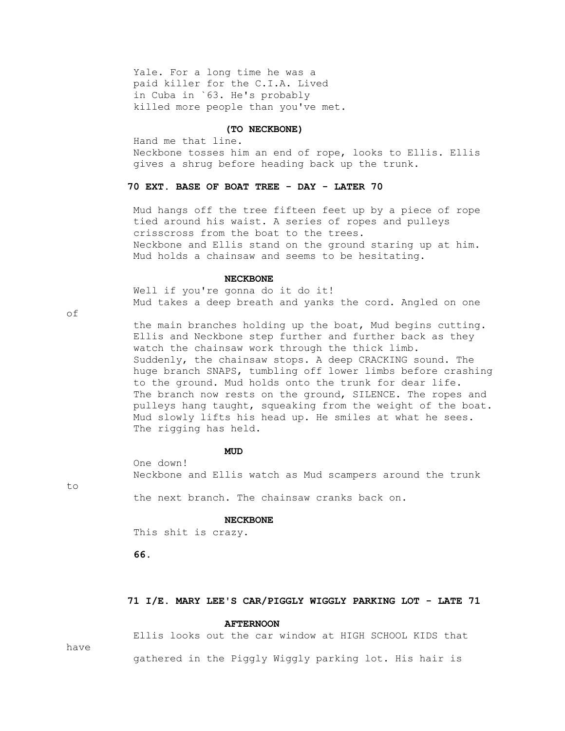Yale. For a long time he was a paid killer for the C.I.A. Lived in Cuba in `63. He's probably killed more people than you've met.

#### **(TO NECKBONE)**

 Hand me that line. Neckbone tosses him an end of rope, looks to Ellis. Ellis gives a shrug before heading back up the trunk.

## **70 EXT. BASE OF BOAT TREE - DAY - LATER 70**

 Mud hangs off the tree fifteen feet up by a piece of rope tied around his waist. A series of ropes and pulleys crisscross from the boat to the trees. Neckbone and Ellis stand on the ground staring up at him. Mud holds a chainsaw and seems to be hesitating.

### **NECKBONE**

 Well if you're gonna do it do it! Mud takes a deep breath and yanks the cord. Angled on one

of

 the main branches holding up the boat, Mud begins cutting. Ellis and Neckbone step further and further back as they watch the chainsaw work through the thick limb. Suddenly, the chainsaw stops. A deep CRACKING sound. The huge branch SNAPS, tumbling off lower limbs before crashing to the ground. Mud holds onto the trunk for dear life. The branch now rests on the ground, SILENCE. The ropes and pulleys hang taught, squeaking from the weight of the boat. Mud slowly lifts his head up. He smiles at what he sees. The rigging has held.

## **MUD**

 One down! Neckbone and Ellis watch as Mud scampers around the trunk

to

the next branch. The chainsaw cranks back on.

#### **NECKBONE**

This shit is crazy.

 **66.**

# **71 I/E. MARY LEE'S CAR/PIGGLY WIGGLY PARKING LOT - LATE 71**

#### **AFTERNOON**

Ellis looks out the car window at HIGH SCHOOL KIDS that

have

gathered in the Piggly Wiggly parking lot. His hair is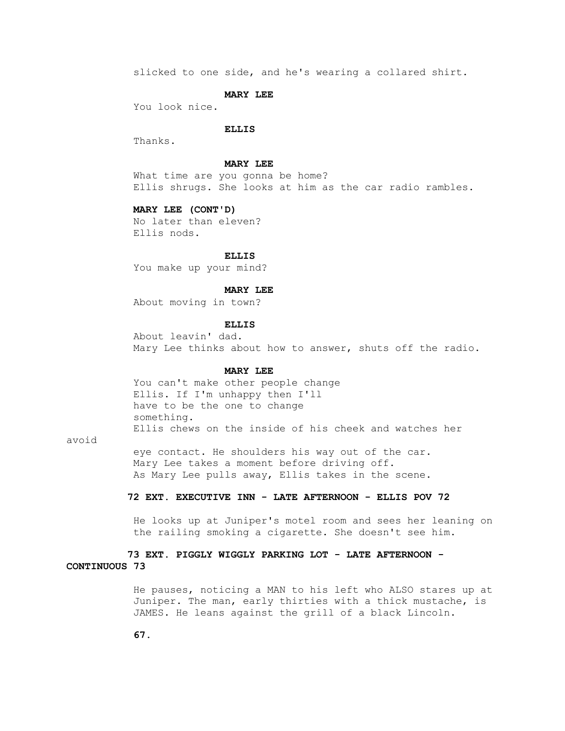slicked to one side, and he's wearing a collared shirt.

### **MARY LEE**

You look nice.

### **ELLIS**

Thanks.

### **MARY LEE**

 What time are you gonna be home? Ellis shrugs. She looks at him as the car radio rambles.

### **MARY LEE (CONT'D)**

 No later than eleven? Ellis nods.

#### **ELLIS**

You make up your mind?

### **MARY LEE**

About moving in town?

# **ELLIS**

 About leavin' dad. Mary Lee thinks about how to answer, shuts off the radio.

# **MARY LEE**

 You can't make other people change Ellis. If I'm unhappy then I'll have to be the one to change something. Ellis chews on the inside of his cheek and watches her

avoid

 eye contact. He shoulders his way out of the car. Mary Lee takes a moment before driving off. As Mary Lee pulls away, Ellis takes in the scene.

# **72 EXT. EXECUTIVE INN - LATE AFTERNOON - ELLIS POV 72**

 He looks up at Juniper's motel room and sees her leaning on the railing smoking a cigarette. She doesn't see him.

# **73 EXT. PIGGLY WIGGLY PARKING LOT - LATE AFTERNOON - CONTINUOUS 73**

 He pauses, noticing a MAN to his left who ALSO stares up at Juniper. The man, early thirties with a thick mustache, is JAMES. He leans against the grill of a black Lincoln.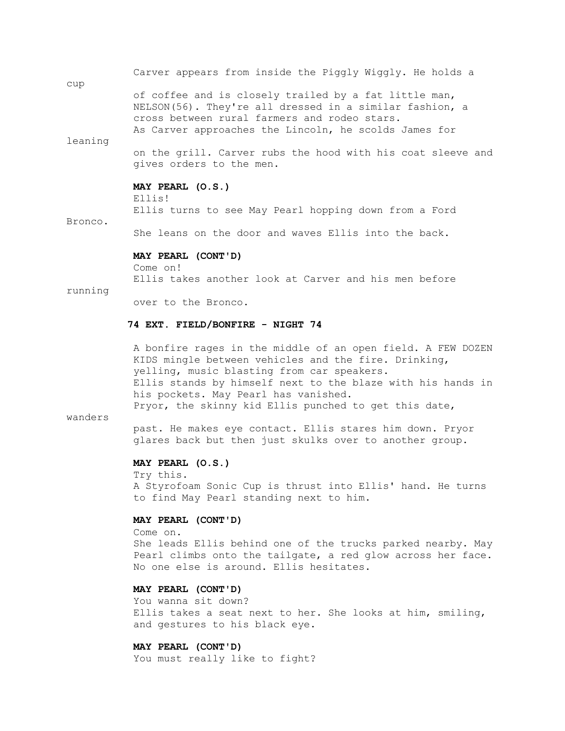|         | Carver appears from inside the Piggly Wiggly. He holds a                                                                                                                                                                  |
|---------|---------------------------------------------------------------------------------------------------------------------------------------------------------------------------------------------------------------------------|
| cup     |                                                                                                                                                                                                                           |
|         | of coffee and is closely trailed by a fat little man,<br>NELSON(56). They're all dressed in a similar fashion, a<br>cross between rural farmers and rodeo stars.<br>As Carver approaches the Lincoln, he scolds James for |
| leaning |                                                                                                                                                                                                                           |
|         | on the grill. Carver rubs the hood with his coat sleeve and<br>gives orders to the men.                                                                                                                                   |
|         | MAY PEARL (O.S.)<br>Ellis!                                                                                                                                                                                                |
|         | Ellis turns to see May Pearl hopping down from a Ford                                                                                                                                                                     |
| Bronco. |                                                                                                                                                                                                                           |
|         | She leans on the door and waves Ellis into the back.                                                                                                                                                                      |

#### **MAY PEARL (CONT'D)**

 Come on! Ellis takes another look at Carver and his men before

running

over to the Bronco.

# **74 EXT. FIELD/BONFIRE - NIGHT 74**

 A bonfire rages in the middle of an open field. A FEW DOZEN KIDS mingle between vehicles and the fire. Drinking, yelling, music blasting from car speakers. Ellis stands by himself next to the blaze with his hands in his pockets. May Pearl has vanished. Pryor, the skinny kid Ellis punched to get this date,

# wanders

 past. He makes eye contact. Ellis stares him down. Pryor glares back but then just skulks over to another group.

# **MAY PEARL (O.S.)**

 Try this. A Styrofoam Sonic Cup is thrust into Ellis' hand. He turns to find May Pearl standing next to him.

# **MAY PEARL (CONT'D)**

 Come on. She leads Ellis behind one of the trucks parked nearby. May Pearl climbs onto the tailgate, a red glow across her face. No one else is around. Ellis hesitates.

# **MAY PEARL (CONT'D)**

 You wanna sit down? Ellis takes a seat next to her. She looks at him, smiling, and gestures to his black eye.

# **MAY PEARL (CONT'D)**

You must really like to fight?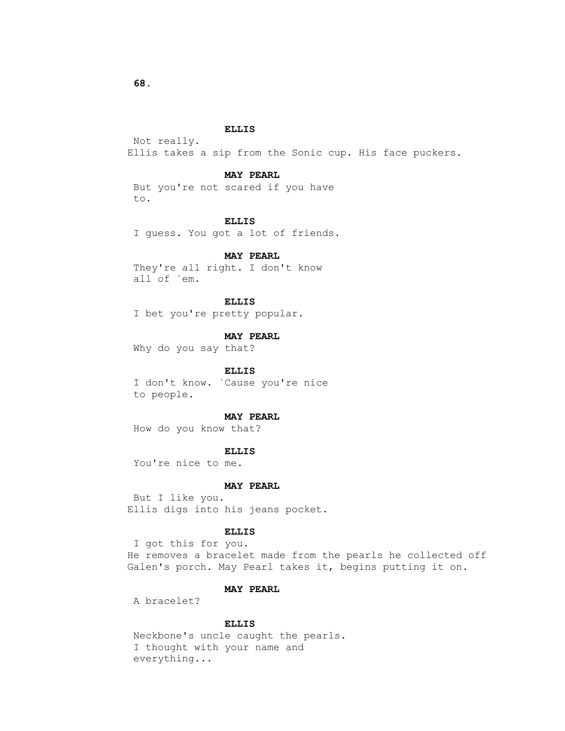Not really. Ellis takes a sip from the Sonic cup. His face puckers.

# **MAY PEARL**

 But you're not scared if you have to.

#### **ELLIS**

I guess. You got a lot of friends.

# **MAY PEARL**

 They're all right. I don't know all of `em.

# **ELLIS**

I bet you're pretty popular.

# **MAY PEARL**

Why do you say that?

# **ELLIS**

 I don't know. `Cause you're nice to people.

# **MAY PEARL**

How do you know that?

# **ELLIS**

You're nice to me.

# **MAY PEARL**

 But I like you. Ellis digs into his jeans pocket.

# **ELLIS**

 I got this for you. He removes a bracelet made from the pearls he collected off Galen's porch. May Pearl takes it, begins putting it on.

# **MAY PEARL**

A bracelet?

# **ELLIS**

 Neckbone's uncle caught the pearls. I thought with your name and everything...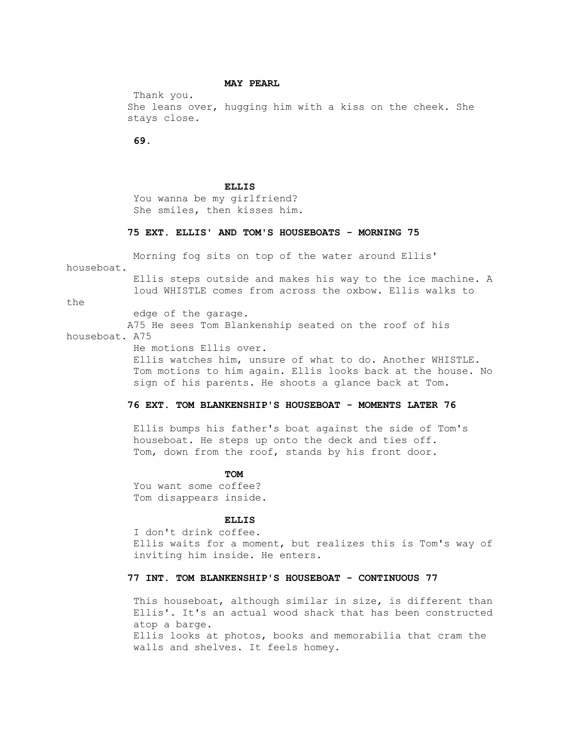### **MAY PEARL**

 Thank you. She leans over, hugging him with a kiss on the cheek. She stays close.

 **69.**

#### **ELLIS**

 You wanna be my girlfriend? She smiles, then kisses him.

# **75 EXT. ELLIS' AND TOM'S HOUSEBOATS - MORNING 75**

Morning fog sits on top of the water around Ellis'

houseboat.

 Ellis steps outside and makes his way to the ice machine. A loud WHISTLE comes from across the oxbow. Ellis walks to

the

edge of the garage.

 A75 He sees Tom Blankenship seated on the roof of his houseboat. A75

He motions Ellis over.

 Ellis watches him, unsure of what to do. Another WHISTLE. Tom motions to him again. Ellis looks back at the house. No sign of his parents. He shoots a glance back at Tom.

# **76 EXT. TOM BLANKENSHIP'S HOUSEBOAT - MOMENTS LATER 76**

 Ellis bumps his father's boat against the side of Tom's houseboat. He steps up onto the deck and ties off. Tom, down from the roof, stands by his front door.

# **TOM**

 You want some coffee? Tom disappears inside.

#### **ELLIS**

 I don't drink coffee. Ellis waits for a moment, but realizes this is Tom's way of inviting him inside. He enters.

# **77 INT. TOM BLANKENSHIP'S HOUSEBOAT - CONTINUOUS 77**

 This houseboat, although similar in size, is different than Ellis'. It's an actual wood shack that has been constructed atop a barge. Ellis looks at photos, books and memorabilia that cram the walls and shelves. It feels homey.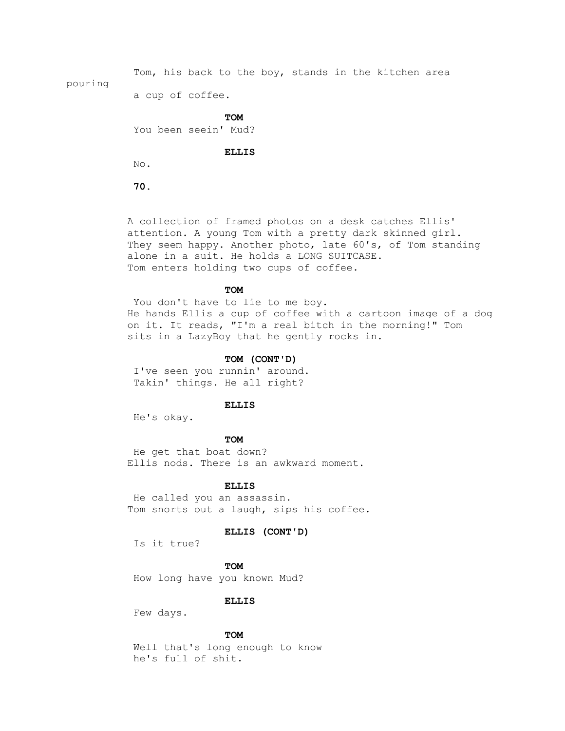Tom, his back to the boy, stands in the kitchen area pouring

a cup of coffee.

**TOM** 

You been seein' Mud?

 **ELLIS**

No.

 **70.**

 A collection of framed photos on a desk catches Ellis' attention. A young Tom with a pretty dark skinned girl. They seem happy. Another photo, late 60's, of Tom standing alone in a suit. He holds a LONG SUITCASE. Tom enters holding two cups of coffee.

# **TOM**

You don't have to lie to me boy. He hands Ellis a cup of coffee with a cartoon image of a dog on it. It reads, "I'm a real bitch in the morning!" Tom sits in a LazyBoy that he gently rocks in.

# **TOM (CONT'D)**

 I've seen you runnin' around. Takin' things. He all right?

# **ELLIS**

He's okay.

# **TOM**

 He get that boat down? Ellis nods. There is an awkward moment.

#### **ELLIS**

 He called you an assassin. Tom snorts out a laugh, sips his coffee.

# **ELLIS (CONT'D)**

Is it true?

**TOM** How long have you known Mud?

 **ELLIS**

Few days.

# **TOM**

 Well that's long enough to know he's full of shit.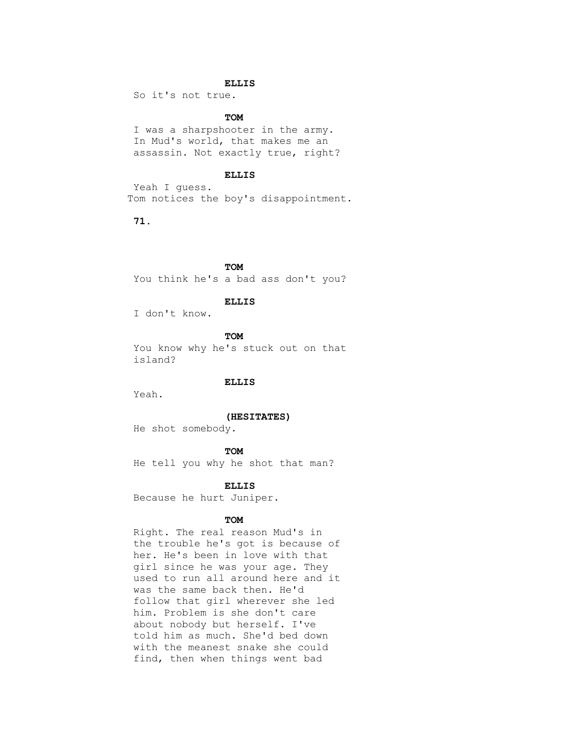So it's not true.

# **TOM**

 I was a sharpshooter in the army. In Mud's world, that makes me an assassin. Not exactly true, right?

# **ELLIS**

 Yeah I guess. Tom notices the boy's disappointment.

 **71.**

**TOM** 

You think he's a bad ass don't you?

# **ELLIS**

I don't know.

**TOM**  You know why he's stuck out on that island?

# **ELLIS**

Yeah.

# **(HESITATES)**

He shot somebody.

# **TOM**

He tell you why he shot that man?

#### **ELLIS**

Because he hurt Juniper.

# **TOM**

 Right. The real reason Mud's in the trouble he's got is because of her. He's been in love with that girl since he was your age. They used to run all around here and it was the same back then. He'd follow that girl wherever she led him. Problem is she don't care about nobody but herself. I've told him as much. She'd bed down with the meanest snake she could find, then when things went bad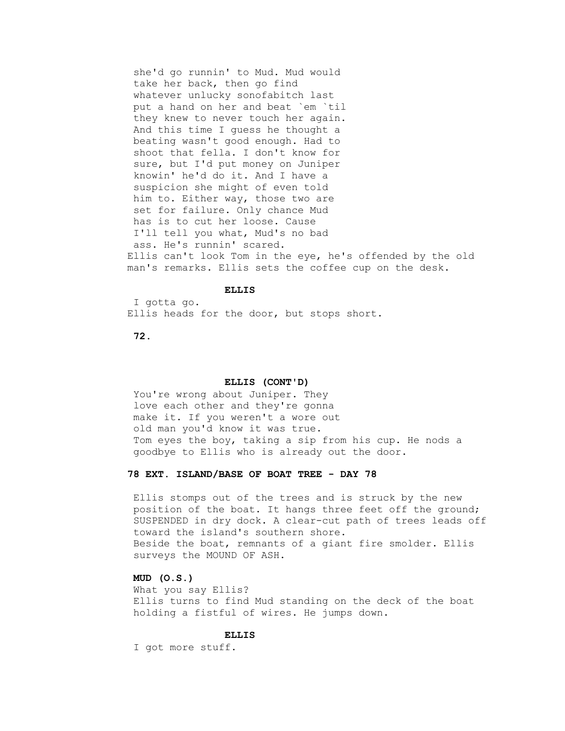she'd go runnin' to Mud. Mud would take her back, then go find whatever unlucky sonofabitch last put a hand on her and beat `em `til they knew to never touch her again. And this time I guess he thought a beating wasn't good enough. Had to shoot that fella. I don't know for sure, but I'd put money on Juniper knowin' he'd do it. And I have a suspicion she might of even told him to. Either way, those two are set for failure. Only chance Mud has is to cut her loose. Cause I'll tell you what, Mud's no bad ass. He's runnin' scared. Ellis can't look Tom in the eye, he's offended by the old man's remarks. Ellis sets the coffee cup on the desk.

# **ELLIS**

 I gotta go. Ellis heads for the door, but stops short.

 **72.**

#### **ELLIS (CONT'D)**

 You're wrong about Juniper. They love each other and they're gonna make it. If you weren't a wore out old man you'd know it was true. Tom eyes the boy, taking a sip from his cup. He nods a goodbye to Ellis who is already out the door.

# **78 EXT. ISLAND/BASE OF BOAT TREE - DAY 78**

 Ellis stomps out of the trees and is struck by the new position of the boat. It hangs three feet off the ground; SUSPENDED in dry dock. A clear-cut path of trees leads off toward the island's southern shore. Beside the boat, remnants of a giant fire smolder. Ellis surveys the MOUND OF ASH.

# **MUD (O.S.)**

 What you say Ellis? Ellis turns to find Mud standing on the deck of the boat holding a fistful of wires. He jumps down.

# **ELLIS**

I got more stuff.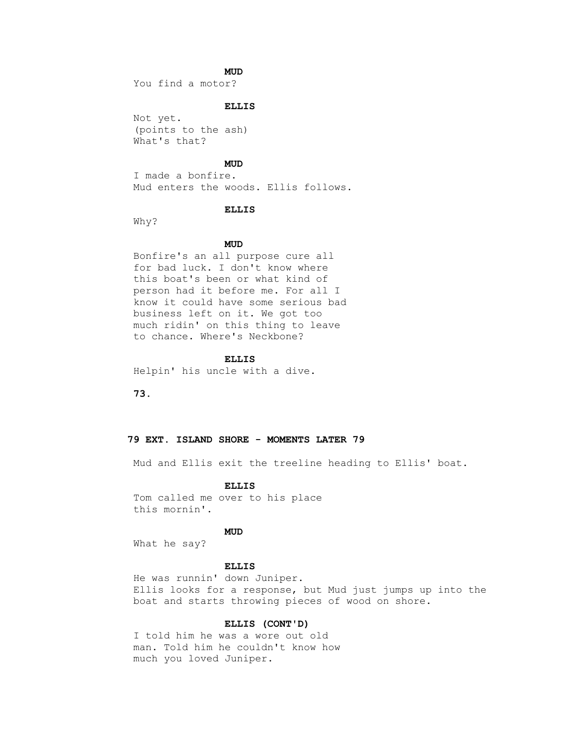# **MUD**

You find a motor?

# **ELLIS**

 Not yet. (points to the ash) What's that?

# **MUD**

 I made a bonfire. Mud enters the woods. Ellis follows.

# **ELLIS**

Why?

# **MUD**

 Bonfire's an all purpose cure all for bad luck. I don't know where this boat's been or what kind of person had it before me. For all I know it could have some serious bad business left on it. We got too much ridin' on this thing to leave to chance. Where's Neckbone?

### **ELLIS**

Helpin' his uncle with a dive.

 **73.**

# **79 EXT. ISLAND SHORE - MOMENTS LATER 79**

Mud and Ellis exit the treeline heading to Ellis' boat.

#### **ELLIS**

 Tom called me over to his place this mornin'.

# **MUD**

What he say?

### **ELLIS**

 He was runnin' down Juniper. Ellis looks for a response, but Mud just jumps up into the boat and starts throwing pieces of wood on shore.

# **ELLIS (CONT'D)**

 I told him he was a wore out old man. Told him he couldn't know how much you loved Juniper.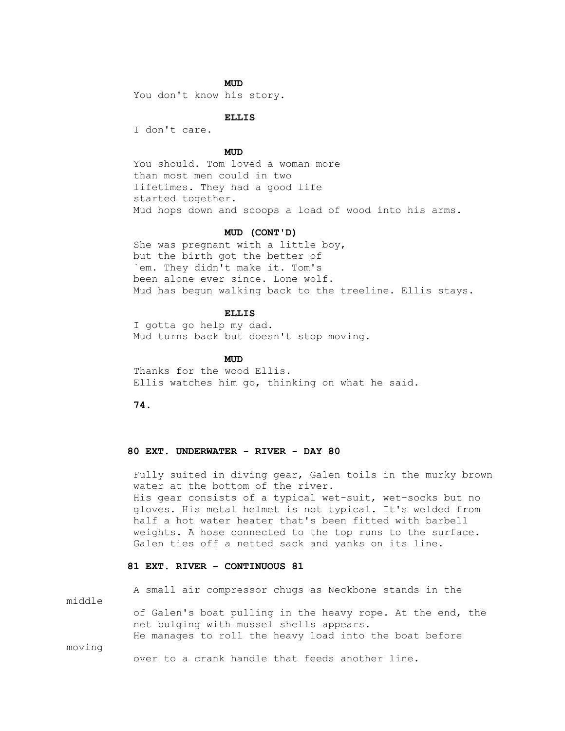# **MUD**

You don't know his story.

 **ELLIS**

I don't care.

# **MUD**

 You should. Tom loved a woman more than most men could in two lifetimes. They had a good life started together. Mud hops down and scoops a load of wood into his arms.

# **MUD (CONT'D)**

 She was pregnant with a little boy, but the birth got the better of `em. They didn't make it. Tom's been alone ever since. Lone wolf. Mud has begun walking back to the treeline. Ellis stays.

# **ELLIS**

 I gotta go help my dad. Mud turns back but doesn't stop moving.

# **MUD**

 Thanks for the wood Ellis. Ellis watches him go, thinking on what he said.

 **74.**

# **80 EXT. UNDERWATER - RIVER - DAY 80**

 Fully suited in diving gear, Galen toils in the murky brown water at the bottom of the river. His gear consists of a typical wet-suit, wet-socks but no gloves. His metal helmet is not typical. It's welded from half a hot water heater that's been fitted with barbell weights. A hose connected to the top runs to the surface. Galen ties off a netted sack and yanks on its line.

# **81 EXT. RIVER - CONTINUOUS 81**

 A small air compressor chugs as Neckbone stands in the middle of Galen's boat pulling in the heavy rope. At the end, the net bulging with mussel shells appears. He manages to roll the heavy load into the boat before moving

over to a crank handle that feeds another line.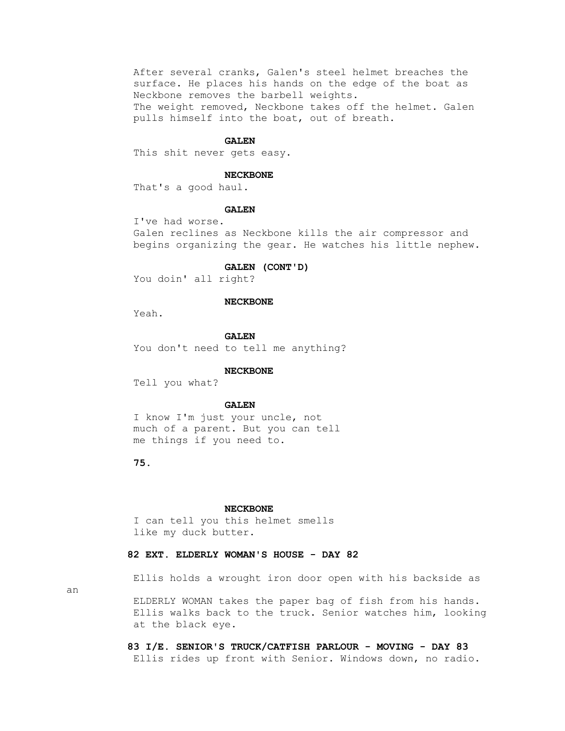After several cranks, Galen's steel helmet breaches the surface. He places his hands on the edge of the boat as Neckbone removes the barbell weights. The weight removed, Neckbone takes off the helmet. Galen pulls himself into the boat, out of breath.

#### **GALEN**

This shit never gets easy.

### **NECKBONE**

That's a good haul.

#### **GALEN**

 I've had worse. Galen reclines as Neckbone kills the air compressor and begins organizing the gear. He watches his little nephew.

#### **GALEN (CONT'D)**

You doin' all right?

### **NECKBONE**

Yeah.

 **GALEN** You don't need to tell me anything?

### **NECKBONE**

Tell you what?

### **GALEN**

 I know I'm just your uncle, not much of a parent. But you can tell me things if you need to.

 **75.**

#### **NECKBONE**

 I can tell you this helmet smells like my duck butter.

# **82 EXT. ELDERLY WOMAN'S HOUSE - DAY 82**

Ellis holds a wrought iron door open with his backside as

an

 ELDERLY WOMAN takes the paper bag of fish from his hands. Ellis walks back to the truck. Senior watches him, looking at the black eye.

 **83 I/E. SENIOR'S TRUCK/CATFISH PARLOUR - MOVING - DAY 83** Ellis rides up front with Senior. Windows down, no radio.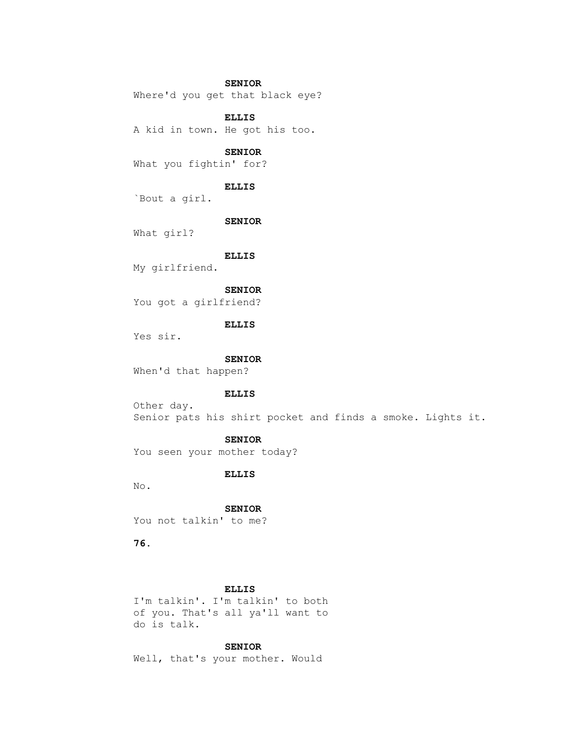### **SENIOR**

Where'd you get that black eye?

### **ELLIS**

A kid in town. He got his too.

# **SENIOR**

What you fightin' for?

### **ELLIS**

`Bout a girl.

#### **SENIOR**

What girl?

#### **ELLIS**

My girlfriend.

# **SENIOR**

You got a girlfriend?

# **ELLIS**

Yes sir.

# **SENIOR**

When'd that happen?

### **ELLIS**

 Other day. Senior pats his shirt pocket and finds a smoke. Lights it.

# **SENIOR**

You seen your mother today?

# **ELLIS**

No.

### **SENIOR**

You not talkin' to me?

 **76.**

# **ELLIS**

 I'm talkin'. I'm talkin' to both of you. That's all ya'll want to do is talk.

# **SENIOR**

Well, that's your mother. Would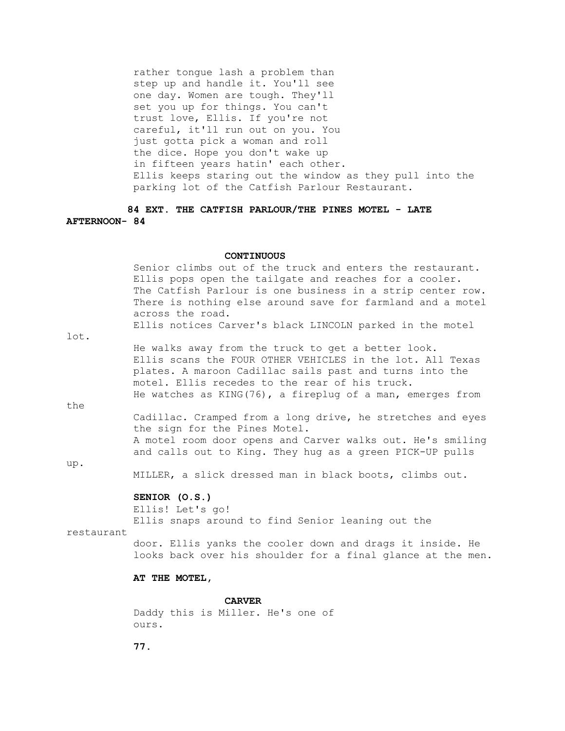rather tongue lash a problem than step up and handle it. You'll see one day. Women are tough. They'll set you up for things. You can't trust love, Ellis. If you're not careful, it'll run out on you. You just gotta pick a woman and roll the dice. Hope you don't wake up in fifteen years hatin' each other. Ellis keeps staring out the window as they pull into the parking lot of the Catfish Parlour Restaurant.

# **84 EXT. THE CATFISH PARLOUR/THE PINES MOTEL - LATE AFTERNOON- 84**

#### **CONTINUOUS**

 Senior climbs out of the truck and enters the restaurant. Ellis pops open the tailgate and reaches for a cooler. The Catfish Parlour is one business in a strip center row. There is nothing else around save for farmland and a motel across the road. Ellis notices Carver's black LINCOLN parked in the motel

lot.

 He walks away from the truck to get a better look. Ellis scans the FOUR OTHER VEHICLES in the lot. All Texas plates. A maroon Cadillac sails past and turns into the motel. Ellis recedes to the rear of his truck. He watches as  $KING(76)$ , a fireplug of a man, emerges from

the

 Cadillac. Cramped from a long drive, he stretches and eyes the sign for the Pines Motel. A motel room door opens and Carver walks out. He's smiling and calls out to King. They hug as a green PICK-UP pulls

up.

MILLER, a slick dressed man in black boots, climbs out.

# **SENIOR (O.S.)**

Ellis! Let's go!

Ellis snaps around to find Senior leaning out the

restaurant

 door. Ellis yanks the cooler down and drags it inside. He looks back over his shoulder for a final glance at the men.

# **AT THE MOTEL,**

 **CARVER** Daddy this is Miller. He's one of ours.

 **77.**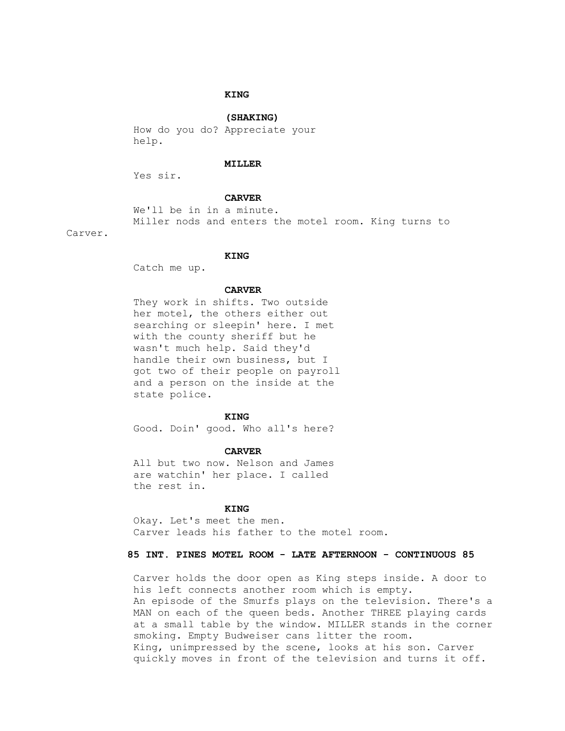# **KING**

# **(SHAKING)**

 How do you do? Appreciate your help.

#### **MILLER**

Yes sir.

# **CARVER**

 We'll be in in a minute. Miller nods and enters the motel room. King turns to

Carver.

#### **KING**

Catch me up.

#### **CARVER**

 They work in shifts. Two outside her motel, the others either out searching or sleepin' here. I met with the county sheriff but he wasn't much help. Said they'd handle their own business, but I got two of their people on payroll and a person on the inside at the state police.

# **KING**

Good. Doin' good. Who all's here?

### **CARVER**

 All but two now. Nelson and James are watchin' her place. I called the rest in.

# **KING**

 Okay. Let's meet the men. Carver leads his father to the motel room.

# **85 INT. PINES MOTEL ROOM - LATE AFTERNOON - CONTINUOUS 85**

 Carver holds the door open as King steps inside. A door to his left connects another room which is empty. An episode of the Smurfs plays on the television. There's a MAN on each of the queen beds. Another THREE playing cards at a small table by the window. MILLER stands in the corner smoking. Empty Budweiser cans litter the room. King, unimpressed by the scene, looks at his son. Carver quickly moves in front of the television and turns it off.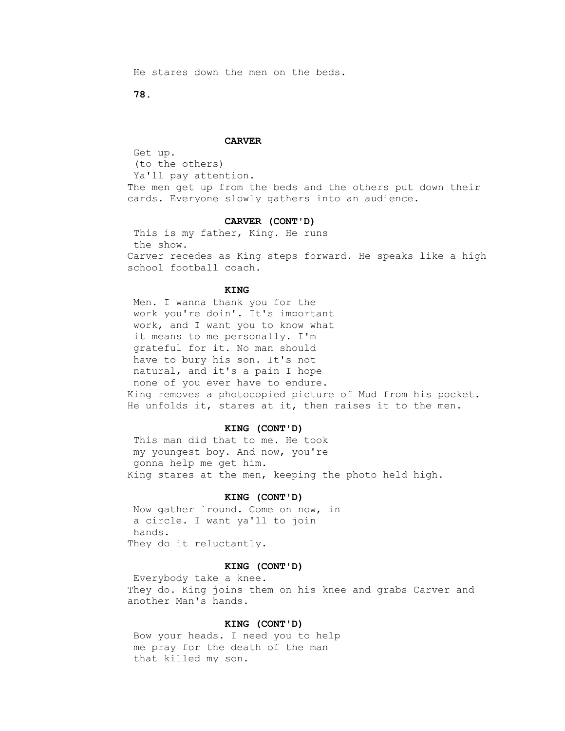He stares down the men on the beds.

 **78.**

#### **CARVER**

 Get up. (to the others) Ya'll pay attention. The men get up from the beds and the others put down their cards. Everyone slowly gathers into an audience.

### **CARVER (CONT'D)**

 This is my father, King. He runs the show. Carver recedes as King steps forward. He speaks like a high school football coach.

### **KING**

 Men. I wanna thank you for the work you're doin'. It's important work, and I want you to know what it means to me personally. I'm grateful for it. No man should have to bury his son. It's not natural, and it's a pain I hope none of you ever have to endure. King removes a photocopied picture of Mud from his pocket. He unfolds it, stares at it, then raises it to the men.

#### **KING (CONT'D)**

 This man did that to me. He took my youngest boy. And now, you're gonna help me get him. King stares at the men, keeping the photo held high.

# **KING (CONT'D)**

 Now gather `round. Come on now, in a circle. I want ya'll to join hands. They do it reluctantly.

#### **KING (CONT'D)**

 Everybody take a knee. They do. King joins them on his knee and grabs Carver and another Man's hands.

# **KING (CONT'D)**

 Bow your heads. I need you to help me pray for the death of the man that killed my son.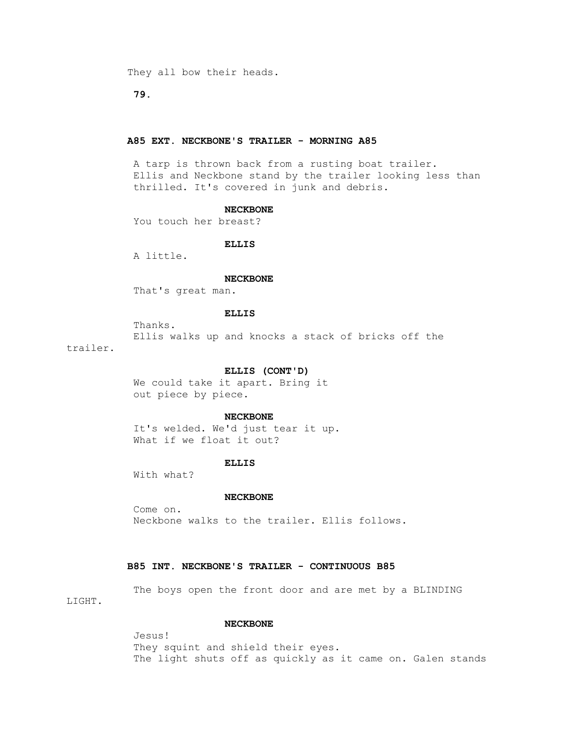They all bow their heads.

 **79.**

# **A85 EXT. NECKBONE'S TRAILER - MORNING A85**

 A tarp is thrown back from a rusting boat trailer. Ellis and Neckbone stand by the trailer looking less than thrilled. It's covered in junk and debris.

### **NECKBONE**

You touch her breast?

# **ELLIS**

A little.

### **NECKBONE**

That's great man.

### **ELLIS**

 Thanks. Ellis walks up and knocks a stack of bricks off the trailer.

# **ELLIS (CONT'D)**

 We could take it apart. Bring it out piece by piece.

### **NECKBONE**

 It's welded. We'd just tear it up. What if we float it out?

### **ELLIS**

With what?

### **NECKBONE**

 Come on. Neckbone walks to the trailer. Ellis follows.

# **B85 INT. NECKBONE'S TRAILER - CONTINUOUS B85**

 The boys open the front door and are met by a BLINDING LIGHT.

# **NECKBONE**

 Jesus! They squint and shield their eyes. The light shuts off as quickly as it came on. Galen stands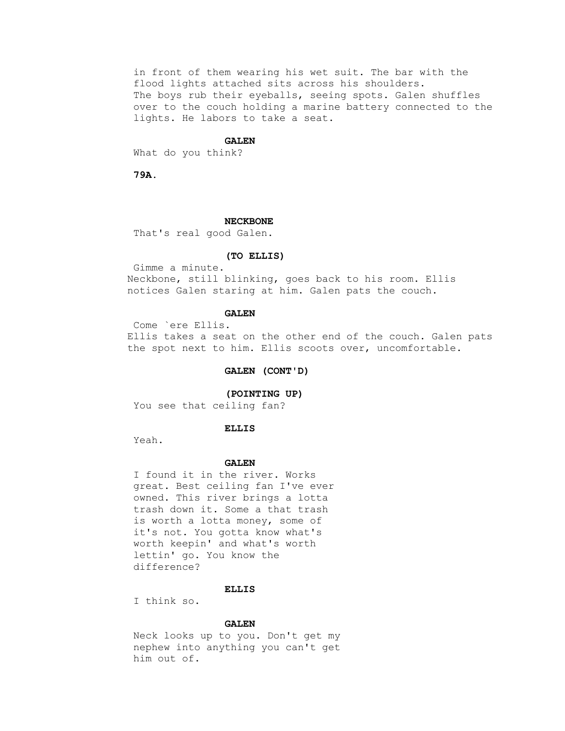in front of them wearing his wet suit. The bar with the flood lights attached sits across his shoulders. The boys rub their eyeballs, seeing spots. Galen shuffles over to the couch holding a marine battery connected to the lights. He labors to take a seat.

#### **GALEN**

What do you think?

 **79A.**

### **NECKBONE**

That's real good Galen.

#### **(TO ELLIS)**

 Gimme a minute. Neckbone, still blinking, goes back to his room. Ellis notices Galen staring at him. Galen pats the couch.

# **GALEN**

 Come `ere Ellis. Ellis takes a seat on the other end of the couch. Galen pats the spot next to him. Ellis scoots over, uncomfortable.

# **GALEN (CONT'D)**

 **(POINTING UP)**

You see that ceiling fan?

#### **ELLIS**

Yeah.

### **GALEN**

 I found it in the river. Works great. Best ceiling fan I've ever owned. This river brings a lotta trash down it. Some a that trash is worth a lotta money, some of it's not. You gotta know what's worth keepin' and what's worth lettin' go. You know the difference?

#### **ELLIS**

I think so.

#### **GALEN**

 Neck looks up to you. Don't get my nephew into anything you can't get him out of.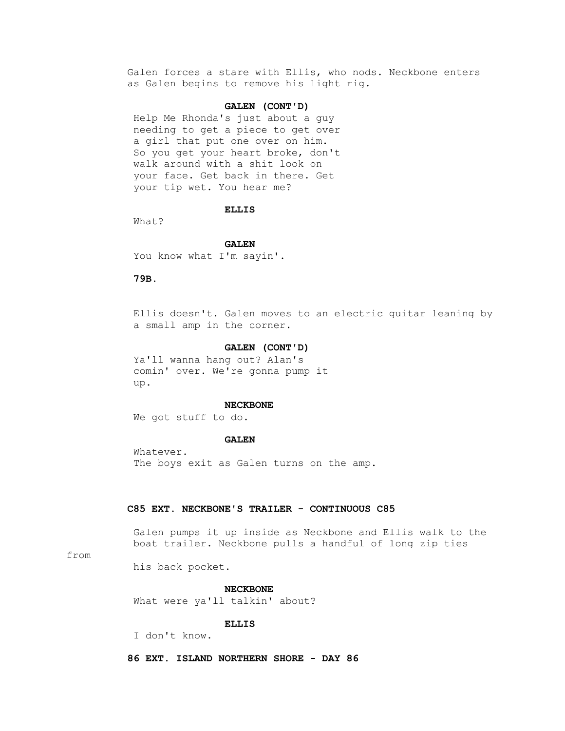Galen forces a stare with Ellis, who nods. Neckbone enters as Galen begins to remove his light rig.

# **GALEN (CONT'D)**

 Help Me Rhonda's just about a guy needing to get a piece to get over a girl that put one over on him. So you get your heart broke, don't walk around with a shit look on your face. Get back in there. Get your tip wet. You hear me?

#### **ELLIS**

What?

 **GALEN**

You know what I'm sayin'.

# **79B.**

 Ellis doesn't. Galen moves to an electric guitar leaning by a small amp in the corner.

### **GALEN (CONT'D)**

 Ya'll wanna hang out? Alan's comin' over. We're gonna pump it up.

#### **NECKBONE**

We got stuff to do.

# **GALEN**

 Whatever. The boys exit as Galen turns on the amp.

# **C85 EXT. NECKBONE'S TRAILER - CONTINUOUS C85**

 Galen pumps it up inside as Neckbone and Ellis walk to the boat trailer. Neckbone pulls a handful of long zip ties

# from

his back pocket.

 **NECKBONE**

What were ya'll talkin' about?

 **ELLIS**

I don't know.

 **86 EXT. ISLAND NORTHERN SHORE - DAY 86**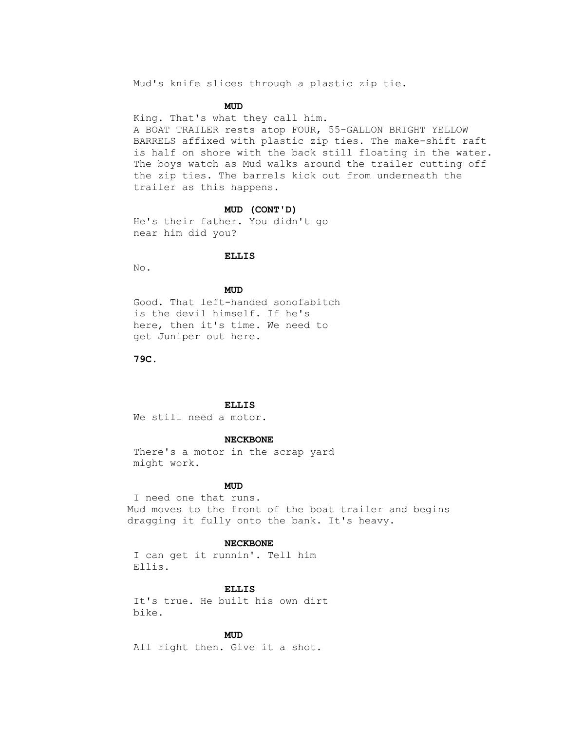Mud's knife slices through a plastic zip tie.

# **MUD**

 King. That's what they call him. A BOAT TRAILER rests atop FOUR, 55-GALLON BRIGHT YELLOW BARRELS affixed with plastic zip ties. The make-shift raft is half on shore with the back still floating in the water. The boys watch as Mud walks around the trailer cutting off the zip ties. The barrels kick out from underneath the trailer as this happens.

#### **MUD (CONT'D)**

 He's their father. You didn't go near him did you?

#### **ELLIS**

No.

# **MUD**

 Good. That left-handed sonofabitch is the devil himself. If he's here, then it's time. We need to get Juniper out here.

 **79C.**

# **ELLIS**

We still need a motor.

# **NECKBONE**

 There's a motor in the scrap yard might work.

# **MUD**

 I need one that runs. Mud moves to the front of the boat trailer and begins dragging it fully onto the bank. It's heavy.

#### **NECKBONE**

 I can get it runnin'. Tell him Ellis.

#### **ELLIS**

 It's true. He built his own dirt bike.

# **MUD**

All right then. Give it a shot.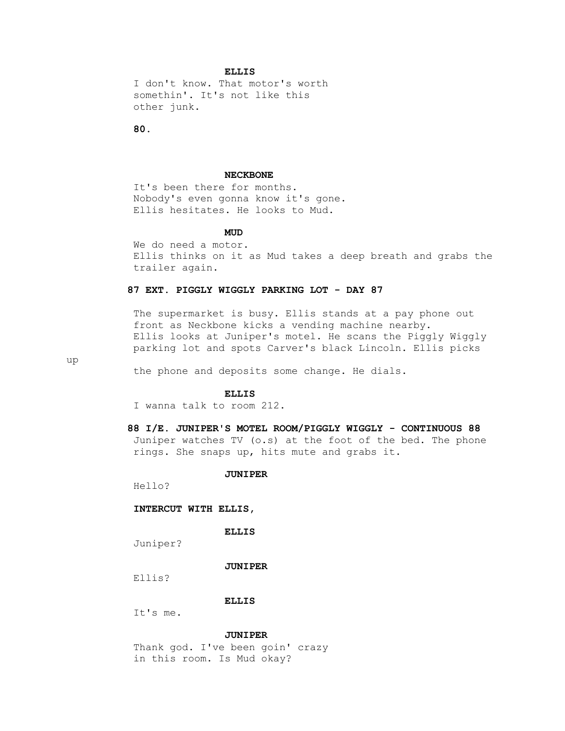I don't know. That motor's worth somethin'. It's not like this other junk.

 **80.**

#### **NECKBONE**

 It's been there for months. Nobody's even gonna know it's gone. Ellis hesitates. He looks to Mud.

# **MUD**

 We do need a motor. Ellis thinks on it as Mud takes a deep breath and grabs the trailer again.

# **87 EXT. PIGGLY WIGGLY PARKING LOT - DAY 87**

 The supermarket is busy. Ellis stands at a pay phone out front as Neckbone kicks a vending machine nearby. Ellis looks at Juniper's motel. He scans the Piggly Wiggly parking lot and spots Carver's black Lincoln. Ellis picks

up

the phone and deposits some change. He dials.

# **ELLIS**

I wanna talk to room 212.

 **88 I/E. JUNIPER'S MOTEL ROOM/PIGGLY WIGGLY - CONTINUOUS 88** Juniper watches TV (o.s) at the foot of the bed. The phone rings. She snaps up, hits mute and grabs it.

#### **JUNIPER**

Hello?

 **INTERCUT WITH ELLIS,**

 **ELLIS**

Juniper?

 **JUNIPER**

Ellis?

# **ELLIS**

It's me.

 **JUNIPER**

 Thank god. I've been goin' crazy in this room. Is Mud okay?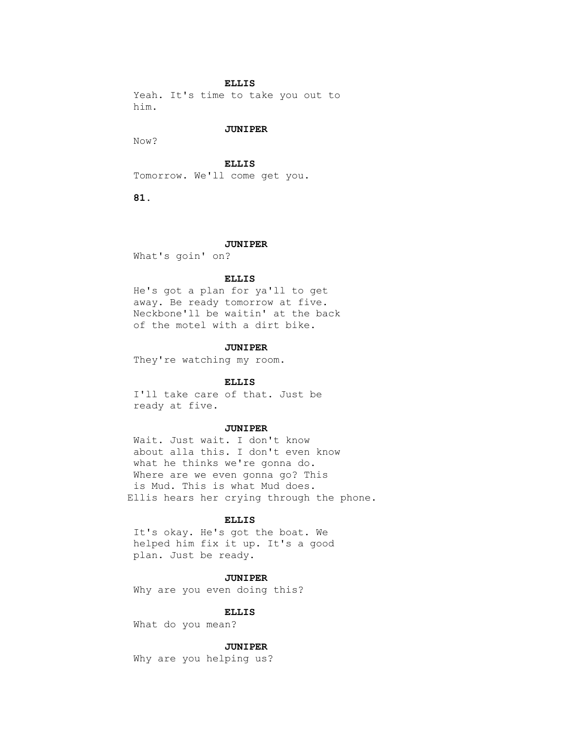Yeah. It's time to take you out to him.

### **JUNIPER**

Now?

 **ELLIS**

Tomorrow. We'll come get you.

 **81.**

# **JUNIPER**

What's goin' on?

# **ELLIS**

 He's got a plan for ya'll to get away. Be ready tomorrow at five. Neckbone'll be waitin' at the back of the motel with a dirt bike.

### **JUNIPER**

They're watching my room.

#### **ELLIS**

 I'll take care of that. Just be ready at five.

#### **JUNIPER**

 Wait. Just wait. I don't know about alla this. I don't even know what he thinks we're gonna do. Where are we even gonna go? This is Mud. This is what Mud does. Ellis hears her crying through the phone.

#### **ELLIS**

 It's okay. He's got the boat. We helped him fix it up. It's a good plan. Just be ready.

### **JUNIPER**

Why are you even doing this?

#### **ELLIS**

What do you mean?

### **JUNIPER**

Why are you helping us?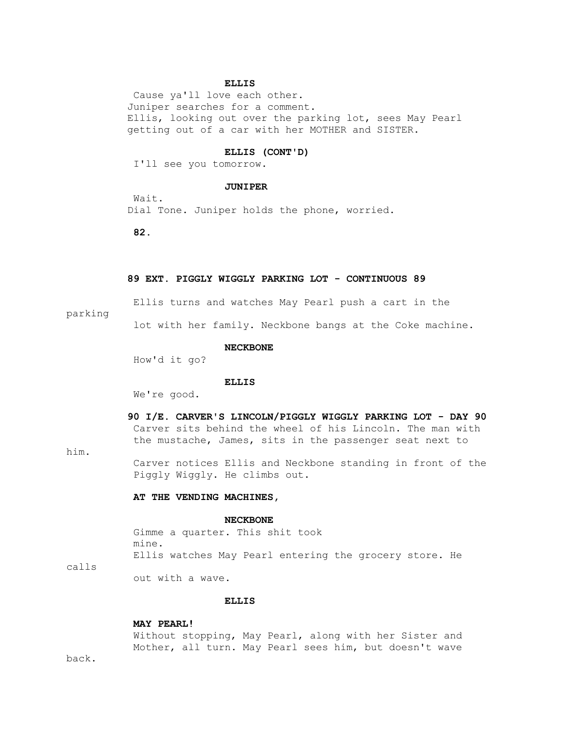Cause ya'll love each other. Juniper searches for a comment. Ellis, looking out over the parking lot, sees May Pearl getting out of a car with her MOTHER and SISTER.

# **ELLIS (CONT'D)**

I'll see you tomorrow.

#### **JUNIPER**

 Wait. Dial Tone. Juniper holds the phone, worried.

 **82.**

# **89 EXT. PIGGLY WIGGLY PARKING LOT - CONTINUOUS 89**

Ellis turns and watches May Pearl push a cart in the

### parking

lot with her family. Neckbone bangs at the Coke machine.

#### **NECKBONE**

How'd it go?

#### **ELLIS**

We're good.

 **90 I/E. CARVER'S LINCOLN/PIGGLY WIGGLY PARKING LOT - DAY 90** Carver sits behind the wheel of his Lincoln. The man with the mustache, James, sits in the passenger seat next to

him.

 Carver notices Ellis and Neckbone standing in front of the Piggly Wiggly. He climbs out.

# **AT THE VENDING MACHINES,**

#### **NECKBONE**

 Gimme a quarter. This shit took mine. Ellis watches May Pearl entering the grocery store. He

calls

out with a wave.

# **ELLIS**

### **MAY PEARL!**

 Without stopping, May Pearl, along with her Sister and Mother, all turn. May Pearl sees him, but doesn't wave

back.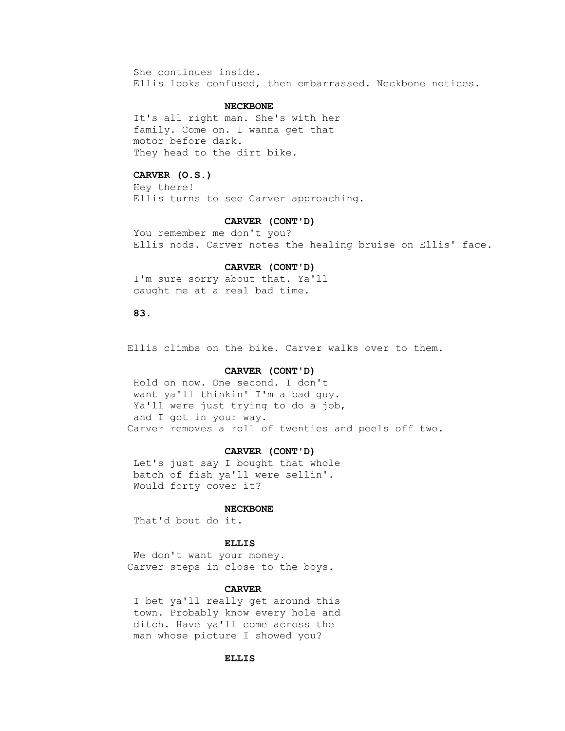She continues inside. Ellis looks confused, then embarrassed. Neckbone notices.

# **NECKBONE**

 It's all right man. She's with her family. Come on. I wanna get that motor before dark. They head to the dirt bike.

# **CARVER (O.S.)**

 Hey there! Ellis turns to see Carver approaching.

#### **CARVER (CONT'D)**

 You remember me don't you? Ellis nods. Carver notes the healing bruise on Ellis' face.

# **CARVER (CONT'D)**

 I'm sure sorry about that. Ya'll caught me at a real bad time.

# **83.**

Ellis climbs on the bike. Carver walks over to them.

# **CARVER (CONT'D)**

 Hold on now. One second. I don't want ya'll thinkin' I'm a bad guy. Ya'll were just trying to do a job, and I got in your way. Carver removes a roll of twenties and peels off two.

# **CARVER (CONT'D)**

 Let's just say I bought that whole batch of fish ya'll were sellin'. Would forty cover it?

### **NECKBONE**

That'd bout do it.

#### **ELLIS**

We don't want your money. Carver steps in close to the boys.

# **CARVER**

 I bet ya'll really get around this town. Probably know every hole and ditch. Have ya'll come across the man whose picture I showed you?

# **ELLIS**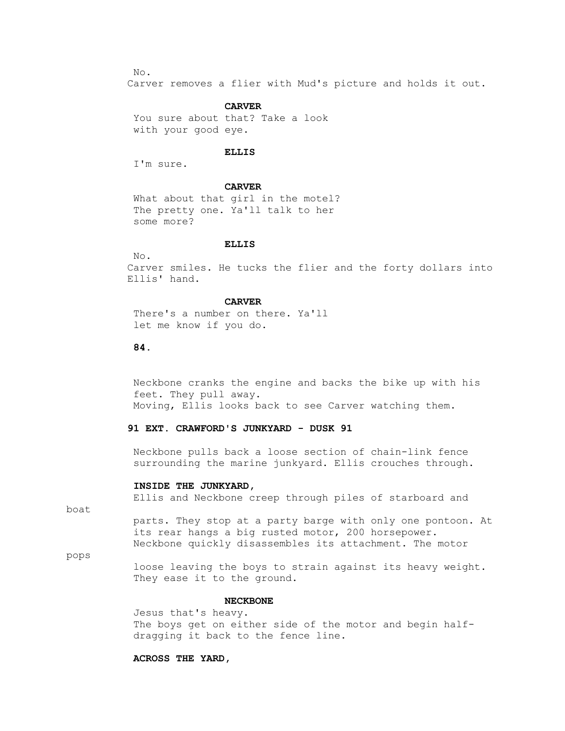No.

Carver removes a flier with Mud's picture and holds it out.

# **CARVER**

 You sure about that? Take a look with your good eye.

# **ELLIS**

I'm sure.

# **CARVER**

 What about that girl in the motel? The pretty one. Ya'll talk to her some more?

# **ELLIS**

No.

 Carver smiles. He tucks the flier and the forty dollars into Ellis' hand.

#### **CARVER**

 There's a number on there. Ya'll let me know if you do.

# **84.**

 Neckbone cranks the engine and backs the bike up with his feet. They pull away. Moving, Ellis looks back to see Carver watching them.

# **91 EXT. CRAWFORD'S JUNKYARD - DUSK 91**

 Neckbone pulls back a loose section of chain-link fence surrounding the marine junkyard. Ellis crouches through.

### **INSIDE THE JUNKYARD,**

Ellis and Neckbone creep through piles of starboard and

boat

 parts. They stop at a party barge with only one pontoon. At its rear hangs a big rusted motor, 200 horsepower. Neckbone quickly disassembles its attachment. The motor

pops

 loose leaving the boys to strain against its heavy weight. They ease it to the ground.

#### **NECKBONE**

 Jesus that's heavy. The boys get on either side of the motor and begin half dragging it back to the fence line.

### **ACROSS THE YARD,**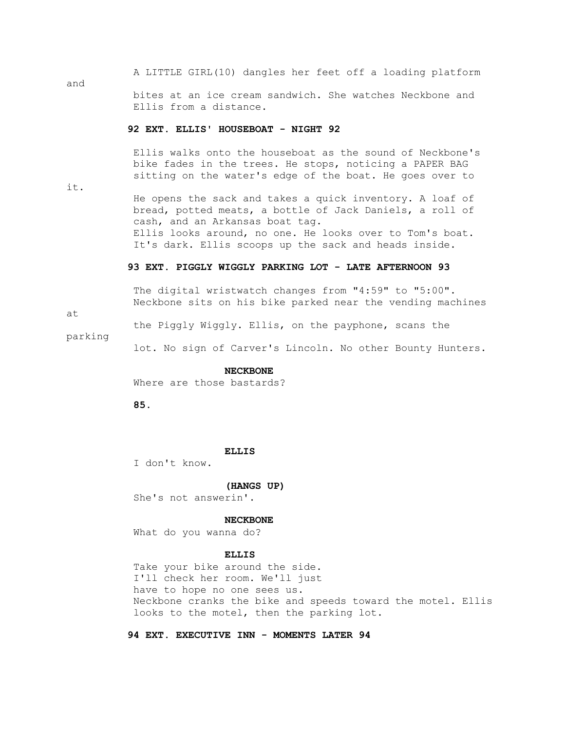A LITTLE GIRL(10) dangles her feet off a loading platform and bites at an ice cream sandwich. She watches Neckbone and Ellis from a distance.

# **92 EXT. ELLIS' HOUSEBOAT - NIGHT 92**

 Ellis walks onto the houseboat as the sound of Neckbone's bike fades in the trees. He stops, noticing a PAPER BAG sitting on the water's edge of the boat. He goes over to

it.

 He opens the sack and takes a quick inventory. A loaf of bread, potted meats, a bottle of Jack Daniels, a roll of cash, and an Arkansas boat tag. Ellis looks around, no one. He looks over to Tom's boat. It's dark. Ellis scoops up the sack and heads inside.

# **93 EXT. PIGGLY WIGGLY PARKING LOT - LATE AFTERNOON 93**

 The digital wristwatch changes from "4:59" to "5:00". Neckbone sits on his bike parked near the vending machines

at

the Piggly Wiggly. Ellis, on the payphone, scans the

parking

lot. No sign of Carver's Lincoln. No other Bounty Hunters.

# **NECKBONE**

Where are those bastards?

 **85.**

# **ELLIS**

I don't know.

#### **(HANGS UP)**

She's not answerin'.

#### **NECKBONE**

What do you wanna do?

#### **ELLIS**

 Take your bike around the side. I'll check her room. We'll just have to hope no one sees us. Neckbone cranks the bike and speeds toward the motel. Ellis looks to the motel, then the parking lot.

 **94 EXT. EXECUTIVE INN - MOMENTS LATER 94**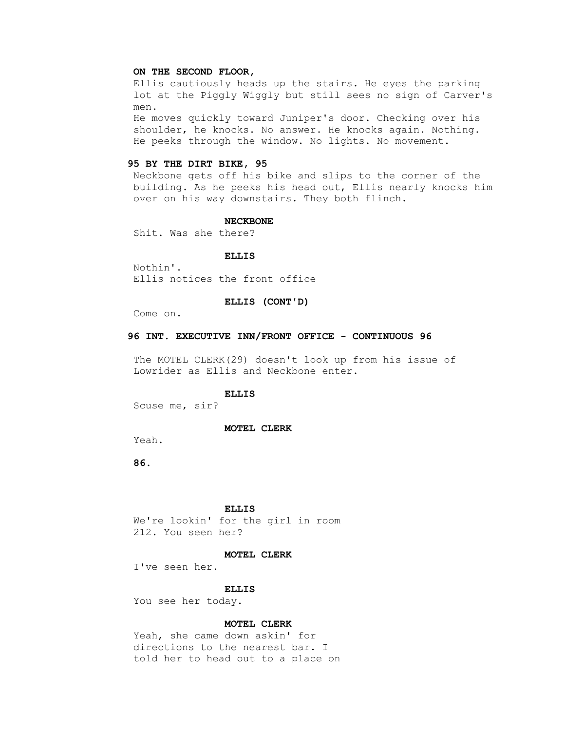### **ON THE SECOND FLOOR,**

 Ellis cautiously heads up the stairs. He eyes the parking lot at the Piggly Wiggly but still sees no sign of Carver's men.

 He moves quickly toward Juniper's door. Checking over his shoulder, he knocks. No answer. He knocks again. Nothing. He peeks through the window. No lights. No movement.

# **95 BY THE DIRT BIKE, 95**

 Neckbone gets off his bike and slips to the corner of the building. As he peeks his head out, Ellis nearly knocks him over on his way downstairs. They both flinch.

#### **NECKBONE**

Shit. Was she there?

#### **ELLIS**

 Nothin'. Ellis notices the front office

### **ELLIS (CONT'D)**

Come on.

# **96 INT. EXECUTIVE INN/FRONT OFFICE - CONTINUOUS 96**

 The MOTEL CLERK(29) doesn't look up from his issue of Lowrider as Ellis and Neckbone enter.

# **ELLIS**

Scuse me, sir?

#### **MOTEL CLERK**

Yeah.

 **86.**

### **ELLIS**

 We're lookin' for the girl in room 212. You seen her?

### **MOTEL CLERK**

I've seen her.

#### **ELLIS**

You see her today.

# **MOTEL CLERK**

 Yeah, she came down askin' for directions to the nearest bar. I told her to head out to a place on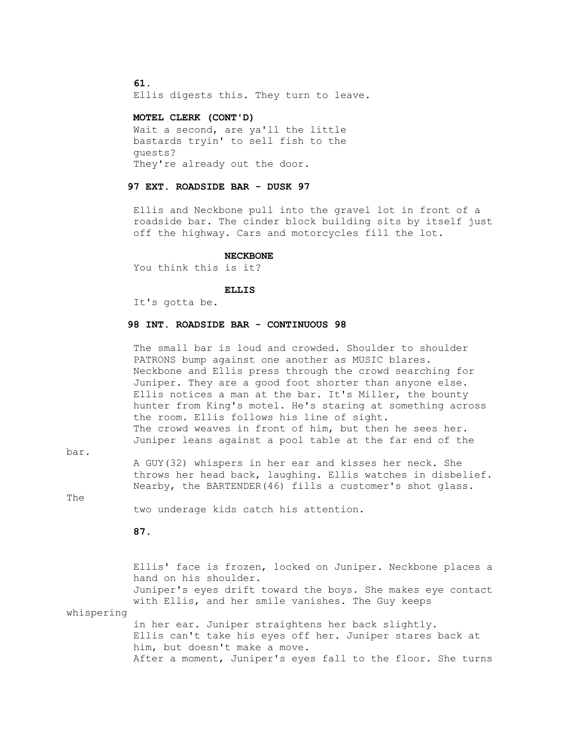### **61.**

Ellis digests this. They turn to leave.

# **MOTEL CLERK (CONT'D)**

 Wait a second, are ya'll the little bastards tryin' to sell fish to the guests? They're already out the door.

# **97 EXT. ROADSIDE BAR - DUSK 97**

 Ellis and Neckbone pull into the gravel lot in front of a roadside bar. The cinder block building sits by itself just off the highway. Cars and motorcycles fill the lot.

#### **NECKBONE**

You think this is it?

# **ELLIS**

It's gotta be.

# **98 INT. ROADSIDE BAR - CONTINUOUS 98**

 The small bar is loud and crowded. Shoulder to shoulder PATRONS bump against one another as MUSIC blares. Neckbone and Ellis press through the crowd searching for Juniper. They are a good foot shorter than anyone else. Ellis notices a man at the bar. It's Miller, the bounty hunter from King's motel. He's staring at something across the room. Ellis follows his line of sight. The crowd weaves in front of him, but then he sees her. Juniper leans against a pool table at the far end of the

bar.

 A GUY(32) whispers in her ear and kisses her neck. She throws her head back, laughing. Ellis watches in disbelief. Nearby, the BARTENDER(46) fills a customer's shot glass.

The

two underage kids catch his attention.

 **87.**

 Ellis' face is frozen, locked on Juniper. Neckbone places a hand on his shoulder. Juniper's eyes drift toward the boys. She makes eye contact with Ellis, and her smile vanishes. The Guy keeps whispering in her ear. Juniper straightens her back slightly. Ellis can't take his eyes off her. Juniper stares back at him, but doesn't make a move. After a moment, Juniper's eyes fall to the floor. She turns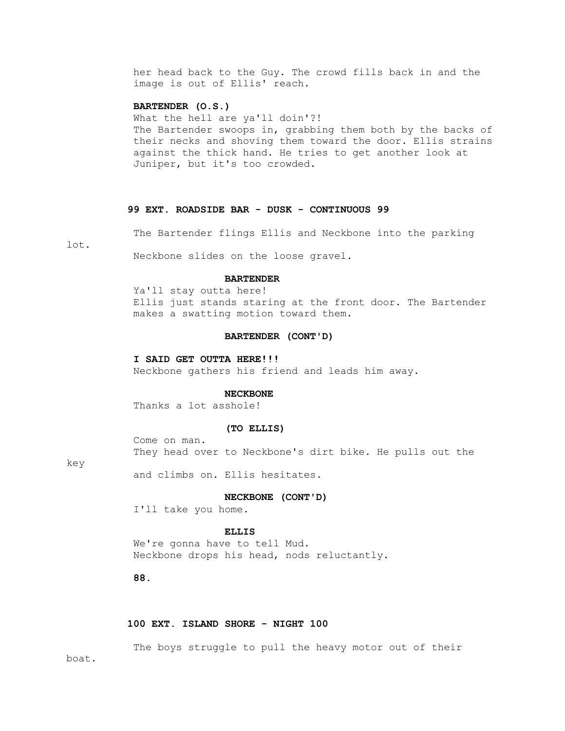her head back to the Guy. The crowd fills back in and the image is out of Ellis' reach.

# **BARTENDER (O.S.)**

 What the hell are ya'll doin'?! The Bartender swoops in, grabbing them both by the backs of their necks and shoving them toward the door. Ellis strains against the thick hand. He tries to get another look at Juniper, but it's too crowded.

# **99 EXT. ROADSIDE BAR - DUSK - CONTINUOUS 99**

The Bartender flings Ellis and Neckbone into the parking

lot.

Neckbone slides on the loose gravel.

### **BARTENDER**

 Ya'll stay outta here! Ellis just stands staring at the front door. The Bartender makes a swatting motion toward them.

# **BARTENDER (CONT'D)**

### **I SAID GET OUTTA HERE!!!**

Neckbone gathers his friend and leads him away.

# **NECKBONE**

Thanks a lot asshole!

#### **(TO ELLIS)**

 Come on man. They head over to Neckbone's dirt bike. He pulls out the

#### key

and climbs on. Ellis hesitates.

# **NECKBONE (CONT'D)**

I'll take you home.

# **ELLIS**

 We're gonna have to tell Mud. Neckbone drops his head, nods reluctantly.

 **88.**

# **100 EXT. ISLAND SHORE - NIGHT 100**

 The boys struggle to pull the heavy motor out of their boat.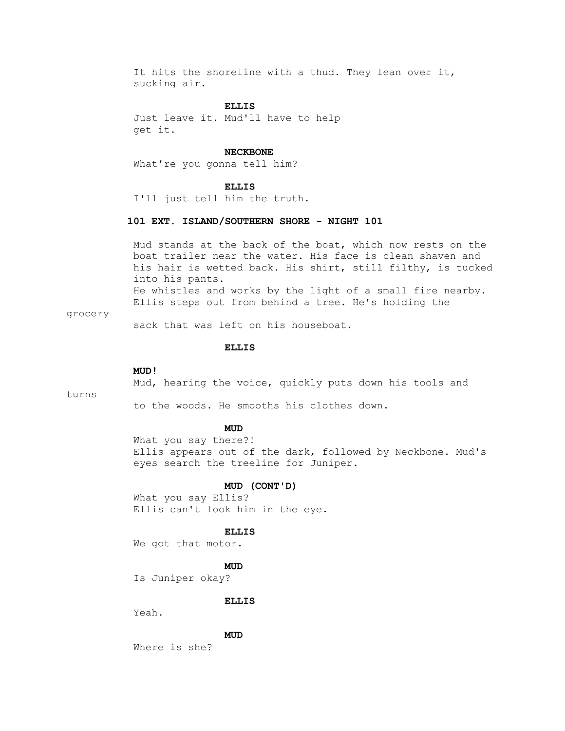It hits the shoreline with a thud. They lean over it, sucking air.

# **ELLIS**

 Just leave it. Mud'll have to help get it.

#### **NECKBONE**

What're you gonna tell him?

#### **ELLIS**

I'll just tell him the truth.

# **101 EXT. ISLAND/SOUTHERN SHORE - NIGHT 101**

 Mud stands at the back of the boat, which now rests on the boat trailer near the water. His face is clean shaven and his hair is wetted back. His shirt, still filthy, is tucked into his pants. He whistles and works by the light of a small fire nearby. Ellis steps out from behind a tree. He's holding the

### grocery

sack that was left on his houseboat.

#### **ELLIS**

#### **MUD!**

Mud, hearing the voice, quickly puts down his tools and

turns

to the woods. He smooths his clothes down.

# **MUD**

 What you say there?! Ellis appears out of the dark, followed by Neckbone. Mud's eyes search the treeline for Juniper.

#### **MUD (CONT'D)**

 What you say Ellis? Ellis can't look him in the eye.

### **ELLIS**

We got that motor.

# **MUD**

Is Juniper okay?

### **ELLIS**

Yeah.

# **MUD**

Where is she?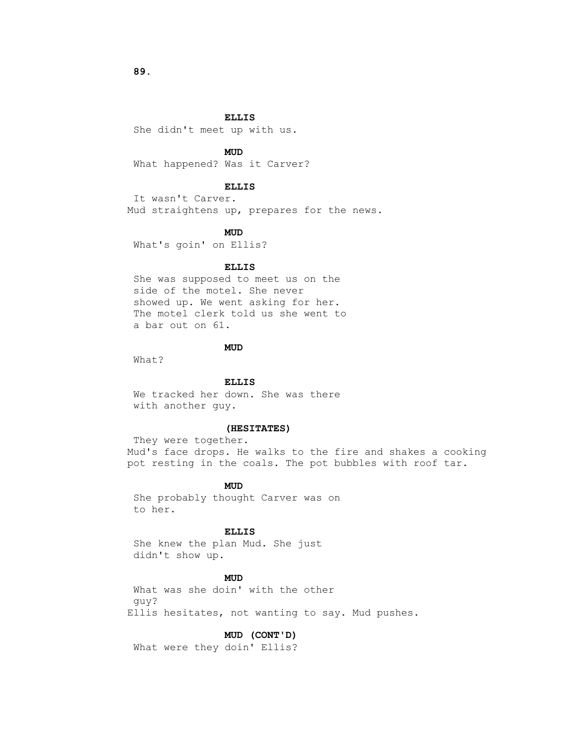She didn't meet up with us.

# **MUD**

What happened? Was it Carver?

# **ELLIS**

 It wasn't Carver. Mud straightens up, prepares for the news.

### **MUD**

What's goin' on Ellis?

# **ELLIS**

 She was supposed to meet us on the side of the motel. She never showed up. We went asking for her. The motel clerk told us she went to a bar out on 61.

# **MUD**

What?

# **ELLIS**

 We tracked her down. She was there with another guy.

# **(HESITATES)**

 They were together. Mud's face drops. He walks to the fire and shakes a cooking pot resting in the coals. The pot bubbles with roof tar.

# **MUD**

 She probably thought Carver was on to her.

# **ELLIS**

 She knew the plan Mud. She just didn't show up.

# **MUD**

 What was she doin' with the other guy? Ellis hesitates, not wanting to say. Mud pushes.

#### **MUD (CONT'D)**

What were they doin' Ellis?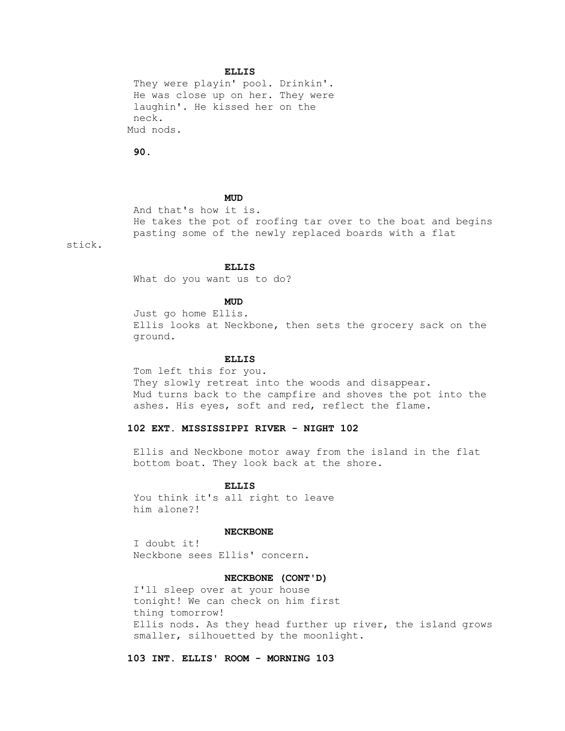They were playin' pool. Drinkin'. He was close up on her. They were laughin'. He kissed her on the neck. Mud nods.

 **90.**

# **MUD**

 And that's how it is. He takes the pot of roofing tar over to the boat and begins pasting some of the newly replaced boards with a flat

stick.

#### **ELLIS**

What do you want us to do?

# **MUD**

 Just go home Ellis. Ellis looks at Neckbone, then sets the grocery sack on the ground.

# **ELLIS**

 Tom left this for you. They slowly retreat into the woods and disappear. Mud turns back to the campfire and shoves the pot into the ashes. His eyes, soft and red, reflect the flame.

# **102 EXT. MISSISSIPPI RIVER - NIGHT 102**

 Ellis and Neckbone motor away from the island in the flat bottom boat. They look back at the shore.

# **ELLIS**

 You think it's all right to leave him alone?!

# **NECKBONE**

 I doubt it! Neckbone sees Ellis' concern.

# **NECKBONE (CONT'D)**

 I'll sleep over at your house tonight! We can check on him first thing tomorrow! Ellis nods. As they head further up river, the island grows smaller, silhouetted by the moonlight.

 **103 INT. ELLIS' ROOM - MORNING 103**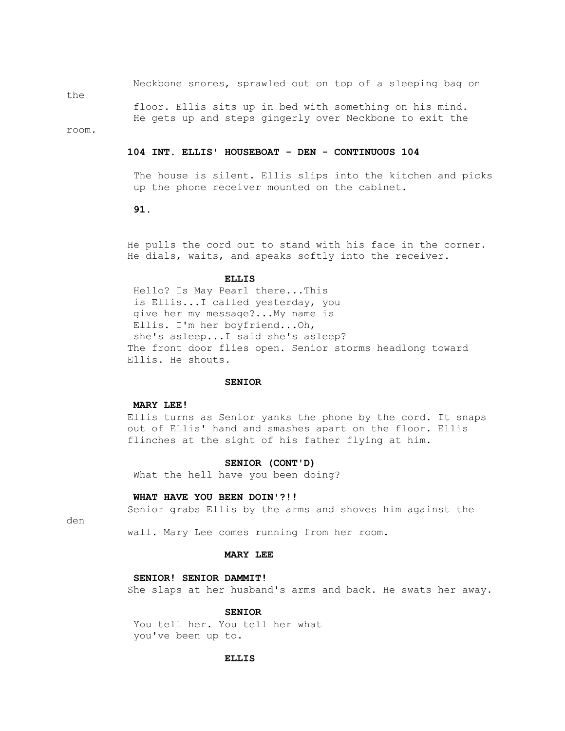Neckbone snores, sprawled out on top of a sleeping bag on

the

 floor. Ellis sits up in bed with something on his mind. He gets up and steps gingerly over Neckbone to exit the

room.

### **104 INT. ELLIS' HOUSEBOAT - DEN - CONTINUOUS 104**

 The house is silent. Ellis slips into the kitchen and picks up the phone receiver mounted on the cabinet.

#### **91.**

 He pulls the cord out to stand with his face in the corner. He dials, waits, and speaks softly into the receiver.

# **ELLIS**

 Hello? Is May Pearl there...This is Ellis...I called yesterday, you give her my message?...My name is Ellis. I'm her boyfriend...Oh, she's asleep...I said she's asleep? The front door flies open. Senior storms headlong toward Ellis. He shouts.

#### **SENIOR**

# **MARY LEE!**

 Ellis turns as Senior yanks the phone by the cord. It snaps out of Ellis' hand and smashes apart on the floor. Ellis flinches at the sight of his father flying at him.

#### **SENIOR (CONT'D)**

What the hell have you been doing?

#### **WHAT HAVE YOU BEEN DOIN'?!!**

Senior grabs Ellis by the arms and shoves him against the

den

wall. Mary Lee comes running from her room.

#### **MARY LEE**

# **SENIOR! SENIOR DAMMIT!**

She slaps at her husband's arms and back. He swats her away.

#### **SENIOR**

 You tell her. You tell her what you've been up to.

### **ELLIS**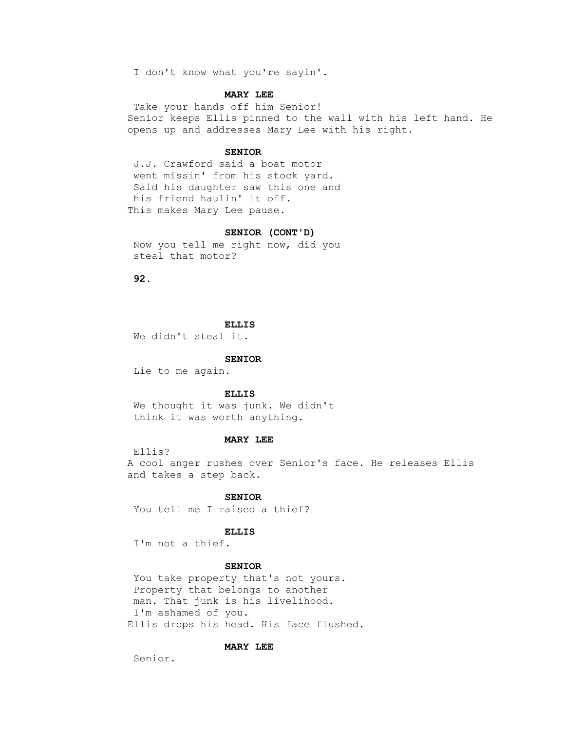I don't know what you're sayin'.

### **MARY LEE**

 Take your hands off him Senior! Senior keeps Ellis pinned to the wall with his left hand. He opens up and addresses Mary Lee with his right.

### **SENIOR**

 J.J. Crawford said a boat motor went missin' from his stock yard. Said his daughter saw this one and his friend haulin' it off. This makes Mary Lee pause.

# **SENIOR (CONT'D)**

 Now you tell me right now, did you steal that motor?

 **92.**

### **ELLIS**

We didn't steal it.

#### **SENIOR**

Lie to me again.

#### **ELLIS**

 We thought it was junk. We didn't think it was worth anything.

# **MARY LEE**

Ellis?

 A cool anger rushes over Senior's face. He releases Ellis and takes a step back.

# **SENIOR**

You tell me I raised a thief?

### **ELLIS**

I'm not a thief.

### **SENIOR**

You take property that's not yours. Property that belongs to another man. That junk is his livelihood. I'm ashamed of you. Ellis drops his head. His face flushed.

### **MARY LEE**

Senior.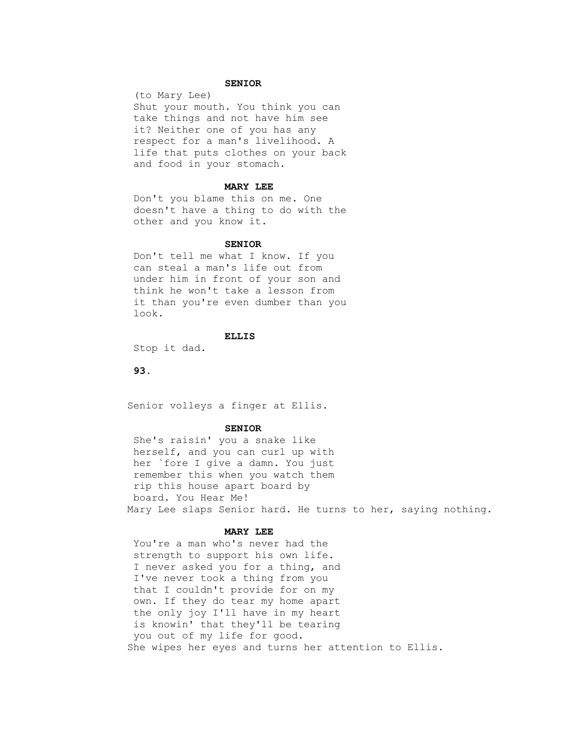### **SENIOR**

 (to Mary Lee) Shut your mouth. You think you can take things and not have him see it? Neither one of you has any respect for a man's livelihood. A life that puts clothes on your back and food in your stomach.

#### **MARY LEE**

 Don't you blame this on me. One doesn't have a thing to do with the other and you know it.

#### **SENIOR**

 Don't tell me what I know. If you can steal a man's life out from under him in front of your son and think he won't take a lesson from it than you're even dumber than you look.

### **ELLIS**

Stop it dad.

# **93.**

Senior volleys a finger at Ellis.

#### **SENIOR**

 She's raisin' you a snake like herself, and you can curl up with her `fore I give a damn. You just remember this when you watch them rip this house apart board by board. You Hear Me! Mary Lee slaps Senior hard. He turns to her, saying nothing.

# **MARY LEE**

 You're a man who's never had the strength to support his own life. I never asked you for a thing, and I've never took a thing from you that I couldn't provide for on my own. If they do tear my home apart the only joy I'll have in my heart is knowin' that they'll be tearing you out of my life for good. She wipes her eyes and turns her attention to Ellis.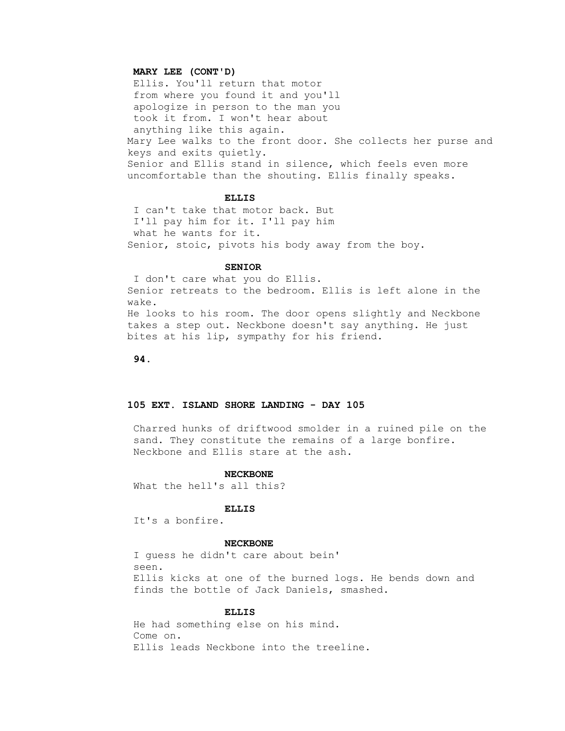# **MARY LEE (CONT'D)**

 Ellis. You'll return that motor from where you found it and you'll apologize in person to the man you took it from. I won't hear about anything like this again. Mary Lee walks to the front door. She collects her purse and keys and exits quietly. Senior and Ellis stand in silence, which feels even more uncomfortable than the shouting. Ellis finally speaks.

### **ELLIS**

 I can't take that motor back. But I'll pay him for it. I'll pay him what he wants for it. Senior, stoic, pivots his body away from the boy.

#### **SENIOR**

 I don't care what you do Ellis. Senior retreats to the bedroom. Ellis is left alone in the wake. He looks to his room. The door opens slightly and Neckbone takes a step out. Neckbone doesn't say anything. He just bites at his lip, sympathy for his friend.

 **94.**

# **105 EXT. ISLAND SHORE LANDING - DAY 105**

 Charred hunks of driftwood smolder in a ruined pile on the sand. They constitute the remains of a large bonfire. Neckbone and Ellis stare at the ash.

#### **NECKBONE**

What the hell's all this?

### **ELLIS**

It's a bonfire.

#### **NECKBONE**

 I guess he didn't care about bein' seen. Ellis kicks at one of the burned logs. He bends down and finds the bottle of Jack Daniels, smashed.

# **ELLIS**

 He had something else on his mind. Come on. Ellis leads Neckbone into the treeline.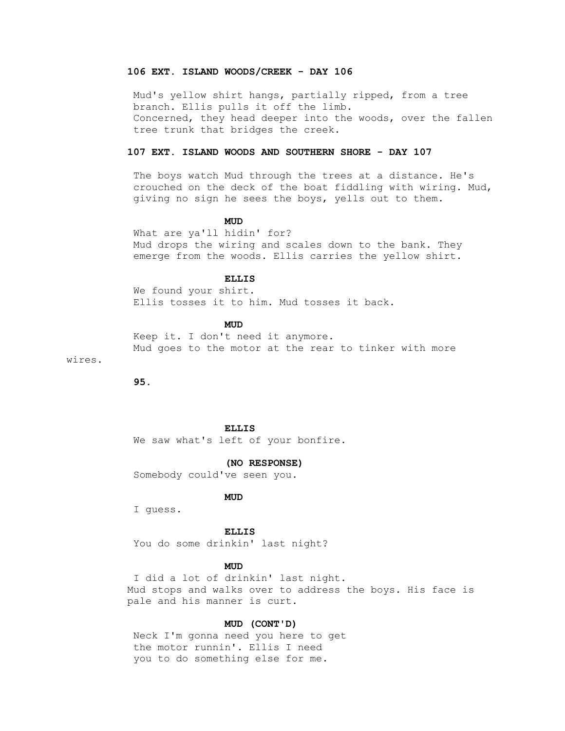# **106 EXT. ISLAND WOODS/CREEK - DAY 106**

 Mud's yellow shirt hangs, partially ripped, from a tree branch. Ellis pulls it off the limb. Concerned, they head deeper into the woods, over the fallen tree trunk that bridges the creek.

# **107 EXT. ISLAND WOODS AND SOUTHERN SHORE - DAY 107**

 The boys watch Mud through the trees at a distance. He's crouched on the deck of the boat fiddling with wiring. Mud, giving no sign he sees the boys, yells out to them.

# **MUD**

 What are ya'll hidin' for? Mud drops the wiring and scales down to the bank. They emerge from the woods. Ellis carries the yellow shirt.

# **ELLIS**

 We found your shirt. Ellis tosses it to him. Mud tosses it back.

# **MUD**

 Keep it. I don't need it anymore. Mud goes to the motor at the rear to tinker with more

wires.

 **95.**

#### **ELLIS**

We saw what's left of your bonfire.

 **(NO RESPONSE)**

Somebody could've seen you.

# **MUD**

I guess.

# **ELLIS**

You do some drinkin' last night?

# **MUD**

 I did a lot of drinkin' last night. Mud stops and walks over to address the boys. His face is pale and his manner is curt.

# **MUD (CONT'D)**

 Neck I'm gonna need you here to get the motor runnin'. Ellis I need you to do something else for me.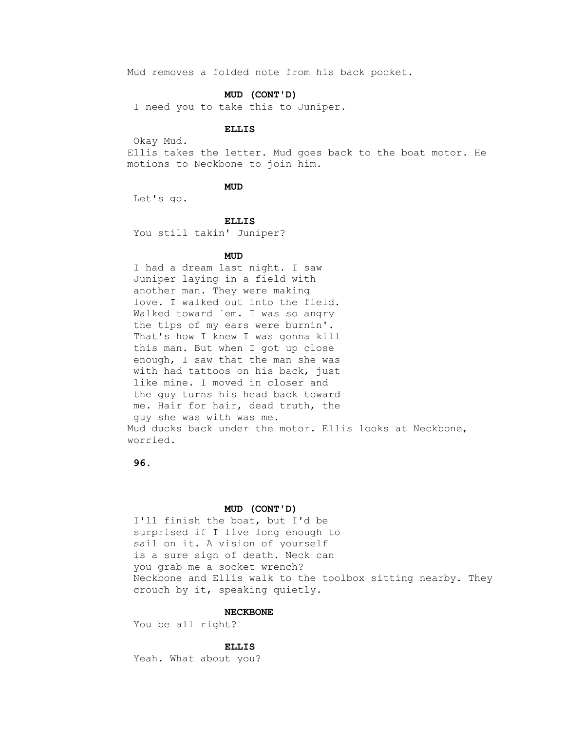Mud removes a folded note from his back pocket.

### **MUD (CONT'D)**

I need you to take this to Juniper.

# **ELLIS**

Okay Mud.

 Ellis takes the letter. Mud goes back to the boat motor. He motions to Neckbone to join him.

# **MUD**

Let's go.

#### **ELLIS**

You still takin' Juniper?

# **MUD**

 I had a dream last night. I saw Juniper laying in a field with another man. They were making love. I walked out into the field. Walked toward `em. I was so angry the tips of my ears were burnin'. That's how I knew I was gonna kill this man. But when I got up close enough, I saw that the man she was with had tattoos on his back, just like mine. I moved in closer and the guy turns his head back toward me. Hair for hair, dead truth, the guy she was with was me. Mud ducks back under the motor. Ellis looks at Neckbone, worried.

 **96.**

### **MUD (CONT'D)**

 I'll finish the boat, but I'd be surprised if I live long enough to sail on it. A vision of yourself is a sure sign of death. Neck can you grab me a socket wrench? Neckbone and Ellis walk to the toolbox sitting nearby. They crouch by it, speaking quietly.

# **NECKBONE**

You be all right?

#### **ELLIS**

Yeah. What about you?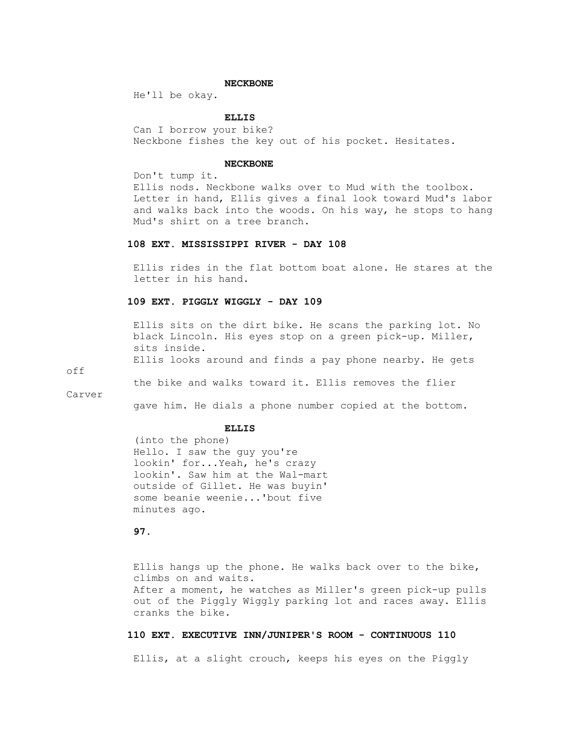#### **NECKBONE**

He'll be okay.

# **ELLIS**

 Can I borrow your bike? Neckbone fishes the key out of his pocket. Hesitates.

#### **NECKBONE**

Don't tump it.

 Ellis nods. Neckbone walks over to Mud with the toolbox. Letter in hand, Ellis gives a final look toward Mud's labor and walks back into the woods. On his way, he stops to hang Mud's shirt on a tree branch.

# **108 EXT. MISSISSIPPI RIVER - DAY 108**

 Ellis rides in the flat bottom boat alone. He stares at the letter in his hand.

## **109 EXT. PIGGLY WIGGLY - DAY 109**

 Ellis sits on the dirt bike. He scans the parking lot. No black Lincoln. His eyes stop on a green pick-up. Miller, sits inside. Ellis looks around and finds a pay phone nearby. He gets

off

the bike and walks toward it. Ellis removes the flier

Carver

gave him. He dials a phone number copied at the bottom.

#### **ELLIS**

 (into the phone) Hello. I saw the guy you're lookin' for...Yeah, he's crazy lookin'. Saw him at the Wal-mart outside of Gillet. He was buyin' some beanie weenie...'bout five minutes ago.

## **97.**

 Ellis hangs up the phone. He walks back over to the bike, climbs on and waits. After a moment, he watches as Miller's green pick-up pulls out of the Piggly Wiggly parking lot and races away. Ellis cranks the bike.

## **110 EXT. EXECUTIVE INN/JUNIPER'S ROOM - CONTINUOUS 110**

Ellis, at a slight crouch, keeps his eyes on the Piggly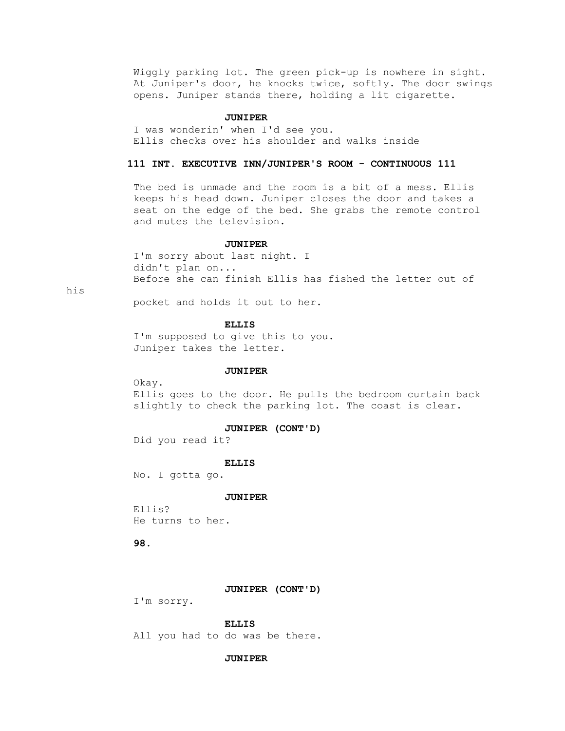Wiggly parking lot. The green pick-up is nowhere in sight. At Juniper's door, he knocks twice, softly. The door swings opens. Juniper stands there, holding a lit cigarette.

### **JUNIPER**

 I was wonderin' when I'd see you. Ellis checks over his shoulder and walks inside

## **111 INT. EXECUTIVE INN/JUNIPER'S ROOM - CONTINUOUS 111**

 The bed is unmade and the room is a bit of a mess. Ellis keeps his head down. Juniper closes the door and takes a seat on the edge of the bed. She grabs the remote control and mutes the television.

### **JUNIPER**

 I'm sorry about last night. I didn't plan on... Before she can finish Ellis has fished the letter out of

his

pocket and holds it out to her.

### **ELLIS**

 I'm supposed to give this to you. Juniper takes the letter.

### **JUNIPER**

Okay.

 Ellis goes to the door. He pulls the bedroom curtain back slightly to check the parking lot. The coast is clear.

#### **JUNIPER (CONT'D)**

Did you read it?

#### **ELLIS**

No. I gotta go.

### **JUNIPER**

 Ellis? He turns to her.

## **98.**

#### **JUNIPER (CONT'D)**

I'm sorry.

#### **ELLIS**

All you had to do was be there.

### **JUNIPER**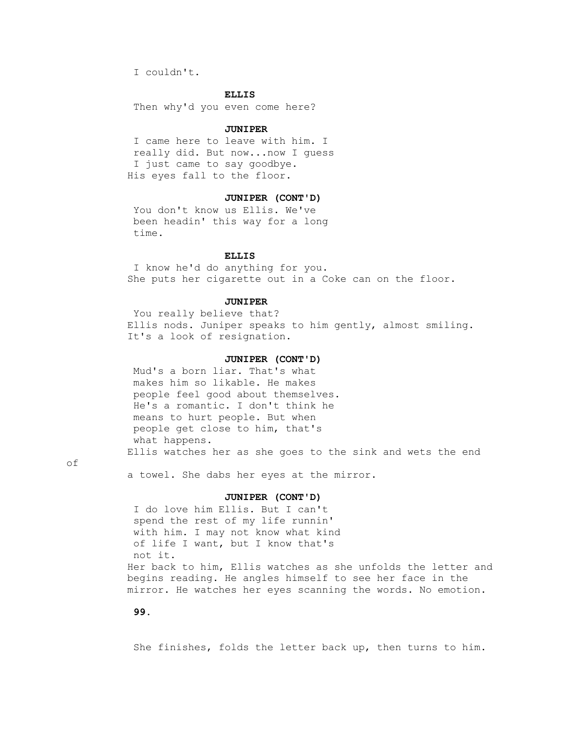I couldn't.

### **ELLIS**

Then why'd you even come here?

#### **JUNIPER**

 I came here to leave with him. I really did. But now...now I guess I just came to say goodbye. His eyes fall to the floor.

# **JUNIPER (CONT'D)**

 You don't know us Ellis. We've been headin' this way for a long time.

#### **ELLIS**

 I know he'd do anything for you. She puts her cigarette out in a Coke can on the floor.

### **JUNIPER**

 You really believe that? Ellis nods. Juniper speaks to him gently, almost smiling. It's a look of resignation.

### **JUNIPER (CONT'D)**

 Mud's a born liar. That's what makes him so likable. He makes people feel good about themselves. He's a romantic. I don't think he means to hurt people. But when people get close to him, that's what happens. Ellis watches her as she goes to the sink and wets the end

of

a towel. She dabs her eyes at the mirror.

### **JUNIPER (CONT'D)**

 I do love him Ellis. But I can't spend the rest of my life runnin' with him. I may not know what kind of life I want, but I know that's not it. Her back to him, Ellis watches as she unfolds the letter and begins reading. He angles himself to see her face in the mirror. He watches her eyes scanning the words. No emotion.

# **99.**

She finishes, folds the letter back up, then turns to him.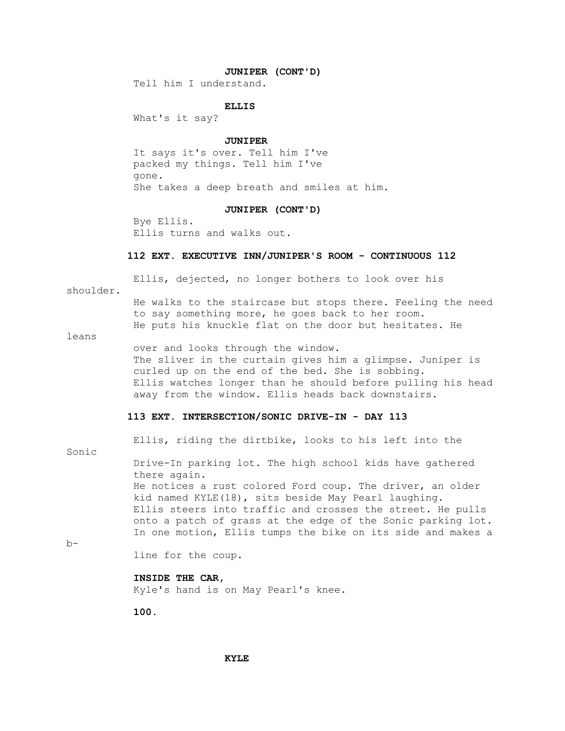### **JUNIPER (CONT'D)**

Tell him I understand.

### **ELLIS**

What's it say?

#### **JUNIPER**

 It says it's over. Tell him I've packed my things. Tell him I've gone. She takes a deep breath and smiles at him.

#### **JUNIPER (CONT'D)**

 Bye Ellis. Ellis turns and walks out.

#### **112 EXT. EXECUTIVE INN/JUNIPER'S ROOM - CONTINUOUS 112**

Ellis, dejected, no longer bothers to look over his

shoulder.

 He walks to the staircase but stops there. Feeling the need to say something more, he goes back to her room. He puts his knuckle flat on the door but hesitates. He

leans

 over and looks through the window. The sliver in the curtain gives him a glimpse. Juniper is curled up on the end of the bed. She is sobbing. Ellis watches longer than he should before pulling his head away from the window. Ellis heads back downstairs.

## **113 EXT. INTERSECTION/SONIC DRIVE-IN - DAY 113**

Sonic

Ellis, riding the dirtbike, looks to his left into the

 Drive-In parking lot. The high school kids have gathered there again. He notices a rust colored Ford coup. The driver, an older kid named KYLE(18), sits beside May Pearl laughing. Ellis steers into traffic and crosses the street. He pulls onto a patch of grass at the edge of the Sonic parking lot. In one motion, Ellis tumps the bike on its side and makes a

 $b-$ 

line for the coup.

# **INSIDE THE CAR,**

Kyle's hand is on May Pearl's knee.

 **100.**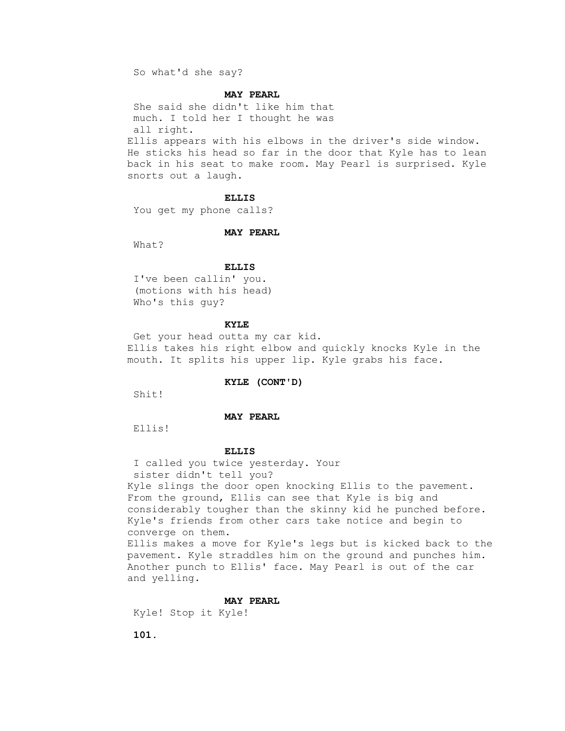So what'd she say?

### **MAY PEARL**

 She said she didn't like him that much. I told her I thought he was all right. Ellis appears with his elbows in the driver's side window. He sticks his head so far in the door that Kyle has to lean back in his seat to make room. May Pearl is surprised. Kyle

snorts out a laugh.

#### **ELLIS**

You get my phone calls?

### **MAY PEARL**

What?

#### **ELLIS**

 I've been callin' you. (motions with his head) Who's this guy?

## **KYLE**

 Get your head outta my car kid. Ellis takes his right elbow and quickly knocks Kyle in the mouth. It splits his upper lip. Kyle grabs his face.

#### **KYLE (CONT'D)**

Shit!

## **MAY PEARL**

Ellis!

### **ELLIS**

 I called you twice yesterday. Your sister didn't tell you? Kyle slings the door open knocking Ellis to the pavement. From the ground, Ellis can see that Kyle is big and considerably tougher than the skinny kid he punched before. Kyle's friends from other cars take notice and begin to converge on them. Ellis makes a move for Kyle's legs but is kicked back to the pavement. Kyle straddles him on the ground and punches him. Another punch to Ellis' face. May Pearl is out of the car and yelling.

### **MAY PEARL**

Kyle! Stop it Kyle!

 **101.**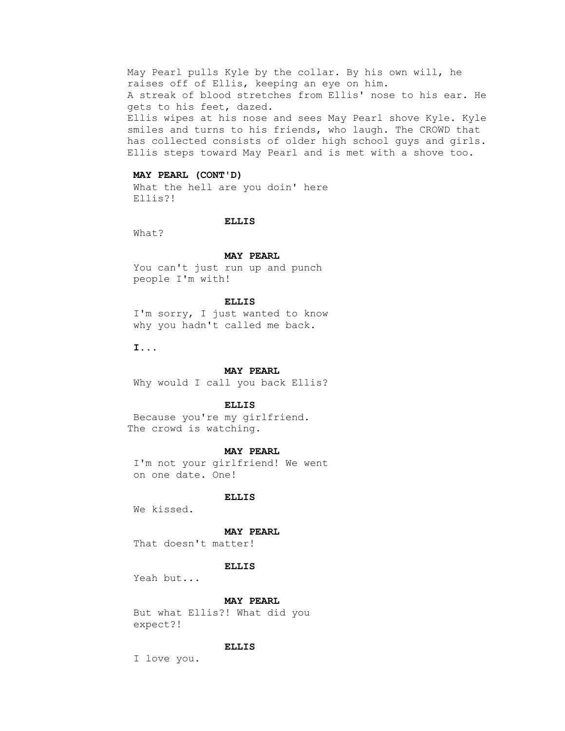May Pearl pulls Kyle by the collar. By his own will, he raises off of Ellis, keeping an eye on him. A streak of blood stretches from Ellis' nose to his ear. He gets to his feet, dazed. Ellis wipes at his nose and sees May Pearl shove Kyle. Kyle smiles and turns to his friends, who laugh. The CROWD that has collected consists of older high school guys and girls. Ellis steps toward May Pearl and is met with a shove too.

### **MAY PEARL (CONT'D)**

 What the hell are you doin' here Ellis?!

#### **ELLIS**

What?

#### **MAY PEARL**

 You can't just run up and punch people I'm with!

#### **ELLIS**

 I'm sorry, I just wanted to know why you hadn't called me back.

 **I...**

### **MAY PEARL**

Why would I call you back Ellis?

### **ELLIS**

 Because you're my girlfriend. The crowd is watching.

#### **MAY PEARL**

 I'm not your girlfriend! We went on one date. One!

### **ELLIS**

We kissed.

### **MAY PEARL**

That doesn't matter!

#### **ELLIS**

Yeah but...

### **MAY PEARL**

 But what Ellis?! What did you expect?!

### **ELLIS**

I love you.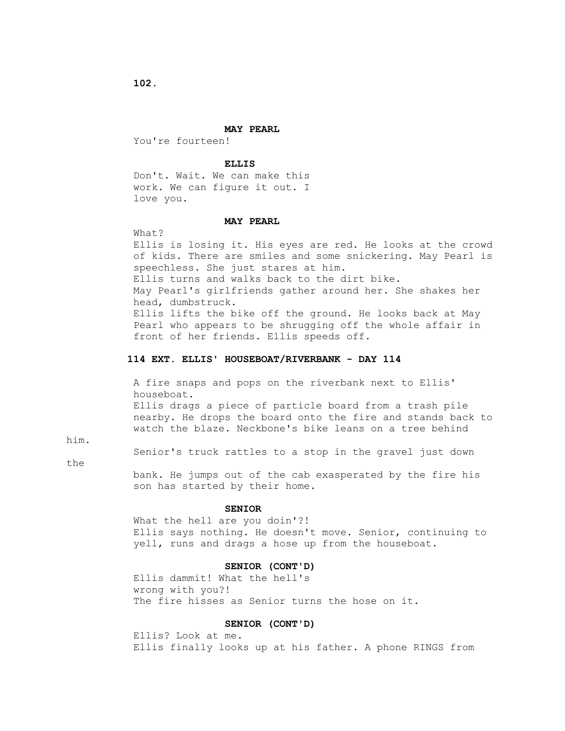**102.**

#### **MAY PEARL**

You're fourteen!

### **ELLIS**

 Don't. Wait. We can make this work. We can figure it out. I love you.

#### **MAY PEARL**

### What?

 Ellis is losing it. His eyes are red. He looks at the crowd of kids. There are smiles and some snickering. May Pearl is speechless. She just stares at him. Ellis turns and walks back to the dirt bike. May Pearl's girlfriends gather around her. She shakes her head, dumbstruck. Ellis lifts the bike off the ground. He looks back at May Pearl who appears to be shrugging off the whole affair in front of her friends. Ellis speeds off.

# **114 EXT. ELLIS' HOUSEBOAT/RIVERBANK - DAY 114**

 A fire snaps and pops on the riverbank next to Ellis' houseboat. Ellis drags a piece of particle board from a trash pile nearby. He drops the board onto the fire and stands back to watch the blaze. Neckbone's bike leans on a tree behind

him.

Senior's truck rattles to a stop in the gravel just down

the

 bank. He jumps out of the cab exasperated by the fire his son has started by their home.

### **SENIOR**

 What the hell are you doin'?! Ellis says nothing. He doesn't move. Senior, continuing to yell, runs and drags a hose up from the houseboat.

### **SENIOR (CONT'D)**

 Ellis dammit! What the hell's wrong with you?! The fire hisses as Senior turns the hose on it.

### **SENIOR (CONT'D)**

 Ellis? Look at me. Ellis finally looks up at his father. A phone RINGS from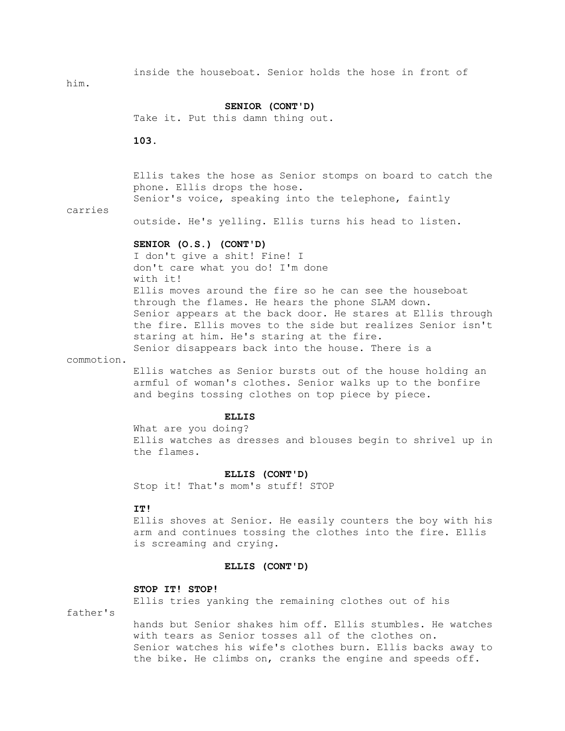inside the houseboat. Senior holds the hose in front of

him.

### **SENIOR (CONT'D)**

Take it. Put this damn thing out.

 **103.**

 Ellis takes the hose as Senior stomps on board to catch the phone. Ellis drops the hose. Senior's voice, speaking into the telephone, faintly

carries

outside. He's yelling. Ellis turns his head to listen.

### **SENIOR (O.S.) (CONT'D)**

 I don't give a shit! Fine! I don't care what you do! I'm done with it! Ellis moves around the fire so he can see the houseboat through the flames. He hears the phone SLAM down. Senior appears at the back door. He stares at Ellis through the fire. Ellis moves to the side but realizes Senior isn't staring at him. He's staring at the fire. Senior disappears back into the house. There is a

commotion.

 Ellis watches as Senior bursts out of the house holding an armful of woman's clothes. Senior walks up to the bonfire and begins tossing clothes on top piece by piece.

### **ELLIS**

 What are you doing? Ellis watches as dresses and blouses begin to shrivel up in the flames.

#### **ELLIS (CONT'D)**

Stop it! That's mom's stuff! STOP

# **IT!**

 Ellis shoves at Senior. He easily counters the boy with his arm and continues tossing the clothes into the fire. Ellis is screaming and crying.

#### **ELLIS (CONT'D)**

#### **STOP IT! STOP!**

Ellis tries yanking the remaining clothes out of his

father's

 hands but Senior shakes him off. Ellis stumbles. He watches with tears as Senior tosses all of the clothes on. Senior watches his wife's clothes burn. Ellis backs away to the bike. He climbs on, cranks the engine and speeds off.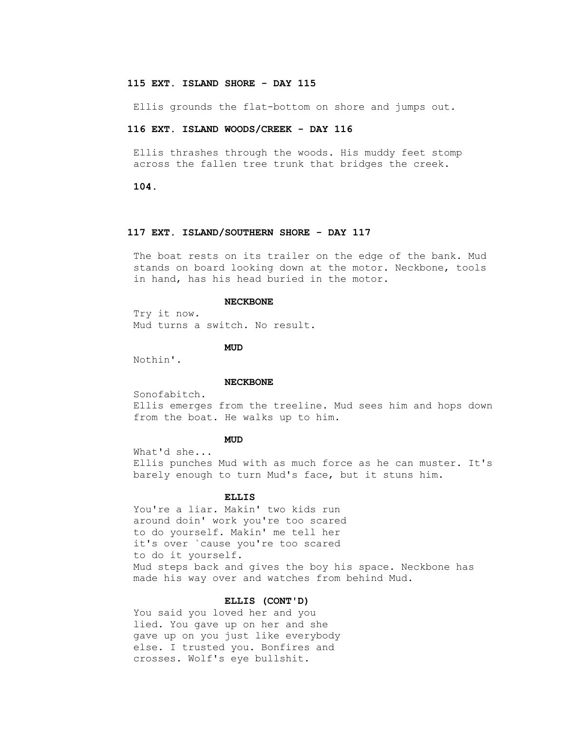## **115 EXT. ISLAND SHORE - DAY 115**

Ellis grounds the flat-bottom on shore and jumps out.

### **116 EXT. ISLAND WOODS/CREEK - DAY 116**

 Ellis thrashes through the woods. His muddy feet stomp across the fallen tree trunk that bridges the creek.

 **104.**

### **117 EXT. ISLAND/SOUTHERN SHORE - DAY 117**

 The boat rests on its trailer on the edge of the bank. Mud stands on board looking down at the motor. Neckbone, tools in hand, has his head buried in the motor.

#### **NECKBONE**

 Try it now. Mud turns a switch. No result.

**MUD** 

Nothin'.

#### **NECKBONE**

Sonofabitch.

 Ellis emerges from the treeline. Mud sees him and hops down from the boat. He walks up to him.

## **MUD**

 What'd she... Ellis punches Mud with as much force as he can muster. It's barely enough to turn Mud's face, but it stuns him.

### **ELLIS**

 You're a liar. Makin' two kids run around doin' work you're too scared to do yourself. Makin' me tell her it's over `cause you're too scared to do it yourself. Mud steps back and gives the boy his space. Neckbone has made his way over and watches from behind Mud.

## **ELLIS (CONT'D)**

 You said you loved her and you lied. You gave up on her and she gave up on you just like everybody else. I trusted you. Bonfires and crosses. Wolf's eye bullshit.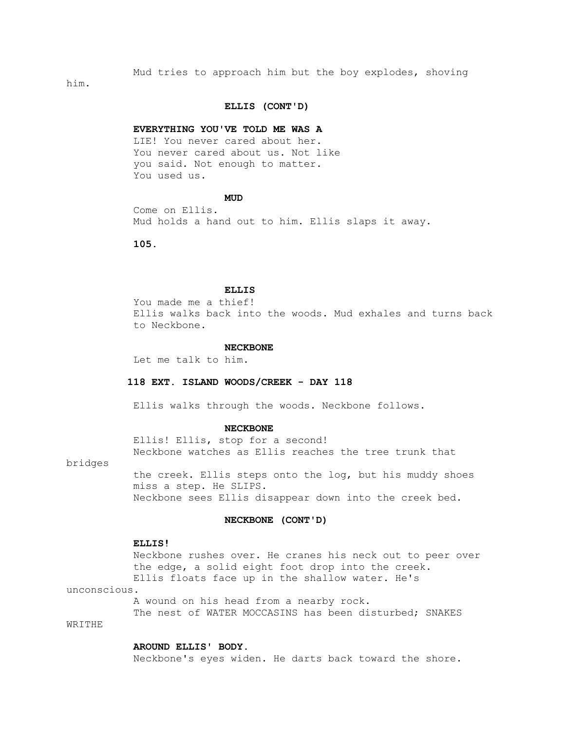Mud tries to approach him but the boy explodes, shoving

him.

### **ELLIS (CONT'D)**

### **EVERYTHING YOU'VE TOLD ME WAS A**

 LIE! You never cared about her. You never cared about us. Not like you said. Not enough to matter. You used us.

# **MUD**

 Come on Ellis. Mud holds a hand out to him. Ellis slaps it away.

 **105.**

### **ELLIS**

 You made me a thief! Ellis walks back into the woods. Mud exhales and turns back to Neckbone.

#### **NECKBONE**

Let me talk to him.

## **118 EXT. ISLAND WOODS/CREEK - DAY 118**

Ellis walks through the woods. Neckbone follows.

### **NECKBONE**

 Ellis! Ellis, stop for a second! Neckbone watches as Ellis reaches the tree trunk that

bridges

 the creek. Ellis steps onto the log, but his muddy shoes miss a step. He SLIPS. Neckbone sees Ellis disappear down into the creek bed.

### **NECKBONE (CONT'D)**

#### **ELLIS!**

 Neckbone rushes over. He cranes his neck out to peer over the edge, a solid eight foot drop into the creek. Ellis floats face up in the shallow water. He's

unconscious.

A wound on his head from a nearby rock.

 The nest of WATER MOCCASINS has been disturbed; SNAKES WRITHE

### **AROUND ELLIS' BODY.**

Neckbone's eyes widen. He darts back toward the shore.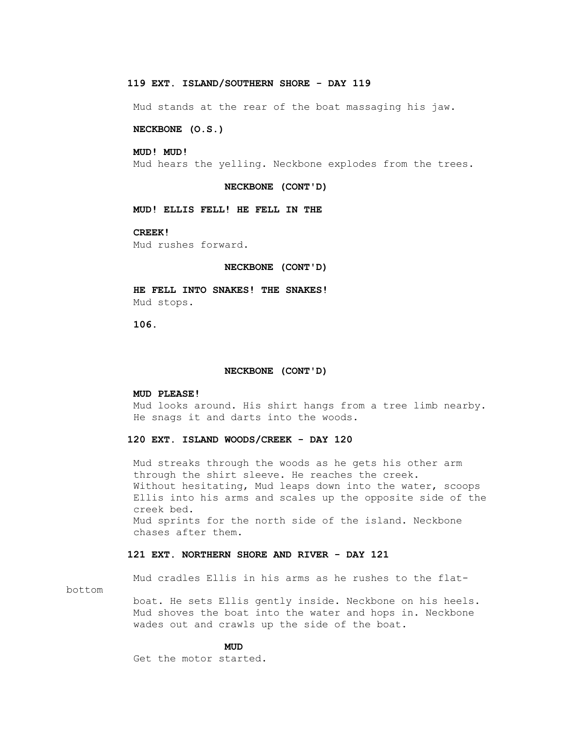# **119 EXT. ISLAND/SOUTHERN SHORE - DAY 119**

Mud stands at the rear of the boat massaging his jaw.

### **NECKBONE (O.S.)**

### **MUD! MUD!**

Mud hears the yelling. Neckbone explodes from the trees.

#### **NECKBONE (CONT'D)**

 **MUD! ELLIS FELL! HE FELL IN THE**

## **CREEK!**

Mud rushes forward.

#### **NECKBONE (CONT'D)**

 **HE FELL INTO SNAKES! THE SNAKES!** Mud stops.

 **106.**

### **NECKBONE (CONT'D)**

### **MUD PLEASE!**

 Mud looks around. His shirt hangs from a tree limb nearby. He snags it and darts into the woods.

#### **120 EXT. ISLAND WOODS/CREEK - DAY 120**

 Mud streaks through the woods as he gets his other arm through the shirt sleeve. He reaches the creek. Without hesitating, Mud leaps down into the water, scoops Ellis into his arms and scales up the opposite side of the creek bed. Mud sprints for the north side of the island. Neckbone chases after them.

## **121 EXT. NORTHERN SHORE AND RIVER - DAY 121**

 Mud cradles Ellis in his arms as he rushes to the flatbottom

> boat. He sets Ellis gently inside. Neckbone on his heels. Mud shoves the boat into the water and hops in. Neckbone wades out and crawls up the side of the boat.

## **MUD**

Get the motor started.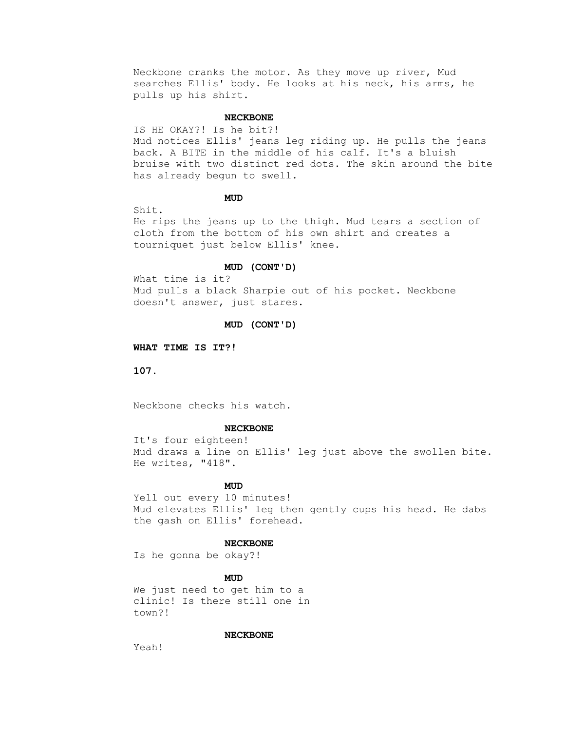Neckbone cranks the motor. As they move up river, Mud searches Ellis' body. He looks at his neck, his arms, he pulls up his shirt.

## **NECKBONE**

 IS HE OKAY?! Is he bit?! Mud notices Ellis' jeans leg riding up. He pulls the jeans back. A BITE in the middle of his calf. It's a bluish bruise with two distinct red dots. The skin around the bite has already begun to swell.

## **MUD**

Shit.

 He rips the jeans up to the thigh. Mud tears a section of cloth from the bottom of his own shirt and creates a tourniquet just below Ellis' knee.

#### **MUD (CONT'D)**

 What time is it? Mud pulls a black Sharpie out of his pocket. Neckbone doesn't answer, just stares.

## **MUD (CONT'D)**

 **WHAT TIME IS IT?!**

 **107.**

Neckbone checks his watch.

#### **NECKBONE**

 It's four eighteen! Mud draws a line on Ellis' leg just above the swollen bite. He writes, "418".

## **MUD**

Yell out every 10 minutes! Mud elevates Ellis' leg then gently cups his head. He dabs the gash on Ellis' forehead.

### **NECKBONE**

Is he gonna be okay?!

# **MUD**

 We just need to get him to a clinic! Is there still one in town?!

# **NECKBONE**

Yeah!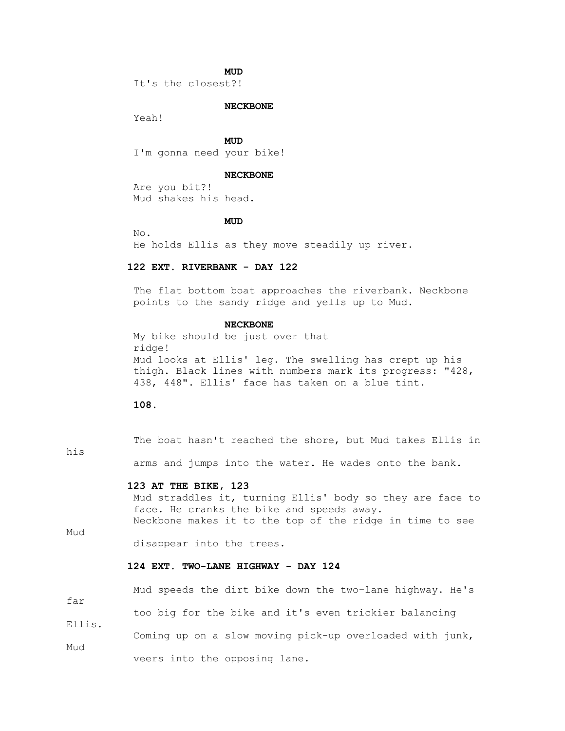## **MUD**

It's the closest?!

### **NECKBONE**

Yeah!

**MUD** I'm gonna need your bike!

### **NECKBONE**

 Are you bit?! Mud shakes his head.

## **MUD**

 No. He holds Ellis as they move steadily up river.

## **122 EXT. RIVERBANK - DAY 122**

The flat bottom boat approaches the riverbank. Neckbone points to the sandy ridge and yells up to Mud.

### **NECKBONE**

 My bike should be just over that ridge! Mud looks at Ellis' leg. The swelling has crept up his thigh. Black lines with numbers mark its progress: "428, 438, 448". Ellis' face has taken on a blue tint.

 **108.**

 The boat hasn't reached the shore, but Mud takes Ellis in his arms and jumps into the water. He wades onto the bank.

### **123 AT THE BIKE, 123**

 Mud straddles it, turning Ellis' body so they are face to face. He cranks the bike and speeds away. Neckbone makes it to the top of the ridge in time to see

Mud

far

Mud

Ellis.

disappear into the trees.

# **124 EXT. TWO-LANE HIGHWAY - DAY 124**

Mud speeds the dirt bike down the two-lane highway. He's

too big for the bike and it's even trickier balancing

Coming up on a slow moving pick-up overloaded with junk,

veers into the opposing lane.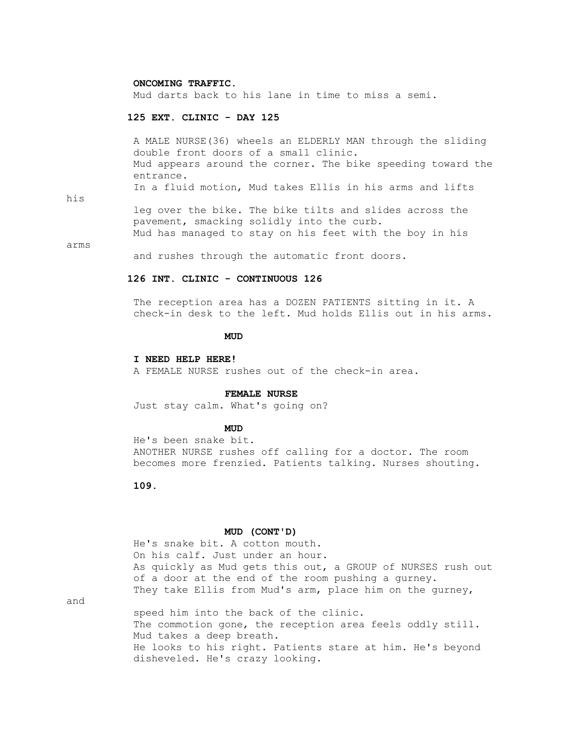#### **ONCOMING TRAFFIC.**

Mud darts back to his lane in time to miss a semi.

### **125 EXT. CLINIC - DAY 125**

 A MALE NURSE(36) wheels an ELDERLY MAN through the sliding double front doors of a small clinic. Mud appears around the corner. The bike speeding toward the entrance. In a fluid motion, Mud takes Ellis in his arms and lifts

his

 leg over the bike. The bike tilts and slides across the pavement, smacking solidly into the curb. Mud has managed to stay on his feet with the boy in his

arms

and rushes through the automatic front doors.

# **126 INT. CLINIC - CONTINUOUS 126**

 The reception area has a DOZEN PATIENTS sitting in it. A check-in desk to the left. Mud holds Ellis out in his arms.

## **MUD**

#### **I NEED HELP HERE!**

A FEMALE NURSE rushes out of the check-in area.

### **FEMALE NURSE**

Just stay calm. What's going on?

## **MUD**

 He's been snake bit. ANOTHER NURSE rushes off calling for a doctor. The room becomes more frenzied. Patients talking. Nurses shouting.

 **109.**

# **MUD (CONT'D)**

 He's snake bit. A cotton mouth. On his calf. Just under an hour. As quickly as Mud gets this out, a GROUP of NURSES rush out of a door at the end of the room pushing a gurney. They take Ellis from Mud's arm, place him on the gurney,

and

 speed him into the back of the clinic. The commotion gone, the reception area feels oddly still. Mud takes a deep breath. He looks to his right. Patients stare at him. He's beyond disheveled. He's crazy looking.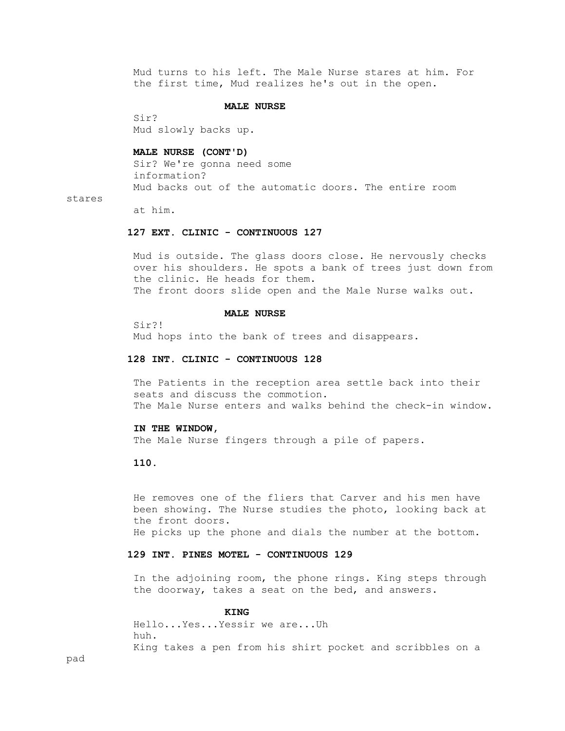Mud turns to his left. The Male Nurse stares at him. For the first time, Mud realizes he's out in the open.

## **MALE NURSE**

 Sir? Mud slowly backs up.

 **MALE NURSE (CONT'D)**

 Sir? We're gonna need some information? Mud backs out of the automatic doors. The entire room

#### stares

at him.

### **127 EXT. CLINIC - CONTINUOUS 127**

 Mud is outside. The glass doors close. He nervously checks over his shoulders. He spots a bank of trees just down from the clinic. He heads for them. The front doors slide open and the Male Nurse walks out.

### **MALE NURSE**

 Sir?! Mud hops into the bank of trees and disappears.

### **128 INT. CLINIC - CONTINUOUS 128**

 The Patients in the reception area settle back into their seats and discuss the commotion. The Male Nurse enters and walks behind the check-in window.

#### **IN THE WINDOW,**

The Male Nurse fingers through a pile of papers.

### **110.**

 He removes one of the fliers that Carver and his men have been showing. The Nurse studies the photo, looking back at the front doors. He picks up the phone and dials the number at the bottom.

### **129 INT. PINES MOTEL - CONTINUOUS 129**

 In the adjoining room, the phone rings. King steps through the doorway, takes a seat on the bed, and answers.

## *KING*

 Hello...Yes...Yessir we are...Uh huh. King takes a pen from his shirt pocket and scribbles on a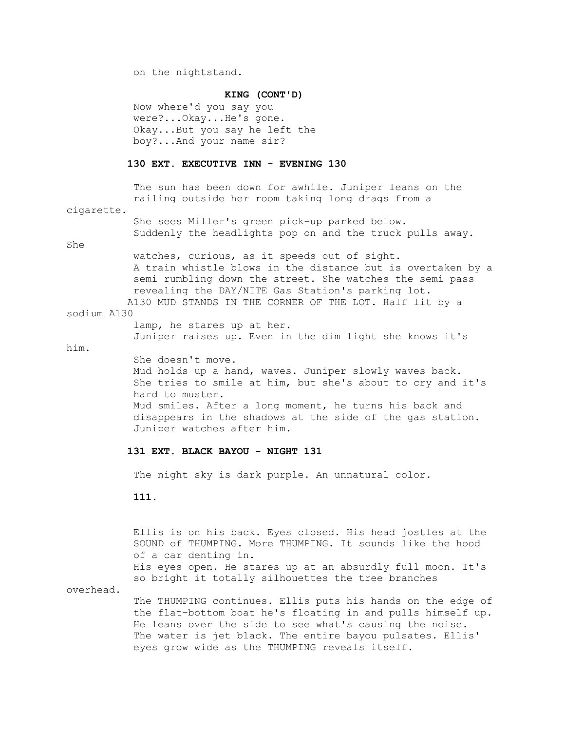on the nightstand.

#### **KING (CONT'D)**

 Now where'd you say you were?...Okay...He's gone. Okay...But you say he left the boy?...And your name sir?

## **130 EXT. EXECUTIVE INN - EVENING 130**

 The sun has been down for awhile. Juniper leans on the railing outside her room taking long drags from a

cigarette.

 She sees Miller's green pick-up parked below. Suddenly the headlights pop on and the truck pulls away.

She

 watches, curious, as it speeds out of sight. A train whistle blows in the distance but is overtaken by a semi rumbling down the street. She watches the semi pass revealing the DAY/NITE Gas Station's parking lot. A130 MUD STANDS IN THE CORNER OF THE LOT. Half lit by a

#### sodium A130

lamp, he stares up at her.

Juniper raises up. Even in the dim light she knows it's

him.

 She doesn't move. Mud holds up a hand, waves. Juniper slowly waves back. She tries to smile at him, but she's about to cry and it's hard to muster. Mud smiles. After a long moment, he turns his back and disappears in the shadows at the side of the gas station. Juniper watches after him.

## **131 EXT. BLACK BAYOU - NIGHT 131**

The night sky is dark purple. An unnatural color.

 **111.**

 Ellis is on his back. Eyes closed. His head jostles at the SOUND of THUMPING. More THUMPING. It sounds like the hood of a car denting in. His eyes open. He stares up at an absurdly full moon. It's so bright it totally silhouettes the tree branches

overhead.

 The THUMPING continues. Ellis puts his hands on the edge of the flat-bottom boat he's floating in and pulls himself up. He leans over the side to see what's causing the noise. The water is jet black. The entire bayou pulsates. Ellis' eyes grow wide as the THUMPING reveals itself.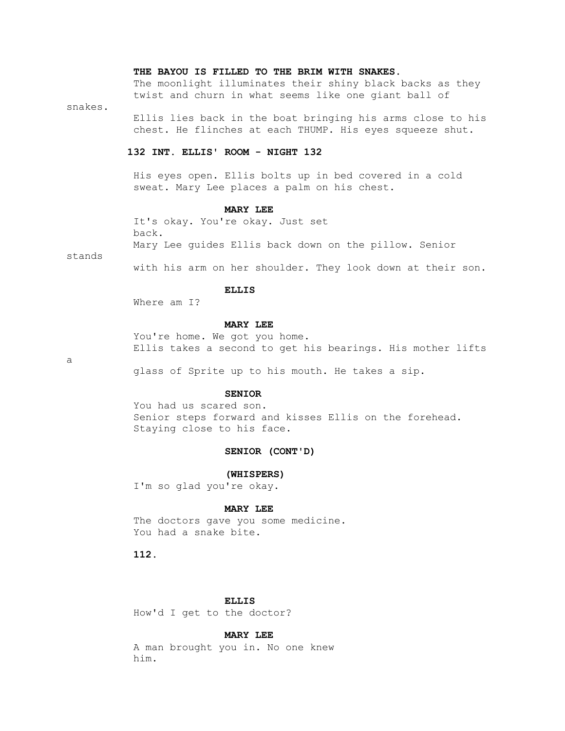### **THE BAYOU IS FILLED TO THE BRIM WITH SNAKES.**

 The moonlight illuminates their shiny black backs as they twist and churn in what seems like one giant ball of

snakes.

 Ellis lies back in the boat bringing his arms close to his chest. He flinches at each THUMP. His eyes squeeze shut.

# **132 INT. ELLIS' ROOM - NIGHT 132**

 His eyes open. Ellis bolts up in bed covered in a cold sweat. Mary Lee places a palm on his chest.

### **MARY LEE**

 It's okay. You're okay. Just set back. Mary Lee guides Ellis back down on the pillow. Senior

stands

with his arm on her shoulder. They look down at their son.

# **ELLIS**

Where am I?

### **MARY LEE**

You're home. We got you home. Ellis takes a second to get his bearings. His mother lifts

a

glass of Sprite up to his mouth. He takes a sip.

# **SENIOR**

 You had us scared son. Senior steps forward and kisses Ellis on the forehead. Staying close to his face.

# **SENIOR (CONT'D)**

 **(WHISPERS)**

I'm so glad you're okay.

### **MARY LEE**

 The doctors gave you some medicine. You had a snake bite.

 **112.**

# **ELLIS**

How'd I get to the doctor?

### **MARY LEE**

 A man brought you in. No one knew him.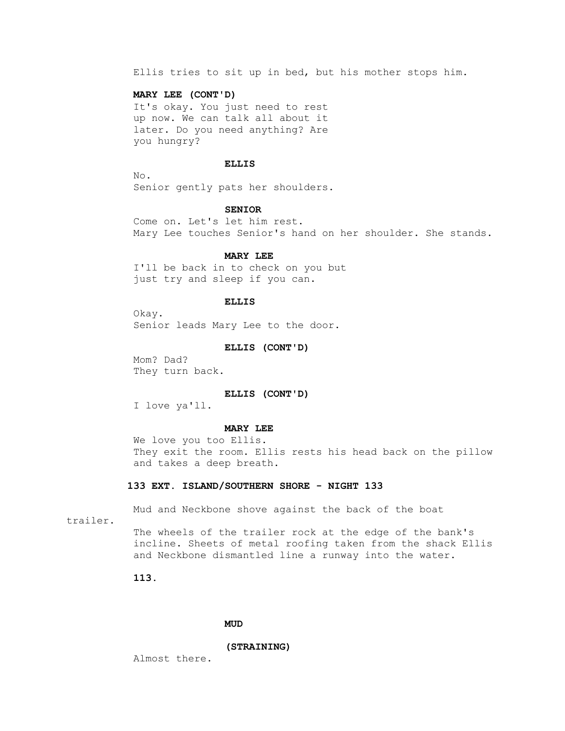Ellis tries to sit up in bed, but his mother stops him.

## **MARY LEE (CONT'D)**

 It's okay. You just need to rest up now. We can talk all about it later. Do you need anything? Are you hungry?

### **ELLIS**

 No. Senior gently pats her shoulders.

#### **SENIOR**

 Come on. Let's let him rest. Mary Lee touches Senior's hand on her shoulder. She stands.

#### **MARY LEE**

 I'll be back in to check on you but just try and sleep if you can.

#### **ELLIS**

 Okay. Senior leads Mary Lee to the door.

#### **ELLIS (CONT'D)**

 Mom? Dad? They turn back.

#### **ELLIS (CONT'D)**

I love ya'll.

### **MARY LEE**

 We love you too Ellis. They exit the room. Ellis rests his head back on the pillow and takes a deep breath.

### **133 EXT. ISLAND/SOUTHERN SHORE - NIGHT 133**

Mud and Neckbone shove against the back of the boat

trailer.

 The wheels of the trailer rock at the edge of the bank's incline. Sheets of metal roofing taken from the shack Ellis and Neckbone dismantled line a runway into the water.

 **113.**

## **MUD**

 **(STRAINING)**

Almost there.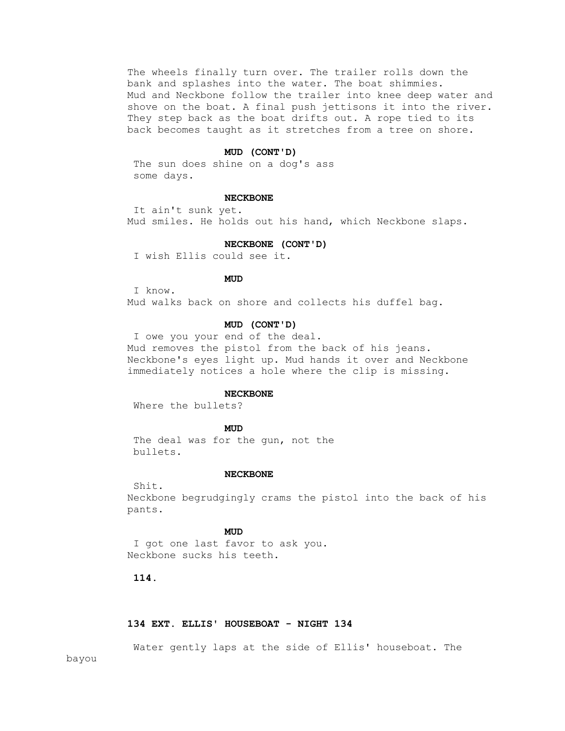The wheels finally turn over. The trailer rolls down the bank and splashes into the water. The boat shimmies. Mud and Neckbone follow the trailer into knee deep water and shove on the boat. A final push jettisons it into the river. They step back as the boat drifts out. A rope tied to its back becomes taught as it stretches from a tree on shore.

### **MUD (CONT'D)**

 The sun does shine on a dog's ass some days.

# **NECKBONE**

 It ain't sunk yet. Mud smiles. He holds out his hand, which Neckbone slaps.

### **NECKBONE (CONT'D)**

I wish Ellis could see it.

# **MUD**

I know.

Mud walks back on shore and collects his duffel bag.

### **MUD (CONT'D)**

 I owe you your end of the deal. Mud removes the pistol from the back of his jeans. Neckbone's eyes light up. Mud hands it over and Neckbone immediately notices a hole where the clip is missing.

### **NECKBONE**

Where the bullets?

## **MUD**

 The deal was for the gun, not the bullets.

#### **NECKBONE**

 Neckbone begrudgingly crams the pistol into the back of his pants.

## **MUD**

 I got one last favor to ask you. Neckbone sucks his teeth.

 **114.**

Shit.

## **134 EXT. ELLIS' HOUSEBOAT - NIGHT 134**

Water gently laps at the side of Ellis' houseboat. The

bayou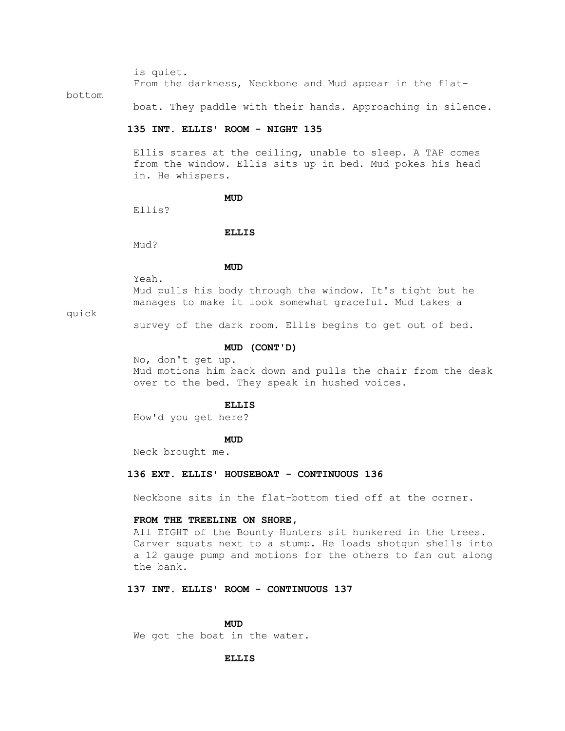is quiet.

From the darkness, Neckbone and Mud appear in the flat-

bottom

boat. They paddle with their hands. Approaching in silence.

### **135 INT. ELLIS' ROOM - NIGHT 135**

 Ellis stares at the ceiling, unable to sleep. A TAP comes from the window. Ellis sits up in bed. Mud pokes his head in. He whispers.

**MUD** 

Ellis?

### **ELLIS**

Mud?

## **MUD**

Yeah.

 Mud pulls his body through the window. It's tight but he manages to make it look somewhat graceful. Mud takes a

## quick

survey of the dark room. Ellis begins to get out of bed.

#### **MUD (CONT'D)**

 No, don't get up. Mud motions him back down and pulls the chair from the desk over to the bed. They speak in hushed voices.

#### **ELLIS**

How'd you get here?

## **MUD**

Neck brought me.

### **136 EXT. ELLIS' HOUSEBOAT - CONTINUOUS 136**

Neckbone sits in the flat-bottom tied off at the corner.

### **FROM THE TREELINE ON SHORE,**

 All EIGHT of the Bounty Hunters sit hunkered in the trees. Carver squats next to a stump. He loads shotgun shells into a 12 gauge pump and motions for the others to fan out along the bank.

## **137 INT. ELLIS' ROOM - CONTINUOUS 137**

## **MUD**

We got the boat in the water.

#### **ELLIS**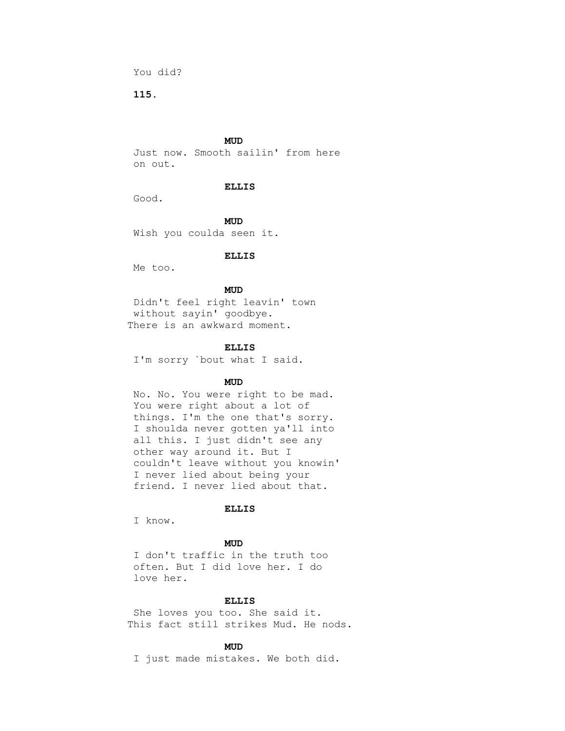You did?

 **115.**

## **MUD**

 Just now. Smooth sailin' from here on out.

### **ELLIS**

Good.

**MUD** Wish you coulda seen it.

#### **ELLIS**

Me too.

## **MUD**

 Didn't feel right leavin' town without sayin' goodbye. There is an awkward moment.

### **ELLIS**

I'm sorry `bout what I said.

## **MUD**

 No. No. You were right to be mad. You were right about a lot of things. I'm the one that's sorry. I shoulda never gotten ya'll into all this. I just didn't see any other way around it. But I couldn't leave without you knowin' I never lied about being your friend. I never lied about that.

### **ELLIS**

I know.

## **MUD**

 I don't traffic in the truth too often. But I did love her. I do love her.

## **ELLIS**

 She loves you too. She said it. This fact still strikes Mud. He nods.

## **MUD**

I just made mistakes. We both did.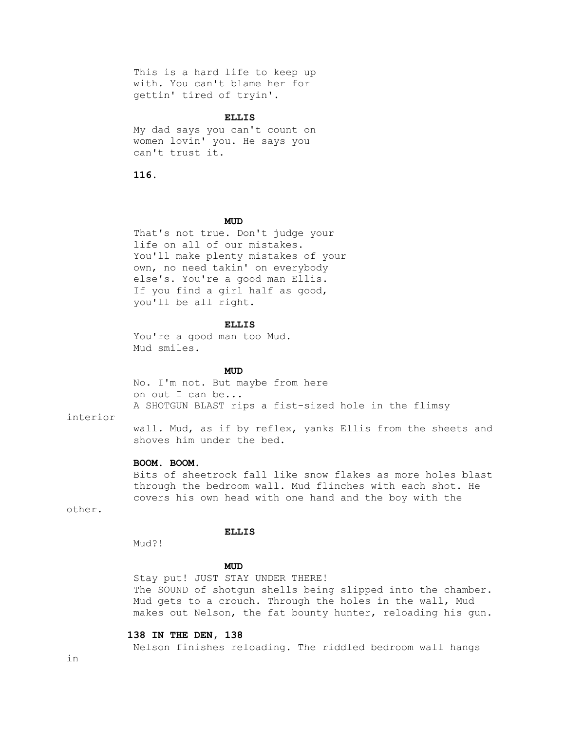This is a hard life to keep up with. You can't blame her for gettin' tired of tryin'.

#### **ELLIS**

 My dad says you can't count on women lovin' you. He says you can't trust it.

 **116.**

## **MUD**

 That's not true. Don't judge your life on all of our mistakes. You'll make plenty mistakes of your own, no need takin' on everybody else's. You're a good man Ellis. If you find a girl half as good, you'll be all right.

### **ELLIS**

 You're a good man too Mud. Mud smiles.

## **MUD**

 No. I'm not. But maybe from here on out I can be... A SHOTGUN BLAST rips a fist-sized hole in the flimsy

# interior

 wall. Mud, as if by reflex, yanks Ellis from the sheets and shoves him under the bed.

# **BOOM. BOOM.**

 Bits of sheetrock fall like snow flakes as more holes blast through the bedroom wall. Mud flinches with each shot. He covers his own head with one hand and the boy with the

other.

# **ELLIS**

Mud?!

## **MUD**

 Stay put! JUST STAY UNDER THERE! The SOUND of shotgun shells being slipped into the chamber. Mud gets to a crouch. Through the holes in the wall, Mud makes out Nelson, the fat bounty hunter, reloading his gun.

### **138 IN THE DEN, 138**

Nelson finishes reloading. The riddled bedroom wall hangs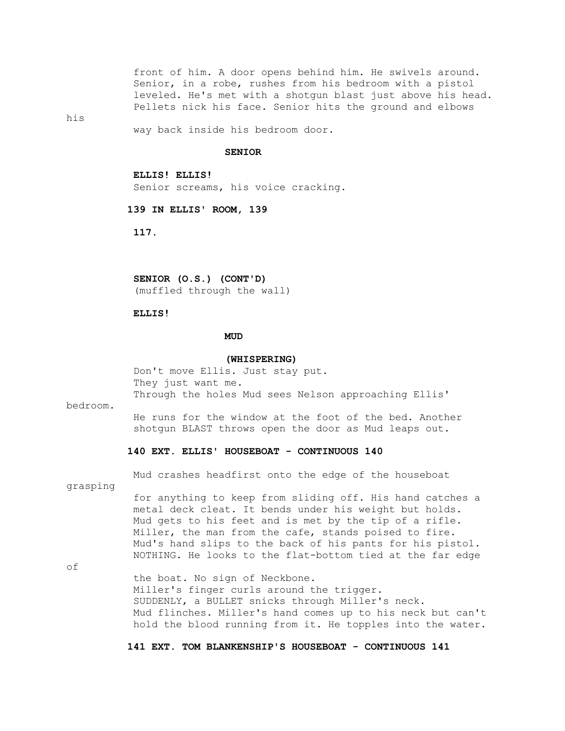front of him. A door opens behind him. He swivels around. Senior, in a robe, rushes from his bedroom with a pistol leveled. He's met with a shotgun blast just above his head. Pellets nick his face. Senior hits the ground and elbows

his

way back inside his bedroom door.

### **SENIOR**

 **ELLIS! ELLIS!** Senior screams, his voice cracking.

 **139 IN ELLIS' ROOM, 139**

 **117.**

 **SENIOR (O.S.) (CONT'D)**

(muffled through the wall)

### **ELLIS!**

## **MUD**

#### **(WHISPERING)**

 Don't move Ellis. Just stay put. They just want me. Through the holes Mud sees Nelson approaching Ellis'

bedroom.

 He runs for the window at the foot of the bed. Another shotgun BLAST throws open the door as Mud leaps out.

### **140 EXT. ELLIS' HOUSEBOAT - CONTINUOUS 140**

Mud crashes headfirst onto the edge of the houseboat

grasping

 for anything to keep from sliding off. His hand catches a metal deck cleat. It bends under his weight but holds. Mud gets to his feet and is met by the tip of a rifle. Miller, the man from the cafe, stands poised to fire. Mud's hand slips to the back of his pants for his pistol. NOTHING. He looks to the flat-bottom tied at the far edge

of

 the boat. No sign of Neckbone. Miller's finger curls around the trigger. SUDDENLY, a BULLET snicks through Miller's neck. Mud flinches. Miller's hand comes up to his neck but can't hold the blood running from it. He topples into the water.

 **141 EXT. TOM BLANKENSHIP'S HOUSEBOAT - CONTINUOUS 141**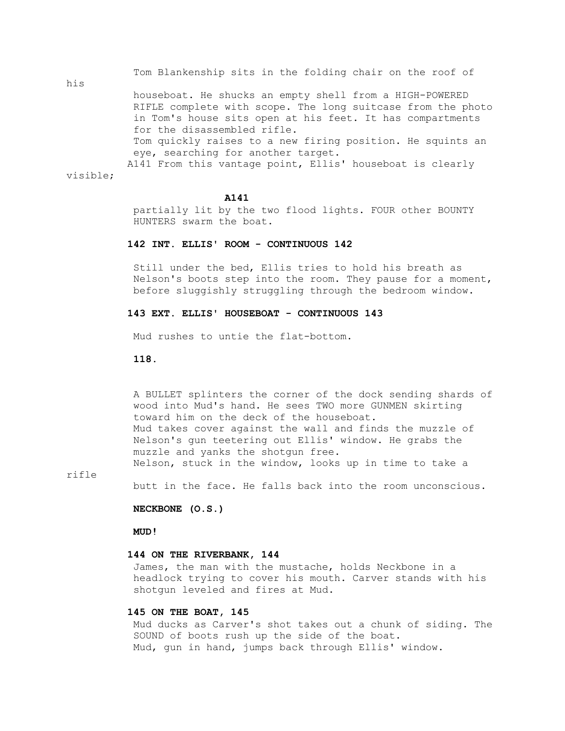Tom Blankenship sits in the folding chair on the roof of

 houseboat. He shucks an empty shell from a HIGH-POWERED RIFLE complete with scope. The long suitcase from the photo in Tom's house sits open at his feet. It has compartments for the disassembled rifle. Tom quickly raises to a new firing position. He squints an eye, searching for another target. A141 From this vantage point, Ellis' houseboat is clearly visible;

### **A141**

 partially lit by the two flood lights. FOUR other BOUNTY HUNTERS swarm the boat.

# **142 INT. ELLIS' ROOM - CONTINUOUS 142**

 Still under the bed, Ellis tries to hold his breath as Nelson's boots step into the room. They pause for a moment, before sluggishly struggling through the bedroom window.

## **143 EXT. ELLIS' HOUSEBOAT - CONTINUOUS 143**

Mud rushes to untie the flat-bottom.

## **118.**

 A BULLET splinters the corner of the dock sending shards of wood into Mud's hand. He sees TWO more GUNMEN skirting toward him on the deck of the houseboat. Mud takes cover against the wall and finds the muzzle of Nelson's gun teetering out Ellis' window. He grabs the muzzle and yanks the shotgun free. Nelson, stuck in the window, looks up in time to take a

rifle

his

butt in the face. He falls back into the room unconscious.

 **NECKBONE (O.S.)**

 **MUD!**

#### **144 ON THE RIVERBANK, 144**

 James, the man with the mustache, holds Neckbone in a headlock trying to cover his mouth. Carver stands with his shotgun leveled and fires at Mud.

### **145 ON THE BOAT, 145**

 Mud ducks as Carver's shot takes out a chunk of siding. The SOUND of boots rush up the side of the boat. Mud, gun in hand, jumps back through Ellis' window.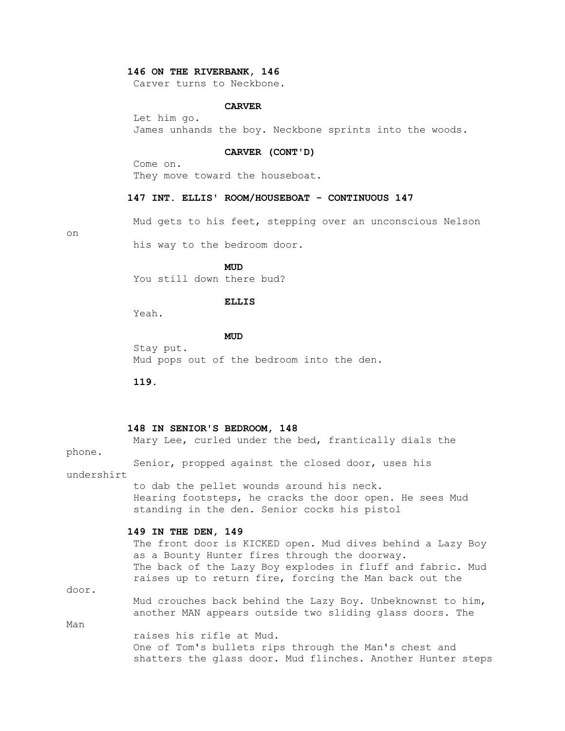### **146 ON THE RIVERBANK, 146**

Carver turns to Neckbone.

### **CARVER**

 Let him go. James unhands the boy. Neckbone sprints into the woods.

### **CARVER (CONT'D)**

 Come on. They move toward the houseboat.

### **147 INT. ELLIS' ROOM/HOUSEBOAT - CONTINUOUS 147**

Mud gets to his feet, stepping over an unconscious Nelson

on

his way to the bedroom door.

**MUD** 

You still down there bud?

### **ELLIS**

Yeah.

**MUD** 

 Stay put. Mud pops out of the bedroom into the den.

 **119.**

#### **148 IN SENIOR'S BEDROOM, 148**

 Mary Lee, curled under the bed, frantically dials the phone. Senior, propped against the closed door, uses his undershirt to dab the pellet wounds around his neck. Hearing footsteps, he cracks the door open. He sees Mud standing in the den. Senior cocks his pistol  **149 IN THE DEN, 149** The front door is KICKED open. Mud dives behind a Lazy Boy as a Bounty Hunter fires through the doorway. The back of the Lazy Boy explodes in fluff and fabric. Mud raises up to return fire, forcing the Man back out the door. Mud crouches back behind the Lazy Boy. Unbeknownst to him, another MAN appears outside two sliding glass doors. The Man raises his rifle at Mud. One of Tom's bullets rips through the Man's chest and shatters the glass door. Mud flinches. Another Hunter steps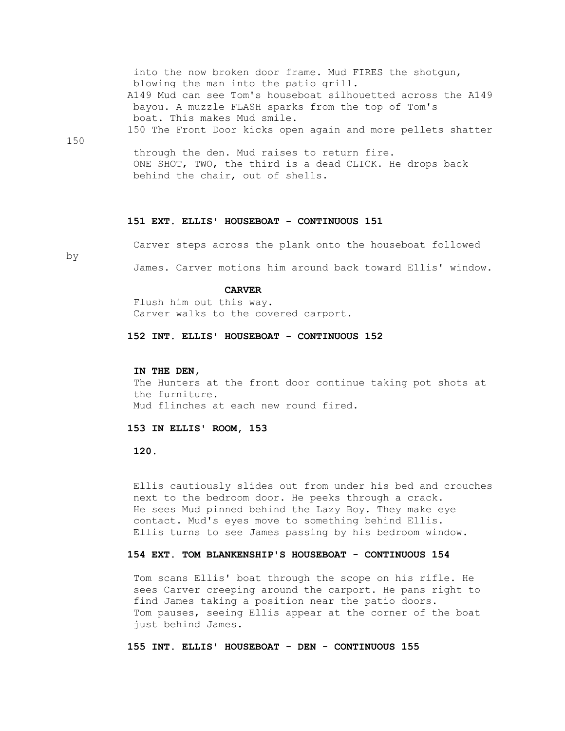| into the now broken door frame. Mud FIRES the shotqun,       |
|--------------------------------------------------------------|
| blowing the man into the patio grill.                        |
| A149 Mud can see Tom's houseboat silhouetted across the A149 |
| bayou. A muzzle FLASH sparks from the top of Tom's           |
| boat. This makes Mud smile.                                  |
| 150 The Front Door kicks open again and more pellets shatter |
| 1.50                                                         |

150

 through the den. Mud raises to return fire. ONE SHOT, TWO, the third is a dead CLICK. He drops back behind the chair, out of shells.

#### **151 EXT. ELLIS' HOUSEBOAT - CONTINUOUS 151**

by

Carver steps across the plank onto the houseboat followed

James. Carver motions him around back toward Ellis' window.

# **CARVER**

 Flush him out this way. Carver walks to the covered carport.

 **152 INT. ELLIS' HOUSEBOAT - CONTINUOUS 152**

#### **IN THE DEN,**

 The Hunters at the front door continue taking pot shots at the furniture. Mud flinches at each new round fired.

# **153 IN ELLIS' ROOM, 153**

 **120.**

 Ellis cautiously slides out from under his bed and crouches next to the bedroom door. He peeks through a crack. He sees Mud pinned behind the Lazy Boy. They make eye contact. Mud's eyes move to something behind Ellis. Ellis turns to see James passing by his bedroom window.

## **154 EXT. TOM BLANKENSHIP'S HOUSEBOAT - CONTINUOUS 154**

 Tom scans Ellis' boat through the scope on his rifle. He sees Carver creeping around the carport. He pans right to find James taking a position near the patio doors. Tom pauses, seeing Ellis appear at the corner of the boat just behind James.

# **155 INT. ELLIS' HOUSEBOAT - DEN - CONTINUOUS 155**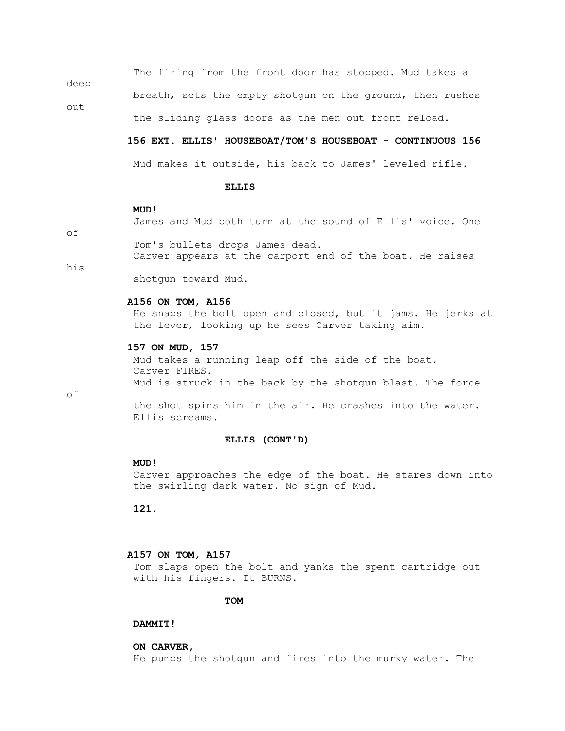The firing from the front door has stopped. Mud takes a

breath, sets the empty shotgun on the ground, then rushes

the sliding glass doors as the men out front reload.

#### **156 EXT. ELLIS' HOUSEBOAT/TOM'S HOUSEBOAT - CONTINUOUS 156**

Mud makes it outside, his back to James' leveled rifle.

### **ELLIS**

#### **MUD!**

James and Mud both turn at the sound of Ellis' voice. One

of

deep

out

Tom's bullets drops James dead.

Carver appears at the carport end of the boat. He raises

his

shotgun toward Mud.

### **A156 ON TOM, A156**

 He snaps the bolt open and closed, but it jams. He jerks at the lever, looking up he sees Carver taking aim.

### **157 ON MUD, 157**

 Mud takes a running leap off the side of the boat. Carver FIRES. Mud is struck in the back by the shotgun blast. The force

of

 the shot spins him in the air. He crashes into the water. Ellis screams.

### **ELLIS (CONT'D)**

#### **MUD!**

 Carver approaches the edge of the boat. He stares down into the swirling dark water. No sign of Mud.

 **121.**

## **A157 ON TOM, A157**

 Tom slaps open the bolt and yanks the spent cartridge out with his fingers. It BURNS.

**TOM** 

### **DAMMIT!**

### **ON CARVER,**

He pumps the shotgun and fires into the murky water. The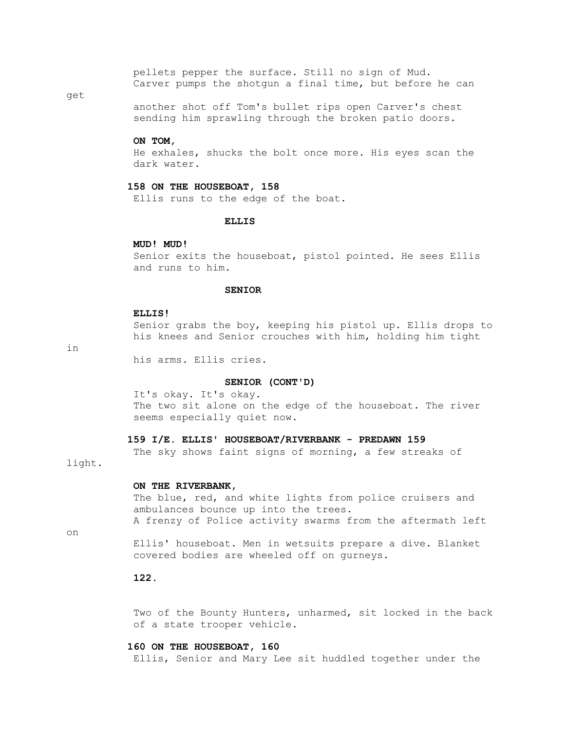pellets pepper the surface. Still no sign of Mud. Carver pumps the shotgun a final time, but before he can

### get

 another shot off Tom's bullet rips open Carver's chest sending him sprawling through the broken patio doors.

### **ON TOM,**

 He exhales, shucks the bolt once more. His eyes scan the dark water.

#### **158 ON THE HOUSEBOAT, 158**

Ellis runs to the edge of the boat.

#### **ELLIS**

### **MUD! MUD!**

 Senior exits the houseboat, pistol pointed. He sees Ellis and runs to him.

### **SENIOR**

#### **ELLIS!**

 Senior grabs the boy, keeping his pistol up. Ellis drops to his knees and Senior crouches with him, holding him tight

in

his arms. Ellis cries.

### **SENIOR (CONT'D)**

 It's okay. It's okay. The two sit alone on the edge of the houseboat. The river seems especially quiet now.

### **159 I/E. ELLIS' HOUSEBOAT/RIVERBANK - PREDAWN 159**

The sky shows faint signs of morning, a few streaks of

# light.

#### **ON THE RIVERBANK,**

The blue, red, and white lights from police cruisers and ambulances bounce up into the trees. A frenzy of Police activity swarms from the aftermath left

on

 Ellis' houseboat. Men in wetsuits prepare a dive. Blanket covered bodies are wheeled off on gurneys.

## **122.**

 Two of the Bounty Hunters, unharmed, sit locked in the back of a state trooper vehicle.

### **160 ON THE HOUSEBOAT, 160**

Ellis, Senior and Mary Lee sit huddled together under the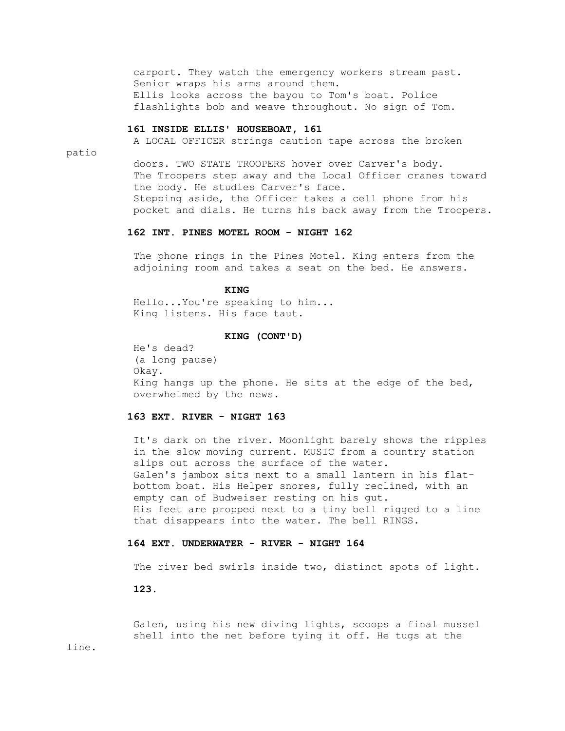carport. They watch the emergency workers stream past. Senior wraps his arms around them. Ellis looks across the bayou to Tom's boat. Police flashlights bob and weave throughout. No sign of Tom.

#### **161 INSIDE ELLIS' HOUSEBOAT, 161**

A LOCAL OFFICER strings caution tape across the broken

patio

 doors. TWO STATE TROOPERS hover over Carver's body. The Troopers step away and the Local Officer cranes toward the body. He studies Carver's face. Stepping aside, the Officer takes a cell phone from his pocket and dials. He turns his back away from the Troopers.

## **162 INT. PINES MOTEL ROOM - NIGHT 162**

 The phone rings in the Pines Motel. King enters from the adjoining room and takes a seat on the bed. He answers.

### **KING**

 Hello...You're speaking to him... King listens. His face taut.

#### **KING (CONT'D)**

 He's dead? (a long pause) Okay. King hangs up the phone. He sits at the edge of the bed, overwhelmed by the news.

# **163 EXT. RIVER - NIGHT 163**

 It's dark on the river. Moonlight barely shows the ripples in the slow moving current. MUSIC from a country station slips out across the surface of the water. Galen's jambox sits next to a small lantern in his flat bottom boat. His Helper snores, fully reclined, with an empty can of Budweiser resting on his gut. His feet are propped next to a tiny bell rigged to a line that disappears into the water. The bell RINGS.

# **164 EXT. UNDERWATER - RIVER - NIGHT 164**

The river bed swirls inside two, distinct spots of light.

 **123.**

 Galen, using his new diving lights, scoops a final mussel shell into the net before tying it off. He tugs at the

line.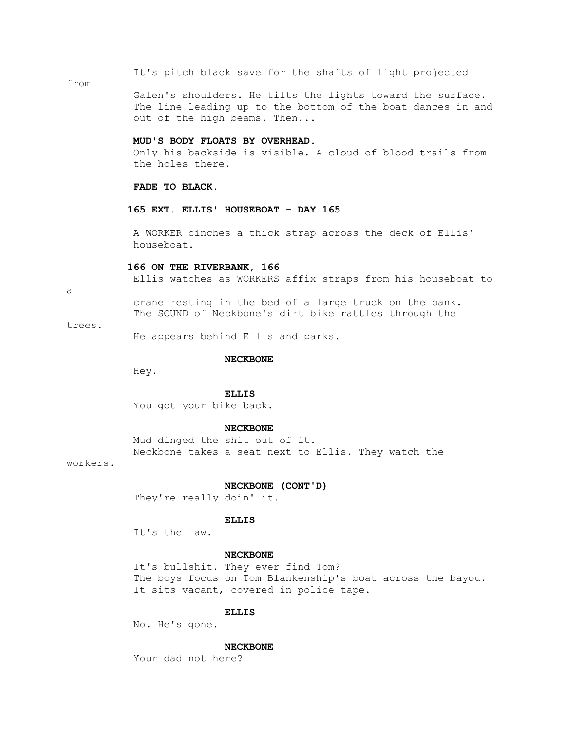It's pitch black save for the shafts of light projected

### from

 Galen's shoulders. He tilts the lights toward the surface. The line leading up to the bottom of the boat dances in and out of the high beams. Then...

#### **MUD'S BODY FLOATS BY OVERHEAD.**

 Only his backside is visible. A cloud of blood trails from the holes there.

### **FADE TO BLACK.**

### **165 EXT. ELLIS' HOUSEBOAT - DAY 165**

 A WORKER cinches a thick strap across the deck of Ellis' houseboat.

### **166 ON THE RIVERBANK, 166**

Ellis watches as WORKERS affix straps from his houseboat to

a

 crane resting in the bed of a large truck on the bank. The SOUND of Neckbone's dirt bike rattles through the

#### trees.

He appears behind Ellis and parks.

#### **NECKBONE**

Hey.

## **ELLIS**

You got your bike back.

#### **NECKBONE**

 Mud dinged the shit out of it. Neckbone takes a seat next to Ellis. They watch the

workers.

#### **NECKBONE (CONT'D)**

They're really doin' it.

#### **ELLIS**

It's the law.

### **NECKBONE**

 It's bullshit. They ever find Tom? The boys focus on Tom Blankenship's boat across the bayou. It sits vacant, covered in police tape.

### **ELLIS**

No. He's gone.

### **NECKBONE**

Your dad not here?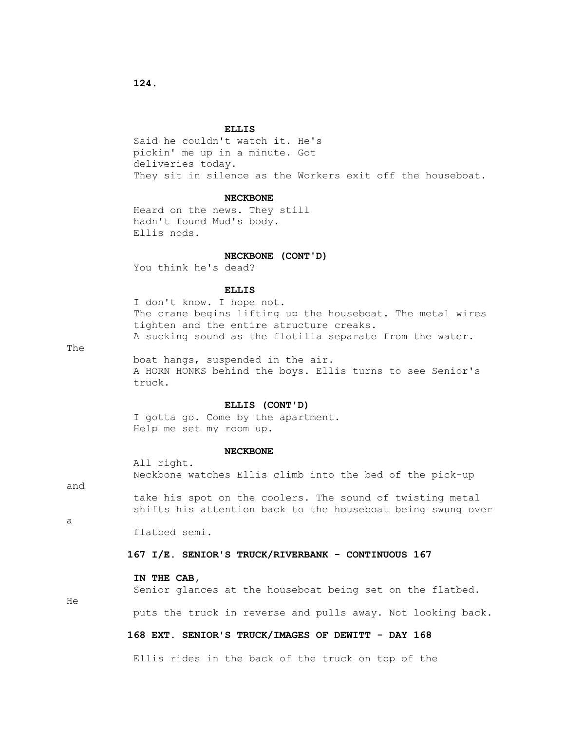#### **ELLIS**

 Said he couldn't watch it. He's pickin' me up in a minute. Got deliveries today. They sit in silence as the Workers exit off the houseboat.

### **NECKBONE**

 Heard on the news. They still hadn't found Mud's body. Ellis nods.

#### **NECKBONE (CONT'D)**

You think he's dead?

## **ELLIS**

 I don't know. I hope not. The crane begins lifting up the houseboat. The metal wires tighten and the entire structure creaks. A sucking sound as the flotilla separate from the water.

The

 boat hangs, suspended in the air. A HORN HONKS behind the boys. Ellis turns to see Senior's truck.

### **ELLIS (CONT'D)**

 I gotta go. Come by the apartment. Help me set my room up.

#### **NECKBONE**

 All right. Neckbone watches Ellis climb into the bed of the pick-up

and

 take his spot on the coolers. The sound of twisting metal shifts his attention back to the houseboat being swung over

a

flatbed semi.

### **167 I/E. SENIOR'S TRUCK/RIVERBANK - CONTINUOUS 167**

## **IN THE CAB,**

Senior glances at the houseboat being set on the flatbed.

He

puts the truck in reverse and pulls away. Not looking back.

## **168 EXT. SENIOR'S TRUCK/IMAGES OF DEWITT - DAY 168**

Ellis rides in the back of the truck on top of the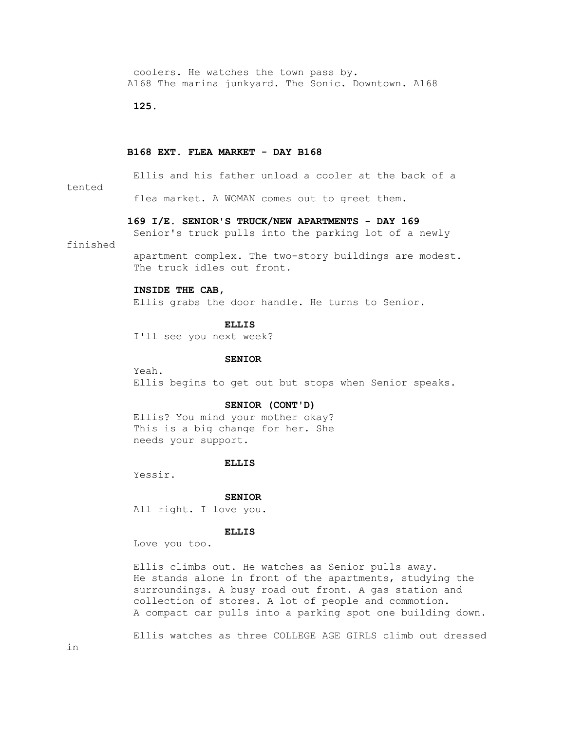coolers. He watches the town pass by. A168 The marina junkyard. The Sonic. Downtown. A168

 **125.**

### **B168 EXT. FLEA MARKET - DAY B168**

Ellis and his father unload a cooler at the back of a

### tented

flea market. A WOMAN comes out to greet them.

### **169 I/E. SENIOR'S TRUCK/NEW APARTMENTS - DAY 169**

Senior's truck pulls into the parking lot of a newly

## finished

 apartment complex. The two-story buildings are modest. The truck idles out front.

# **INSIDE THE CAB,**

Ellis grabs the door handle. He turns to Senior.

### **ELLIS**

I'll see you next week?

### **SENIOR**

 Yeah. Ellis begins to get out but stops when Senior speaks.

### **SENIOR (CONT'D)**

 Ellis? You mind your mother okay? This is a big change for her. She needs your support.

#### **ELLIS**

Yessir.

### **SENIOR**

All right. I love you.

# **ELLIS**

Love you too.

 Ellis climbs out. He watches as Senior pulls away. He stands alone in front of the apartments, studying the surroundings. A busy road out front. A gas station and collection of stores. A lot of people and commotion. A compact car pulls into a parking spot one building down.

Ellis watches as three COLLEGE AGE GIRLS climb out dressed